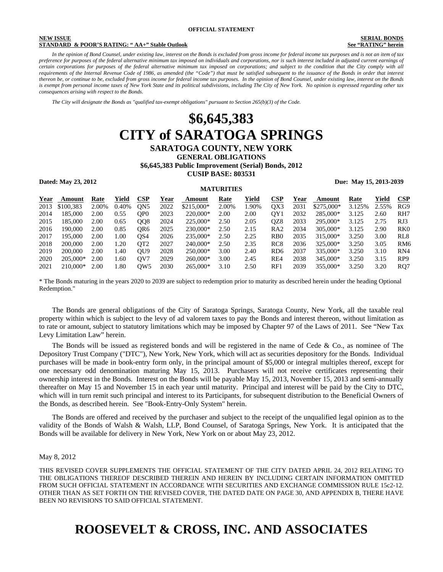#### **NEW ISSUE SERIAL BONDS STANDARD & POOR'S RATING: " AA+" Stable Outlook See "RATING" herein** See "RATING" herein

 *In the opinion of Bond Counsel, under existing law, interest on the Bonds is excluded from gross income for federal income tax purposes and is not an item of tax preference for purposes of the federal alternative minimum tax imposed on individuals and corporations, nor is such interest included in adjusted current earnings of certain corporations for purposes of the federal alternative minimum tax imposed on corporations; and subject to the condition that the City comply with all requirements of the Internal Revenue Code of 1986, as amended (the "Code") that must be satisfied subsequent to the issuance of the Bonds in order that interest thereon be, or continue to be, excluded from gross income for federal income tax purposes. In the opinion of Bond Counsel, under existing law, interest on the Bonds is exempt from personal income taxes of New York State and its political subdivisions, including The City of New York. No opinion is expressed regarding other tax consequences arising with respect to the Bonds.* 

 *The City will designate the Bonds as "qualified tax-exempt obligations" pursuant to Section 265(b)(3) of the Code.* 

# **\$6,645,383 CITY of SARATOGA SPRINGS**

## **SARATOGA COUNTY, NEW YORK**

**MATURITIES** 

**GENERAL OBLIGATIONS** 

**\$6,645,383 Public Improvement (Serial) Bonds, 2012** 

**CUSIP BASE: 803531** 

**Dated: May 23, 2012 Due: May 15, 2013-2039** 

| Year | Amount    | Rate  | Yield | <b>CSP</b>      | Year | Amount      | Rate  | Yield | <b>CSP</b>       | Year | Amount      | Rate   | Yield | CSP             |
|------|-----------|-------|-------|-----------------|------|-------------|-------|-------|------------------|------|-------------|--------|-------|-----------------|
| 2013 | \$100.383 | 2.00% | 0.40% | ON <sub>5</sub> | 2022 | $$215,000*$ | 2.00% | 1.90% | OX3              | 2031 | $$275,000*$ | 3.125% | 2.55% | RG9             |
| 2014 | 185,000   | 2.00  | 0.55  | OP <sub>0</sub> | 2023 | 220,000*    | 2.00  | 2.00  | OY1              | 2032 | 285,000*    | 3.125  | 2.60  | RH7             |
| 2015 | 185,000   | 2.00  | 0.65  | 008             | 2024 | 225,000*    | 2.50  | 2.05  | OZ8              | 2033 | 295,000*    | 3.125  | 2.75  | RJ3             |
| 2016 | 190,000   | 2.00  | 0.85  | OR <sub>6</sub> | 2025 | 230,000*    | 2.50  | 2.15  | RA <sub>2</sub>  | 2034 | 305,000*    | 3.125  | 2.90  | RK <sub>0</sub> |
| 2017 | 195,000   | 2.00  | L.00  | OS <sub>4</sub> | 2026 | 235,000*    | 2.50  | 2.25  | R <sub>B</sub> 0 | 2035 | 315,000*    | 3.250  | 3.00  | RL8             |
| 2018 | 200,000   | 2.00  | 1.20  | OT <sub>2</sub> | 2027 | 240,000*    | 2.50  | 2.35  | RC <sub>8</sub>  | 2036 | 325,000*    | 3.250  | 3.05  | RM <sub>6</sub> |
| 2019 | 200,000   | 2.00  | 1.40  | OU9             | 2028 | 250,000*    | 3.00  | 2.40  | RD <sub>6</sub>  | 2037 | 335,000*    | 3.250  | 3.10  | RN4             |
| 2020 | 205,000*  | 2.00  | 1.60  | OV <sub>7</sub> | 2029 | 260,000*    | 3.00  | 2.45  | RE4              | 2038 | 345,000*    | 3.250  | 3.15  | RP <sub>9</sub> |
| 2021 | 210,000*  | 2.00  | .80   | OW <sub>5</sub> | 2030 | 265,000*    | 3.10  | 2.50  | RF1              | 2039 | 355,000*    | 3.250  | 3.20  | RO <sub>7</sub> |

\* The Bonds maturing in the years 2020 to 2039 are subject to redemption prior to maturity as described herein under the heading Optional Redemption."

 The Bonds are general obligations of the City of Saratoga Springs, Saratoga County, New York, all the taxable real property within which is subject to the levy of ad valorem taxes to pay the Bonds and interest thereon, without limitation as to rate or amount, subject to statutory limitations which may be imposed by Chapter 97 of the Laws of 2011. See "New Tax Levy Limitation Law" herein.

 The Bonds will be issued as registered bonds and will be registered in the name of Cede & Co., as nominee of The Depository Trust Company ("DTC"), New York, New York, which will act as securities depository for the Bonds. Individual purchases will be made in book-entry form only, in the principal amount of \$5,000 or integral multiples thereof, except for one necessary odd denomination maturing May 15, 2013. Purchasers will not receive certificates representing their ownership interest in the Bonds. Interest on the Bonds will be payable May 15, 2013, November 15, 2013 and semi-annually thereafter on May 15 and November 15 in each year until maturity. Principal and interest will be paid by the City to DTC, which will in turn remit such principal and interest to its Participants, for subsequent distribution to the Beneficial Owners of the Bonds, as described herein. See "Book-Entry-Only System" herein.

 The Bonds are offered and received by the purchaser and subject to the receipt of the unqualified legal opinion as to the validity of the Bonds of Walsh & Walsh, LLP, Bond Counsel, of Saratoga Springs, New York. It is anticipated that the Bonds will be available for delivery in New York, New York on or about May 23, 2012.

#### May 8, 2012

THIS REVISED COVER SUPPLEMENTS THE OFFICIAL STATEMENT OF THE CITY DATED APRIL 24, 2012 RELATING TO THE OBLIGATIONS THEREOF DESCRIBED THEREIN AND HEREIN BY INCLUDING CERTAIN INFORMATION OMITTED FROM SUCH OFFICIAL STATEMENT IN ACCORDANCE WITH SECURITIES AND EXCHANGE COMMISSION RULE 15c2-12. OTHER THAN AS SET FORTH ON THE REVISED COVER, THE DATED DATE ON PAGE 30, AND APPENDIX B, THERE HAVE BEEN NO REVISIONS TO SAID OFFICIAL STATEMENT.

## **ROOSEVELT & CROSS, INC. AND ASSOCIATES**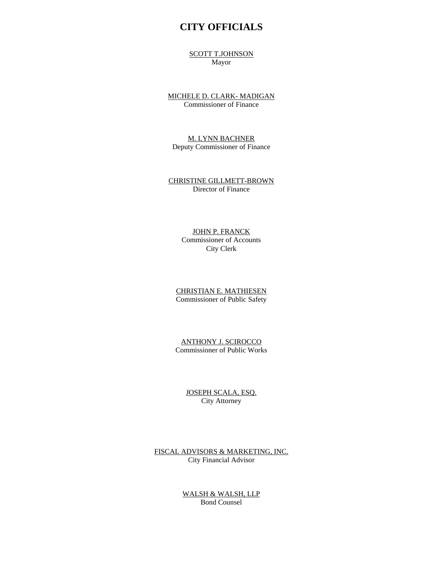## **CITY OFFICIALS**

SCOTT T.JOHNSON Mayor

MICHELE D. CLARK- MADIGAN Commissioner of Finance

M. LYNN BACHNER Deputy Commissioner of Finance

CHRISTINE GILLMETT-BROWN Director of Finance

## JOHN P. FRANCK Commissioner of Accounts City Clerk

CHRISTIAN E. MATHIESEN Commissioner of Public Safety

ANTHONY J. SCIROCCO Commissioner of Public Works

> JOSEPH SCALA, ESQ. City Attorney

FISCAL ADVISORS & MARKETING, INC. City Financial Advisor

> WALSH & WALSH, LLP Bond Counsel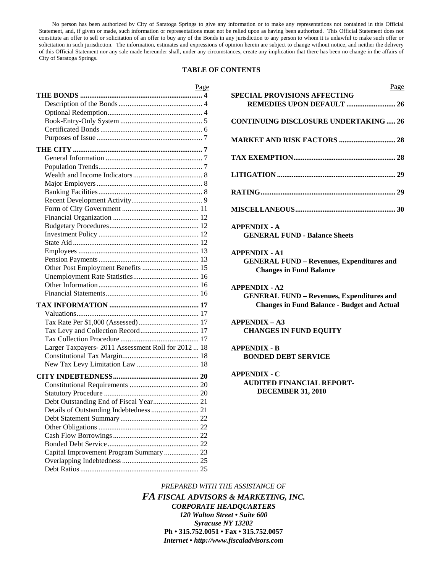No person has been authorized by City of Saratoga Springs to give any information or to make any representations not contained in this Official Statement, and, if given or made, such information or representations must not be relied upon as having been authorized. This Official Statement does not constitute an offer to sell or solicitation of an offer to buy any of the Bonds in any jurisdiction to any person to whom it is unlawful to make such offer or solicitation in such jurisdiction. The information, estimates and expressions of opinion herein are subject to change without notice, and neither the delivery of this Official Statement nor any sale made hereunder shall, under any circumstances, create any implication that there has been no change in the affairs of City of Saratoga Springs.

## **TABLE OF CONTENTS**

| Page                                               |  |
|----------------------------------------------------|--|
|                                                    |  |
|                                                    |  |
|                                                    |  |
|                                                    |  |
|                                                    |  |
|                                                    |  |
|                                                    |  |
|                                                    |  |
|                                                    |  |
|                                                    |  |
|                                                    |  |
|                                                    |  |
|                                                    |  |
|                                                    |  |
|                                                    |  |
|                                                    |  |
|                                                    |  |
|                                                    |  |
|                                                    |  |
|                                                    |  |
|                                                    |  |
| Other Post Employment Benefits  15                 |  |
|                                                    |  |
|                                                    |  |
|                                                    |  |
|                                                    |  |
|                                                    |  |
|                                                    |  |
|                                                    |  |
|                                                    |  |
|                                                    |  |
| Larger Taxpayers-2011 Assessment Roll for 2012  18 |  |
|                                                    |  |
|                                                    |  |
|                                                    |  |
|                                                    |  |
|                                                    |  |
|                                                    |  |
| Details of Outstanding Indebtedness  21            |  |
|                                                    |  |
|                                                    |  |
|                                                    |  |
|                                                    |  |
| Capital Improvement Program Summary  23            |  |
|                                                    |  |
|                                                    |  |
|                                                    |  |

| Page                                                                                                                           |
|--------------------------------------------------------------------------------------------------------------------------------|
| <b>SPECIAL PROVISIONS AFFECTING</b><br>REMEDIES UPON DEFAULT  26                                                               |
| <b>CONTINUING DISCLOSURE UNDERTAKING  26</b>                                                                                   |
| <b>MARKET AND RISK FACTORS  28</b>                                                                                             |
|                                                                                                                                |
|                                                                                                                                |
|                                                                                                                                |
|                                                                                                                                |
| <b>APPENDIX - A</b><br><b>GENERAL FUND - Balance Sheets</b>                                                                    |
| <b>APPENDIX - A1</b><br><b>GENERAL FUND - Revenues, Expenditures and</b><br><b>Changes in Fund Balance</b>                     |
| <b>APPENDIX - A2</b><br><b>GENERAL FUND - Revenues, Expenditures and</b><br><b>Changes in Fund Balance - Budget and Actual</b> |
| $APPENDIX - A3$<br><b>CHANGES IN FUND EQUITY</b>                                                                               |
| <b>APPENDIX - B</b><br><b>BONDED DEBT SERVICE</b>                                                                              |
| <b>APPENDIX - C</b><br>AUDITED FINANCIAL REPORT-<br><b>DECEMBER 31, 2010</b>                                                   |
|                                                                                                                                |
|                                                                                                                                |
|                                                                                                                                |

## *PREPARED WITH THE ASSISTANCE OF FA FISCAL ADVISORS & MARKETING, INC.*

*CORPORATE HEADQUARTERS 120 Walton Street • Suite 600 Syracuse NY 13202*  **Ph • 315.752.0051 • Fax • 315.752.0057**  *Internet • http://www.fiscaladvisors.com*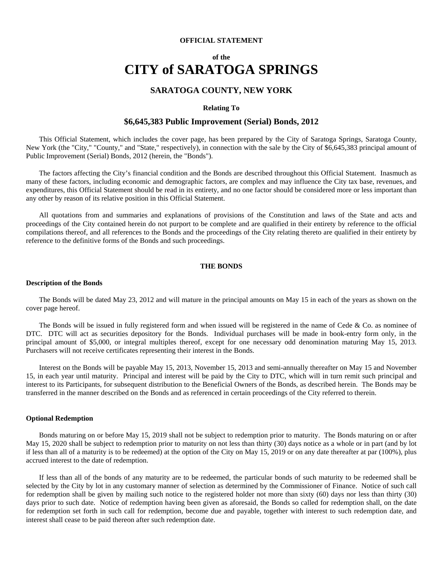## **OFFICIAL STATEMENT**

## **of the CITY of SARATOGA SPRINGS**

## **SARATOGA COUNTY, NEW YORK**

## **Relating To**

## **\$6,645,383 Public Improvement (Serial) Bonds, 2012**

 This Official Statement, which includes the cover page, has been prepared by the City of Saratoga Springs, Saratoga County, New York (the "City," "County," and "State," respectively), in connection with the sale by the City of \$6,645,383 principal amount of Public Improvement (Serial) Bonds, 2012 (herein, the "Bonds").

 The factors affecting the City's financial condition and the Bonds are described throughout this Official Statement. Inasmuch as many of these factors, including economic and demographic factors, are complex and may influence the City tax base, revenues, and expenditures, this Official Statement should be read in its entirety, and no one factor should be considered more or less important than any other by reason of its relative position in this Official Statement.

 All quotations from and summaries and explanations of provisions of the Constitution and laws of the State and acts and proceedings of the City contained herein do not purport to be complete and are qualified in their entirety by reference to the official compilations thereof, and all references to the Bonds and the proceedings of the City relating thereto are qualified in their entirety by reference to the definitive forms of the Bonds and such proceedings.

## **THE BONDS**

#### **Description of the Bonds**

 The Bonds will be dated May 23, 2012 and will mature in the principal amounts on May 15 in each of the years as shown on the cover page hereof.

 The Bonds will be issued in fully registered form and when issued will be registered in the name of Cede & Co. as nominee of DTC. DTC will act as securities depository for the Bonds. Individual purchases will be made in book-entry form only, in the principal amount of \$5,000, or integral multiples thereof, except for one necessary odd denomination maturing May 15, 2013. Purchasers will not receive certificates representing their interest in the Bonds.

 Interest on the Bonds will be payable May 15, 2013, November 15, 2013 and semi-annually thereafter on May 15 and November 15, in each year until maturity. Principal and interest will be paid by the City to DTC, which will in turn remit such principal and interest to its Participants, for subsequent distribution to the Beneficial Owners of the Bonds, as described herein. The Bonds may be transferred in the manner described on the Bonds and as referenced in certain proceedings of the City referred to therein.

#### **Optional Redemption**

 Bonds maturing on or before May 15, 2019 shall not be subject to redemption prior to maturity. The Bonds maturing on or after May 15, 2020 shall be subject to redemption prior to maturity on not less than thirty (30) days notice as a whole or in part (and by lot if less than all of a maturity is to be redeemed) at the option of the City on May 15, 2019 or on any date thereafter at par (100%), plus accrued interest to the date of redemption.

 If less than all of the bonds of any maturity are to be redeemed, the particular bonds of such maturity to be redeemed shall be selected by the City by lot in any customary manner of selection as determined by the Commissioner of Finance. Notice of such call for redemption shall be given by mailing such notice to the registered holder not more than sixty (60) days nor less than thirty (30) days prior to such date. Notice of redemption having been given as aforesaid, the Bonds so called for redemption shall, on the date for redemption set forth in such call for redemption, become due and payable, together with interest to such redemption date, and interest shall cease to be paid thereon after such redemption date.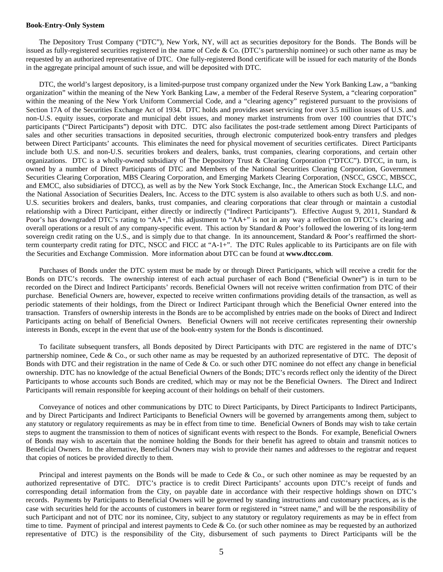#### **Book-Entry-Only System**

The Depository Trust Company ("DTC"), New York, NY, will act as securities depository for the Bonds. The Bonds will be issued as fully-registered securities registered in the name of Cede & Co. (DTC's partnership nominee) or such other name as may be requested by an authorized representative of DTC. One fully-registered Bond certificate will be issued for each maturity of the Bonds in the aggregate principal amount of such issue, and will be deposited with DTC.

DTC, the world's largest depository, is a limited-purpose trust company organized under the New York Banking Law, a "banking organization" within the meaning of the New York Banking Law, a member of the Federal Reserve System, a "clearing corporation" within the meaning of the New York Uniform Commercial Code, and a "clearing agency" registered pursuant to the provisions of Section 17A of the Securities Exchange Act of 1934. DTC holds and provides asset servicing for over 3.5 million issues of U.S. and non-U.S. equity issues, corporate and municipal debt issues, and money market instruments from over 100 countries that DTC's participants ("Direct Participants") deposit with DTC. DTC also facilitates the post-trade settlement among Direct Participants of sales and other securities transactions in deposited securities, through electronic computerized book-entry transfers and pledges between Direct Participants' accounts. This eliminates the need for physical movement of securities certificates. Direct Participants include both U.S. and non-U.S. securities brokers and dealers, banks, trust companies, clearing corporations, and certain other organizations. DTC is a wholly-owned subsidiary of The Depository Trust & Clearing Corporation ("DTCC"). DTCC, in turn, is owned by a number of Direct Participants of DTC and Members of the National Securities Clearing Corporation, Government Securities Clearing Corporation, MBS Clearing Corporation, and Emerging Markets Clearing Corporation, (NSCC, GSCC, MBSCC, and EMCC, also subsidiaries of DTCC), as well as by the New York Stock Exchange, Inc., the American Stock Exchange LLC, and the National Association of Securities Dealers, Inc. Access to the DTC system is also available to others such as both U.S. and non-U.S. securities brokers and dealers, banks, trust companies, and clearing corporations that clear through or maintain a custodial relationship with a Direct Participant, either directly or indirectly ("Indirect Participants"). Effective August 9, 2011, Standard & Poor's has downgraded DTC's rating to "AA+," this adjustment to "AA+" is not in any way a reflection on DTCC's clearing and overall operations or a result of any company-specific event. This action by Standard & Poor's followed the lowering of its long-term sovereign credit rating on the U.S., and is simply due to that change. In its announcement, Standard & Poor's reaffirmed the shortterm counterparty credit rating for DTC, NSCC and FICC at "A-1+". The DTC Rules applicable to its Participants are on file with the Securities and Exchange Commission. More information about DTC can be found at **www.dtcc.com**.

Purchases of Bonds under the DTC system must be made by or through Direct Participants, which will receive a credit for the Bonds on DTC's records. The ownership interest of each actual purchaser of each Bond ("Beneficial Owner") is in turn to be recorded on the Direct and Indirect Participants' records. Beneficial Owners will not receive written confirmation from DTC of their purchase. Beneficial Owners are, however, expected to receive written confirmations providing details of the transaction, as well as periodic statements of their holdings, from the Direct or Indirect Participant through which the Beneficial Owner entered into the transaction. Transfers of ownership interests in the Bonds are to be accomplished by entries made on the books of Direct and Indirect Participants acting on behalf of Beneficial Owners. Beneficial Owners will not receive certificates representing their ownership interests in Bonds, except in the event that use of the book-entry system for the Bonds is discontinued.

 To facilitate subsequent transfers, all Bonds deposited by Direct Participants with DTC are registered in the name of DTC's partnership nominee, Cede & Co., or such other name as may be requested by an authorized representative of DTC. The deposit of Bonds with DTC and their registration in the name of Cede & Co. or such other DTC nominee do not effect any change in beneficial ownership. DTC has no knowledge of the actual Beneficial Owners of the Bonds; DTC's records reflect only the identity of the Direct Participants to whose accounts such Bonds are credited, which may or may not be the Beneficial Owners. The Direct and Indirect Participants will remain responsible for keeping account of their holdings on behalf of their customers.

Conveyance of notices and other communications by DTC to Direct Participants, by Direct Participants to Indirect Participants, and by Direct Participants and Indirect Participants to Beneficial Owners will be governed by arrangements among them, subject to any statutory or regulatory requirements as may be in effect from time to time. Beneficial Owners of Bonds may wish to take certain steps to augment the transmission to them of notices of significant events with respect to the Bonds. For example, Beneficial Owners of Bonds may wish to ascertain that the nominee holding the Bonds for their benefit has agreed to obtain and transmit notices to Beneficial Owners. In the alternative, Beneficial Owners may wish to provide their names and addresses to the registrar and request that copies of notices be provided directly to them.

Principal and interest payments on the Bonds will be made to Cede & Co., or such other nominee as may be requested by an authorized representative of DTC. DTC's practice is to credit Direct Participants' accounts upon DTC's receipt of funds and corresponding detail information from the City, on payable date in accordance with their respective holdings shown on DTC's records. Payments by Participants to Beneficial Owners will be governed by standing instructions and customary practices, as is the case with securities held for the accounts of customers in bearer form or registered in "street name," and will be the responsibility of such Participant and not of DTC nor its nominee, City, subject to any statutory or regulatory requirements as may be in effect from time to time. Payment of principal and interest payments to Cede  $\&$  Co. (or such other nominee as may be requested by an authorized representative of DTC) is the responsibility of the City, disbursement of such payments to Direct Participants will be the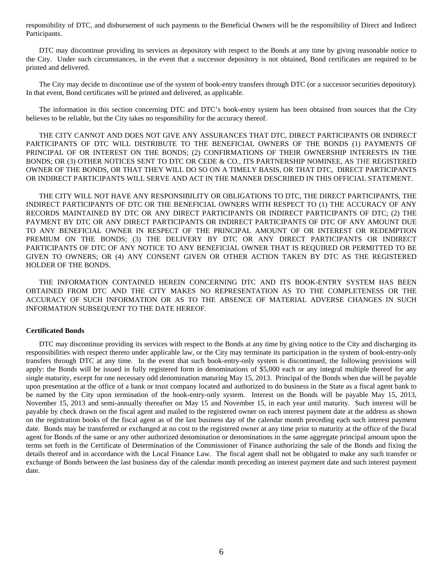responsibility of DTC, and disbursement of such payments to the Beneficial Owners will be the responsibility of Direct and Indirect Participants.

DTC may discontinue providing its services as depository with respect to the Bonds at any time by giving reasonable notice to the City. Under such circumstances, in the event that a successor depository is not obtained, Bond certificates are required to be printed and delivered.

The City may decide to discontinue use of the system of book-entry transfers through DTC (or a successor securities depository). In that event, Bond certificates will be printed and delivered, as applicable.

The information in this section concerning DTC and DTC's book-entry system has been obtained from sources that the City believes to be reliable, but the City takes no responsibility for the accuracy thereof.

THE CITY CANNOT AND DOES NOT GIVE ANY ASSURANCES THAT DTC, DIRECT PARTICIPANTS OR INDIRECT PARTICIPANTS OF DTC WILL DISTRIBUTE TO THE BENEFICIAL OWNERS OF THE BONDS (1) PAYMENTS OF PRINCIPAL OF OR INTEREST ON THE BONDS; (2) CONFIRMATIONS OF THEIR OWNERSHIP INTERESTS IN THE BONDS; OR (3) OTHER NOTICES SENT TO DTC OR CEDE & CO., ITS PARTNERSHIP NOMINEE, AS THE REGISTERED OWNER OF THE BONDS, OR THAT THEY WILL DO SO ON A TIMELY BASIS, OR THAT DTC, DIRECT PARTICIPANTS OR INDIRECT PARTICIPANTS WILL SERVE AND ACT IN THE MANNER DESCRIBED IN THIS OFFICIAL STATEMENT.

THE CITY WILL NOT HAVE ANY RESPONSIBILITY OR OBLIGATIONS TO DTC, THE DIRECT PARTICIPANTS, THE INDIRECT PARTICIPANTS OF DTC OR THE BENEFICIAL OWNERS WITH RESPECT TO (1) THE ACCURACY OF ANY RECORDS MAINTAINED BY DTC OR ANY DIRECT PARTICIPANTS OR INDIRECT PARTICIPANTS OF DTC; (2) THE PAYMENT BY DTC OR ANY DIRECT PARTICIPANTS OR INDIRECT PARTICIPANTS OF DTC OF ANY AMOUNT DUE TO ANY BENEFICIAL OWNER IN RESPECT OF THE PRINCIPAL AMOUNT OF OR INTEREST OR REDEMPTION PREMIUM ON THE BONDS; (3) THE DELIVERY BY DTC OR ANY DIRECT PARTICIPANTS OR INDIRECT PARTICIPANTS OF DTC OF ANY NOTICE TO ANY BENEFICIAL OWNER THAT IS REQUIRED OR PERMITTED TO BE GIVEN TO OWNERS; OR (4) ANY CONSENT GIVEN OR OTHER ACTION TAKEN BY DTC AS THE REGISTERED HOLDER OF THE BONDS.

THE INFORMATION CONTAINED HEREIN CONCERNING DTC AND ITS BOOK-ENTRY SYSTEM HAS BEEN OBTAINED FROM DTC AND THE CITY MAKES NO REPRESENTATION AS TO THE COMPLETENESS OR THE ACCURACY OF SUCH INFORMATION OR AS TO THE ABSENCE OF MATERIAL ADVERSE CHANGES IN SUCH INFORMATION SUBSEQUENT TO THE DATE HEREOF.

## **Certificated Bonds**

 DTC may discontinue providing its services with respect to the Bonds at any time by giving notice to the City and discharging its responsibilities with respect thereto under applicable law, or the City may terminate its participation in the system of book-entry-only transfers through DTC at any time. In the event that such book-entry-only system is discontinued, the following provisions will apply: the Bonds will be issued in fully registered form in denominations of \$5,000 each or any integral multiple thereof for any single maturity, except for one necessary odd denomination maturing May 15, 2013. Principal of the Bonds when due will be payable upon presentation at the office of a bank or trust company located and authorized to do business in the State as a fiscal agent bank to be named by the City upon termination of the book-entry-only system. Interest on the Bonds will be payable May 15, 2013, November 15, 2013 and semi-annually thereafter on May 15 and November 15, in each year until maturity. Such interest will be payable by check drawn on the fiscal agent and mailed to the registered owner on each interest payment date at the address as shown on the registration books of the fiscal agent as of the last business day of the calendar month preceding each such interest payment date. Bonds may be transferred or exchanged at no cost to the registered owner at any time prior to maturity at the office of the fiscal agent for Bonds of the same or any other authorized denomination or denominations in the same aggregate principal amount upon the terms set forth in the Certificate of Determination of the Commissioner of Finance authorizing the sale of the Bonds and fixing the details thereof and in accordance with the Local Finance Law. The fiscal agent shall not be obligated to make any such transfer or exchange of Bonds between the last business day of the calendar month preceding an interest payment date and such interest payment date.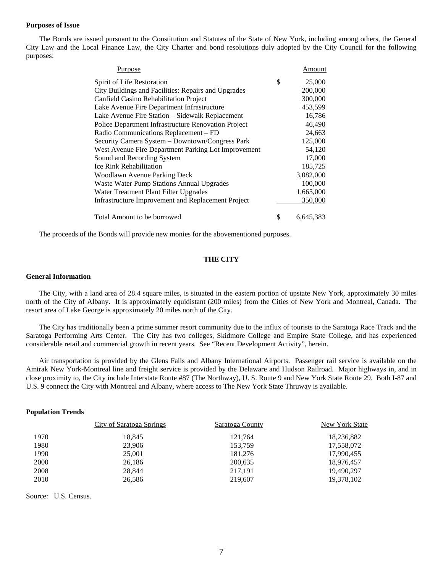#### **Purposes of Issue**

 The Bonds are issued pursuant to the Constitution and Statutes of the State of New York, including among others, the General City Law and the Local Finance Law, the City Charter and bond resolutions duly adopted by the City Council for the following purposes:

| Purpose                                             | Amount          |
|-----------------------------------------------------|-----------------|
| Spirit of Life Restoration                          | \$<br>25,000    |
| City Buildings and Facilities: Repairs and Upgrades | 200,000         |
| Canfield Casino Rehabilitation Project              | 300,000         |
| Lake Avenue Fire Department Infrastructure          | 453,599         |
| Lake Avenue Fire Station – Sidewalk Replacement     | 16,786          |
| Police Department Infrastructure Renovation Project | 46,490          |
| Radio Communications Replacement - FD               | 24,663          |
| Security Camera System – Downtown/Congress Park     | 125,000         |
| West Avenue Fire Department Parking Lot Improvement | 54,120          |
| Sound and Recording System                          | 17,000          |
| <b>Ice Rink Rehabilitation</b>                      | 185,725         |
| Woodlawn Avenue Parking Deck                        | 3,082,000       |
| Waste Water Pump Stations Annual Upgrades           | 100,000         |
| Water Treatment Plant Filter Upgrades               | 1,665,000       |
| Infrastructure Improvement and Replacement Project  | 350,000         |
| Total Amount to be borrowed                         | \$<br>6,645,383 |

The proceeds of the Bonds will provide new monies for the abovementioned purposes.

## **THE CITY**

#### **General Information**

 The City, with a land area of 28.4 square miles, is situated in the eastern portion of upstate New York, approximately 30 miles north of the City of Albany. It is approximately equidistant (200 miles) from the Cities of New York and Montreal, Canada. The resort area of Lake George is approximately 20 miles north of the City.

 The City has traditionally been a prime summer resort community due to the influx of tourists to the Saratoga Race Track and the Saratoga Performing Arts Center. The City has two colleges, Skidmore College and Empire State College, and has experienced considerable retail and commercial growth in recent years. See "Recent Development Activity", herein.

 Air transportation is provided by the Glens Falls and Albany International Airports. Passenger rail service is available on the Amtrak New York-Montreal line and freight service is provided by the Delaware and Hudson Railroad. Major highways in, and in close proximity to, the City include Interstate Route #87 (The Northway), U. S. Route 9 and New York State Route 29. Both I-87 and U.S. 9 connect the City with Montreal and Albany, where access to The New York State Thruway is available.

#### **Population Trends**

|      | <b>City of Saratoga Springs</b> | Saratoga County | New York State |
|------|---------------------------------|-----------------|----------------|
| 1970 | 18.845                          | 121,764         | 18,236,882     |
| 1980 | 23,906                          | 153,759         | 17,558,072     |
| 1990 | 25,001                          | 181,276         | 17,990,455     |
| 2000 | 26.186                          | 200,635         | 18,976,457     |
| 2008 | 28.844                          | 217,191         | 19,490,297     |
| 2010 | 26,586                          | 219,607         | 19,378,102     |

Source: U.S. Census.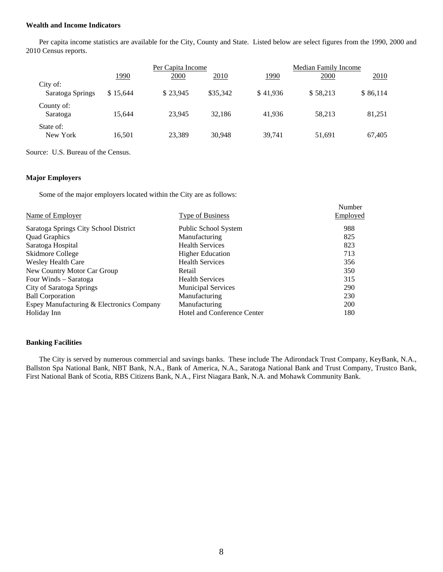## **Wealth and Income Indicators**

Per capita income statistics are available for the City, County and State. Listed below are select figures from the 1990, 2000 and 2010 Census reports.

|                              |             | Per Capita Income |          |             | <b>Median Family Income</b> |          |
|------------------------------|-------------|-------------------|----------|-------------|-----------------------------|----------|
|                              | <u>1990</u> | 2000              | 2010     | <u>1990</u> | 2000                        | 2010     |
| City of:<br>Saratoga Springs | \$15.644    | \$23,945          | \$35,342 | \$41,936    | \$58,213                    | \$86,114 |
| County of:<br>Saratoga       | 15.644      | 23.945            | 32.186   | 41.936      | 58,213                      | 81,251   |
| State of:<br>New York        | 16,501      | 23.389            | 30.948   | 39.741      | 51.691                      | 67,405   |

Source: U.S. Bureau of the Census.

## **Major Employers**

Some of the major employers located within the City are as follows:

|                                           |                             | Number   |
|-------------------------------------------|-----------------------------|----------|
| Name of Employer                          | Type of Business            | Employed |
| Saratoga Springs City School District     | Public School System        | 988      |
| <b>Quad Graphics</b>                      | Manufacturing               | 825      |
| Saratoga Hospital                         | <b>Health Services</b>      | 823      |
| Skidmore College                          | <b>Higher Education</b>     | 713      |
| <b>Wesley Health Care</b>                 | <b>Health Services</b>      | 356      |
| New Country Motor Car Group               | Retail                      | 350      |
| Four Winds – Saratoga                     | <b>Health Services</b>      | 315      |
| City of Saratoga Springs                  | <b>Municipal Services</b>   | 290      |
| <b>Ball Corporation</b>                   | Manufacturing               | 230      |
| Espey Manufacturing & Electronics Company | Manufacturing               | 200      |
| Holiday Inn                               | Hotel and Conference Center | 180      |

## **Banking Facilities**

The City is served by numerous commercial and savings banks. These include The Adirondack Trust Company, KeyBank, N.A., Ballston Spa National Bank, NBT Bank, N.A., Bank of America, N.A., Saratoga National Bank and Trust Company, Trustco Bank, First National Bank of Scotia, RBS Citizens Bank, N.A., First Niagara Bank, N.A. and Mohawk Community Bank.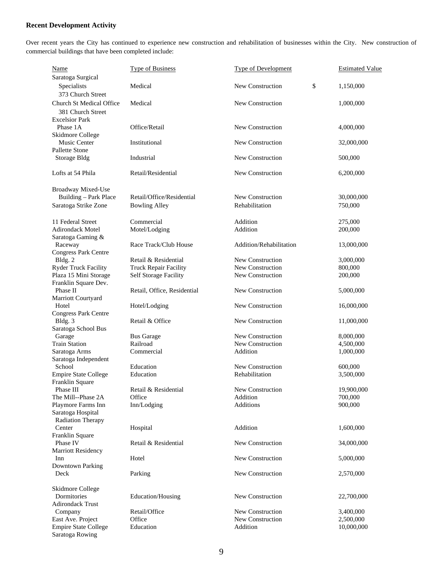## **Recent Development Activity**

Saratoga Rowing

Over recent years the City has continued to experience new construction and rehabilitation of businesses within the City. New construction of commercial buildings that have been completed include:

| Name                                                         | <b>Type of Business</b>      | <b>Type of Development</b> | <b>Estimated Value</b> |
|--------------------------------------------------------------|------------------------------|----------------------------|------------------------|
| Saratoga Surgical<br>Specialists                             | Medical                      | New Construction           | \$<br>1,150,000        |
| 373 Church Street                                            |                              |                            |                        |
| <b>Church St Medical Office</b><br>381 Church Street         | Medical                      | New Construction           | 1,000,000              |
| <b>Excelsior Park</b><br>Phase 1A                            | Office/Retail                | New Construction           | 4,000,000              |
| Skidmore College<br>Music Center<br><b>Pallette Stone</b>    | Institutional                | New Construction           | 32,000,000             |
| <b>Storage Bldg</b>                                          | Industrial                   | New Construction           | 500,000                |
| Lofts at 54 Phila                                            | Retail/Residential           | New Construction           | 6,200,000              |
| <b>Broadway Mixed-Use</b>                                    |                              |                            |                        |
| Building - Park Place                                        | Retail/Office/Residential    | New Construction           | 30,000,000             |
| Saratoga Strike Zone                                         | <b>Bowling Alley</b>         | Rehabilitation             | 750,000                |
| 11 Federal Street                                            | Commercial                   | Addition                   | 275,000                |
| <b>Adirondack Motel</b><br>Saratoga Gaming &                 | Motel/Lodging                | Addition                   | 200,000                |
| Raceway                                                      | Race Track/Club House        | Addition/Rehabilitation    | 13,000,000             |
| <b>Congress Park Centre</b>                                  |                              |                            |                        |
| Bldg. 2                                                      | Retail & Residential         | New Construction           | 3,000,000              |
| <b>Ryder Truck Facility</b>                                  | <b>Truck Repair Facility</b> | New Construction           | 800,000                |
| Plaza 15 Mini Storage                                        | Self Storage Facility        | New Construction           | 200,000                |
| Franklin Square Dev.<br>Phase II                             | Retail, Office, Residential  | New Construction           | 5,000,000              |
| Marriott Courtyard<br>Hotel                                  | Hotel/Lodging                | New Construction           | 16,000,000             |
| <b>Congress Park Centre</b>                                  |                              |                            |                        |
| Bldg. 3<br>Saratoga School Bus                               | Retail & Office              | New Construction           | 11,000,000             |
| Garage                                                       | <b>Bus Garage</b>            | New Construction           | 8,000,000              |
| <b>Train Station</b>                                         | Railroad                     | New Construction           | 4,500,000              |
| Saratoga Arms                                                | Commercial                   | Addition                   | 1,000,000              |
| Saratoga Independent                                         |                              |                            |                        |
| School                                                       | Education                    | New Construction           | 600,000                |
| <b>Empire State College</b><br>Franklin Square               | Education                    | Rehabilitation             | 3,500,000              |
| Phase III                                                    | Retail & Residential         | New Construction           | 19,900,000             |
| The Mill--Phase 2A                                           | Office                       | Addition                   | 700,000                |
| Playmore Farms Inn<br>Saratoga Hospital<br>Radiation Therapy | Inn/Lodging                  | Additions                  | 900,000                |
| Center<br>Franklin Square                                    | Hospital                     | Addition                   | 1,600,000              |
| Phase IV<br><b>Marriott Residency</b>                        | Retail & Residential         | New Construction           | 34,000,000             |
| Inn<br>Downtown Parking                                      | Hotel                        | New Construction           | 5,000,000              |
| Deck                                                         | Parking                      | New Construction           | 2,570,000              |
| Skidmore College<br>Dormitories                              | Education/Housing            | New Construction           | 22,700,000             |
| <b>Adirondack Trust</b><br>Company                           | Retail/Office                | New Construction           | 3,400,000              |
| East Ave. Project                                            | Office                       | New Construction           | 2,500,000              |
|                                                              | Education                    |                            |                        |
| <b>Empire State College</b>                                  |                              | Addition                   | 10,000,000             |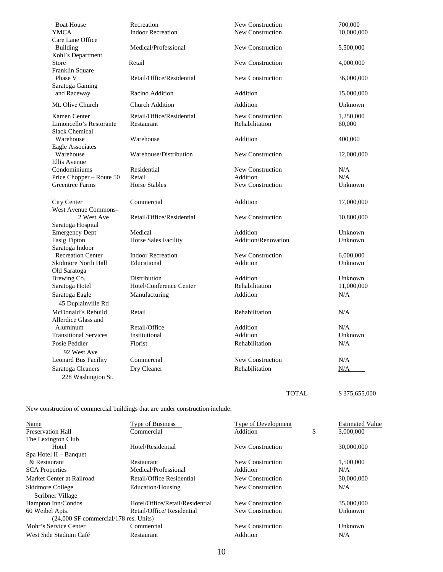| <b>Boat House</b>                                 | Recreation                  | New Construction           | 700,000    |
|---------------------------------------------------|-----------------------------|----------------------------|------------|
| <b>YMCA</b>                                       | <b>Indoor Recreation</b>    | <b>New Construction</b>    | 10,000,000 |
| Care Lane Office<br>Building<br>Kohl's Department | Medical/Professional        | New Construction           | 5,500,000  |
| Store<br>Franklin Square                          | Retail                      | New Construction           | 4,000,000  |
| Phase V<br>Saratoga Gaming                        | Retail/Office/Residential   | New Construction           | 36,000,000 |
| and Raceway                                       | Racino Addition             | Addition                   | 15,000,000 |
| Mt. Olive Church                                  | Church Addition             | Addition                   | Unknown    |
| Kamen Center                                      | Retail/Office/Residential   | New Construction           | 1,250,000  |
| Limoncello's Restorante<br><b>Slack Chemical</b>  | Restaurant                  | Rehabilitation             | 60,000     |
| Warehouse<br>Eagle Associates                     | Warehouse                   | Addition                   | 400,000    |
| Warehouse<br>Ellis Avenue                         | Warehouse/Distribution      | New Construction           | 12,000,000 |
| Condominiums                                      | Residential                 | New Construction           | N/A        |
| Price Chopper - Route 50                          | Retail                      | Addition                   | N/A        |
| <b>Greentree Farms</b>                            | <b>Horse Stables</b>        | New Construction           | Unknown    |
| City Center                                       | Commercial                  | Addition                   | 17,000,000 |
| <b>West Avenue Commons-</b><br>2 West Ave         | Retail/Office/Residential   | New Construction           | 10,800,000 |
| Saratoga Hospital                                 |                             |                            |            |
| <b>Emergency Dept</b>                             | Medical                     | Addition                   | Unknown    |
| Fasig Tipton<br>Saratoga Indoor                   | <b>Horse Sales Facility</b> | <b>Addition/Renovation</b> | Unknown    |
| <b>Recreation Center</b>                          | <b>Indoor Recreation</b>    | New Construction           | 6,000,000  |
| <b>Skidmore North Hall</b><br>Old Saratoga        | Educational                 | Addition                   | Unknown    |
| Brewing Co.                                       | Distribution                | Addition                   | Unknown    |
| Saratoga Hotel                                    | Hotel/Conference Center     | Rehabilitation             | 11,000,000 |
| Saratoga Eagle<br>45 Duplainville Rd              | Manufacturing               | Addition                   | N/A        |
| McDonald's Rebuild<br>Allerdice Glass and         | Retail                      | Rehabilitation             | N/A        |
| Aluminum                                          | Retail/Office               | Addition                   | N/A        |
| <b>Transitional Services</b>                      | Institutional               | Addition                   | Unknown    |
| Posie Peddler                                     | Florist                     | Rehabilitation             | N/A        |
| 92 West Ave                                       |                             |                            |            |
| Leonard Bus Facility                              | Commercial                  | New Construction           | N/A        |
| Saratoga Cleaners                                 | Dry Cleaner                 | Rehabilitation             | N/A        |
| 228 Washington St.                                |                             |                            |            |

TOTAL \$375,655,000

New construction of commercial buildings that are under construction include:

| Name                                                    | <b>Type of Business</b>         | Type of Development | <b>Estimated Value</b> |
|---------------------------------------------------------|---------------------------------|---------------------|------------------------|
| Preservation Hall                                       | Commercial                      | Addition            | \$<br>3,000,000        |
| The Lexington Club                                      |                                 |                     |                        |
| Hotel                                                   | Hotel/Residential               | New Construction    | 30,000,000             |
| $Spa$ Hotel II – Banquet                                |                                 |                     |                        |
| & Restaurant                                            | Restaurant                      | New Construction    | 1.500.000              |
| <b>SCA</b> Properties                                   | Medical/Professional            | Addition            | N/A                    |
| Market Center at Railroad                               | Retail/Office Residential       | New Construction    | 30,000,000             |
| Skidmore College                                        | Education/Housing               | New Construction    | N/A                    |
| Scribner Village                                        |                                 |                     |                        |
| Hampton Inn/Condos                                      | Hotel/Office/Retail/Residential | New Construction    | 35,000,000             |
| 60 Weibel Apts.                                         | Retail/Office/ Residential      | New Construction    | Unknown                |
| $(24,000 \text{ SF commercial}/178 \text{ res. Units})$ |                                 |                     |                        |
| Mohr's Service Center                                   | Commercial                      | New Construction    | Unknown                |
| West Side Stadium Café                                  | Restaurant                      | Addition            | N/A                    |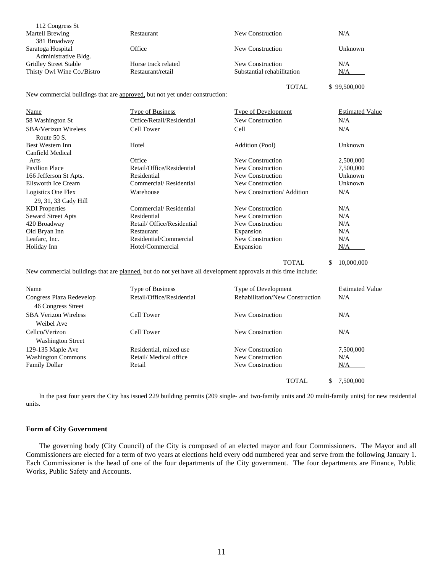| 112 Congress St              |                                                                                                                |                                 |                        |
|------------------------------|----------------------------------------------------------------------------------------------------------------|---------------------------------|------------------------|
| <b>Martell Brewing</b>       | Restaurant                                                                                                     | New Construction                | N/A                    |
| 381 Broadway                 |                                                                                                                |                                 |                        |
| Saratoga Hospital            | Office                                                                                                         | New Construction                | Unknown                |
| Administrative Bldg.         |                                                                                                                |                                 |                        |
| <b>Gridley Street Stable</b> | Horse track related                                                                                            | New Construction                | N/A                    |
| Thisty Owl Wine Co./Bistro   | Restaurant/retail                                                                                              | Substantial rehabilitation      | N/A                    |
|                              |                                                                                                                |                                 |                        |
|                              |                                                                                                                | <b>TOTAL</b>                    | \$99,500,000           |
|                              | New commercial buildings that are approved, but not yet under construction:                                    |                                 |                        |
| Name                         | <b>Type of Business</b>                                                                                        | <b>Type of Development</b>      | <b>Estimated Value</b> |
| 58 Washington St             | Office/Retail/Residential                                                                                      | New Construction                | N/A                    |
| <b>SBA/Verizon Wireless</b>  | Cell Tower                                                                                                     | Cell                            | N/A                    |
| Route 50 S.                  |                                                                                                                |                                 |                        |
| Best Western Inn             | Hotel                                                                                                          | Addition (Pool)                 | Unknown                |
| Canfield Medical             |                                                                                                                |                                 |                        |
| Arts                         | Office                                                                                                         | New Construction                | 2,500,000              |
| <b>Pavilion Place</b>        | Retail/Office/Residential                                                                                      | New Construction                | 7,500,000              |
| 166 Jefferson St Apts.       | Residential                                                                                                    | New Construction                | Unknown                |
| Ellsworth Ice Cream          | Commercial/Residential                                                                                         | New Construction                | Unknown                |
| Logistics One Flex           | Warehouse                                                                                                      | New Construction/Addition       | N/A                    |
| 29, 31, 33 Cady Hill         |                                                                                                                |                                 |                        |
| <b>KDI</b> Properties        | Commercial/Residential                                                                                         | New Construction                | N/A                    |
| <b>Seward Street Apts</b>    | Residential                                                                                                    | New Construction                | N/A                    |
| 420 Broadway                 | Retail/ Office/Residential                                                                                     | New Construction                | N/A                    |
| Old Bryan Inn                | Restaurant                                                                                                     | Expansion                       | N/A                    |
| Leafarc, Inc.                | Residential/Commercial                                                                                         | New Construction                | N/A                    |
| Holiday Inn                  | Hotel/Commercial                                                                                               | Expansion                       | N/A                    |
|                              |                                                                                                                |                                 |                        |
|                              |                                                                                                                | <b>TOTAL</b>                    | \$<br>10,000,000       |
|                              | New commercial buildings that are planned, but do not yet have all development approvals at this time include: |                                 |                        |
| Name                         | Type of Business                                                                                               | Type of Development             | <b>Estimated Value</b> |
| Congress Plaza Redevelop     | Retail/Office/Residential                                                                                      | Rehabilitation/New Construction | N/A                    |
| 46 Congress Street           |                                                                                                                |                                 |                        |
| <b>SBA Verizon Wireless</b>  | Cell Tower                                                                                                     | New Construction                | N/A                    |
|                              |                                                                                                                |                                 |                        |
| Weibel Ave                   |                                                                                                                |                                 |                        |
| Cellco/Verizon               | Cell Tower                                                                                                     | New Construction                | N/A                    |
| <b>Washington Street</b>     |                                                                                                                |                                 |                        |
| 129-135 Maple Ave            | Residential, mixed use                                                                                         | New Construction                | 7,500,000              |
| <b>Washington Commons</b>    | Retail/Medical office                                                                                          | New Construction                | N/A                    |
| Family Dollar                | Retail                                                                                                         | New Construction                | N/A                    |
|                              |                                                                                                                | <b>TOTAL</b>                    | \$<br>7,500,000        |

In the past four years the City has issued 229 building permits (209 single- and two-family units and 20 multi-family units) for new residential units.

## **Form of City Government**

 The governing body (City Council) of the City is composed of an elected mayor and four Commissioners. The Mayor and all Commissioners are elected for a term of two years at elections held every odd numbered year and serve from the following January 1. Each Commissioner is the head of one of the four departments of the City government. The four departments are Finance, Public Works, Public Safety and Accounts.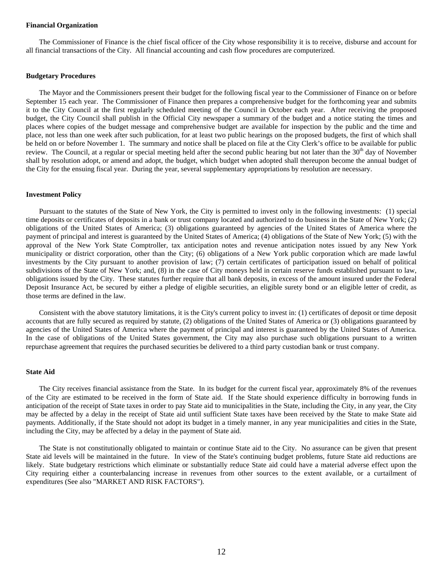#### **Financial Organization**

 The Commissioner of Finance is the chief fiscal officer of the City whose responsibility it is to receive, disburse and account for all financial transactions of the City. All financial accounting and cash flow procedures are computerized.

#### **Budgetary Procedures**

 The Mayor and the Commissioners present their budget for the following fiscal year to the Commissioner of Finance on or before September 15 each year. The Commissioner of Finance then prepares a comprehensive budget for the forthcoming year and submits it to the City Council at the first regularly scheduled meeting of the Council in October each year. After receiving the proposed budget, the City Council shall publish in the Official City newspaper a summary of the budget and a notice stating the times and places where copies of the budget message and comprehensive budget are available for inspection by the public and the time and place, not less than one week after such publication, for at least two public hearings on the proposed budgets, the first of which shall be held on or before November 1. The summary and notice shall be placed on file at the City Clerk's office to be available for public review. The Council, at a regular or special meeting held after the second public hearing but not later than the 30<sup>th</sup> day of November shall by resolution adopt, or amend and adopt, the budget, which budget when adopted shall thereupon become the annual budget of the City for the ensuing fiscal year. During the year, several supplementary appropriations by resolution are necessary.

#### **Investment Policy**

 Pursuant to the statutes of the State of New York, the City is permitted to invest only in the following investments: (1) special time deposits or certificates of deposits in a bank or trust company located and authorized to do business in the State of New York; (2) obligations of the United States of America; (3) obligations guaranteed by agencies of the United States of America where the payment of principal and interest is guaranteed by the United States of America; (4) obligations of the State of New York; (5) with the approval of the New York State Comptroller, tax anticipation notes and revenue anticipation notes issued by any New York municipality or district corporation, other than the City; (6) obligations of a New York public corporation which are made lawful investments by the City pursuant to another provision of law; (7) certain certificates of participation issued on behalf of political subdivisions of the State of New York; and, (8) in the case of City moneys held in certain reserve funds established pursuant to law, obligations issued by the City. These statutes further require that all bank deposits, in excess of the amount insured under the Federal Deposit Insurance Act, be secured by either a pledge of eligible securities, an eligible surety bond or an eligible letter of credit, as those terms are defined in the law.

 Consistent with the above statutory limitations, it is the City's current policy to invest in: (1) certificates of deposit or time deposit accounts that are fully secured as required by statute, (2) obligations of the United States of America or (3) obligations guaranteed by agencies of the United States of America where the payment of principal and interest is guaranteed by the United States of America. In the case of obligations of the United States government, the City may also purchase such obligations pursuant to a written repurchase agreement that requires the purchased securities be delivered to a third party custodian bank or trust company.

## **State Aid**

 The City receives financial assistance from the State. In its budget for the current fiscal year, approximately 8% of the revenues of the City are estimated to be received in the form of State aid. If the State should experience difficulty in borrowing funds in anticipation of the receipt of State taxes in order to pay State aid to municipalities in the State, including the City, in any year, the City may be affected by a delay in the receipt of State aid until sufficient State taxes have been received by the State to make State aid payments. Additionally, if the State should not adopt its budget in a timely manner, in any year municipalities and cities in the State, including the City, may be affected by a delay in the payment of State aid.

 The State is not constitutionally obligated to maintain or continue State aid to the City. No assurance can be given that present State aid levels will be maintained in the future. In view of the State's continuing budget problems, future State aid reductions are likely. State budgetary restrictions which eliminate or substantially reduce State aid could have a material adverse effect upon the City requiring either a counterbalancing increase in revenues from other sources to the extent available, or a curtailment of expenditures (See also "MARKET AND RISK FACTORS").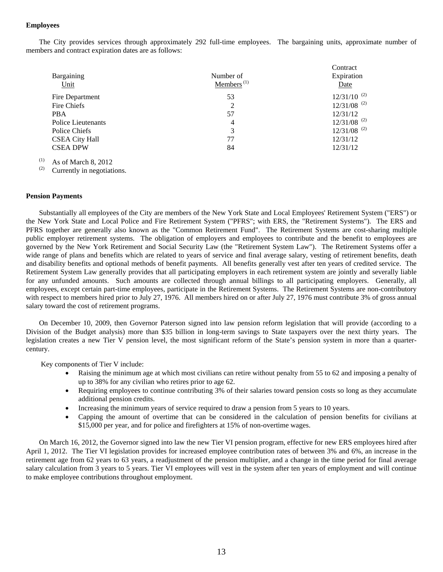## **Employees**

 The City provides services through approximately 292 full-time employees. The bargaining units, approximate number of members and contract expiration dates are as follows:

| Bargaining<br>Unit    | Number of<br>Members <sup><math>(1)</math></sup> | Contract<br>Expiration<br>Date |
|-----------------------|--------------------------------------------------|--------------------------------|
| Fire Department       | 53                                               | $12/31/10^{(2)}$               |
| Fire Chiefs           | 2                                                | $12/31/08$ <sup>(2)</sup>      |
| <b>PBA</b>            | 57                                               | 12/31/12                       |
| Police Lieutenants    | 4                                                | $12/31/08$ <sup>(2)</sup>      |
| Police Chiefs         | 3                                                | $12/31/08$ <sup>(2)</sup>      |
| <b>CSEA City Hall</b> | 77                                               | 12/31/12                       |
| <b>CSEA DPW</b>       | 84                                               | 12/31/12                       |

 $\begin{array}{cc}\n\text{(1)} & \text{As of March 8, } 2012 \\
\text{(2)} & \text{Cymmetry} \\
\end{array}$ 

Currently in negotiations.

## **Pension Payments**

 Substantially all employees of the City are members of the New York State and Local Employees' Retirement System ("ERS") or the New York State and Local Police and Fire Retirement System ("PFRS"; with ERS, the "Retirement Systems"). The ERS and PFRS together are generally also known as the "Common Retirement Fund". The Retirement Systems are cost-sharing multiple public employer retirement systems. The obligation of employers and employees to contribute and the benefit to employees are governed by the New York Retirement and Social Security Law (the "Retirement System Law"). The Retirement Systems offer a wide range of plans and benefits which are related to years of service and final average salary, vesting of retirement benefits, death and disability benefits and optional methods of benefit payments. All benefits generally vest after ten years of credited service. The Retirement System Law generally provides that all participating employers in each retirement system are jointly and severally liable for any unfunded amounts. Such amounts are collected through annual billings to all participating employers. Generally, all employees, except certain part-time employees, participate in the Retirement Systems. The Retirement Systems are non-contributory with respect to members hired prior to July 27, 1976. All members hired on or after July 27, 1976 must contribute 3% of gross annual salary toward the cost of retirement programs.

On December 10, 2009, then Governor Paterson signed into law pension reform legislation that will provide (according to a Division of the Budget analysis) more than \$35 billion in long-term savings to State taxpayers over the next thirty years. The legislation creates a new Tier V pension level, the most significant reform of the State's pension system in more than a quartercentury.

Key components of Tier V include:

- Raising the minimum age at which most civilians can retire without penalty from 55 to 62 and imposing a penalty of up to 38% for any civilian who retires prior to age 62.
- Requiring employees to continue contributing 3% of their salaries toward pension costs so long as they accumulate additional pension credits.
- Increasing the minimum years of service required to draw a pension from 5 years to 10 years.
- Capping the amount of overtime that can be considered in the calculation of pension benefits for civilians at \$15,000 per year, and for police and firefighters at 15% of non-overtime wages.

On March 16, 2012, the Governor signed into law the new Tier VI pension program, effective for new ERS employees hired after April 1, 2012. The Tier VI legislation provides for increased employee contribution rates of between 3% and 6%, an increase in the retirement age from 62 years to 63 years, a readjustment of the pension multiplier, and a change in the time period for final average salary calculation from 3 years to 5 years. Tier VI employees will vest in the system after ten years of employment and will continue to make employee contributions throughout employment.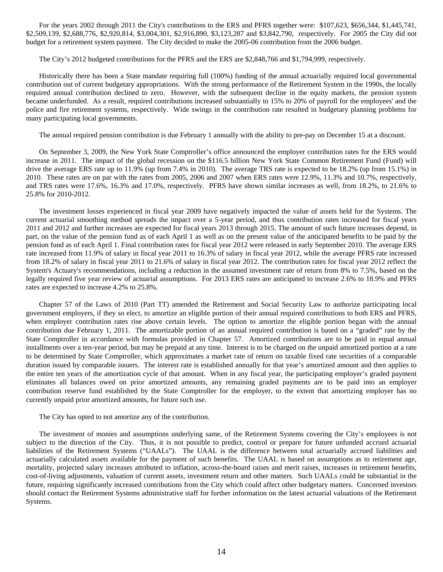For the years 2002 through 2011 the City's contributions to the ERS and PFRS together were: \$107,623, \$656,344, \$1,445,741, \$2,509,139, \$2,688,776, \$2,920,814, \$3,004,301, \$2,916,890, \$3,123,287 and \$3,842,790, respectively. For 2005 the City did not budget for a retirement system payment. The City decided to make the 2005-06 contribution from the 2006 budget.

The City's 2012 budgeted contributions for the PFRS and the ERS are \$2,848,766 and \$1,794,999, respectively.

 Historically there has been a State mandate requiring full (100%) funding of the annual actuarially required local governmental contribution out of current budgetary appropriations. With the strong performance of the Retirement System in the 1990s, the locally required annual contribution declined to zero. However, with the subsequent decline in the equity markets, the pension system became underfunded. As a result, required contributions increased substantially to 15% to 20% of payroll for the employees' and the police and fire retirement systems, respectively. Wide swings in the contribution rate resulted in budgetary planning problems for many participating local governments.

The annual required pension contribution is due February 1 annually with the ability to pre-pay on December 15 at a discount.

 On September 3, 2009, the New York State Comptroller's office announced the employer contribution rates for the ERS would increase in 2011. The impact of the global recession on the \$116.5 billion New York State Common Retirement Fund (Fund) will drive the average ERS rate up to 11.9% (up from 7.4% in 2010). The average TRS rate is expected to be 18.2% (up from 15.1%) in 2010. These rates are on par with the rates from 2005, 2006 and 2007 when ERS rates were 12.9%, 11.3% and 10.7%, respectively, and TRS rates were 17.6%, 16.3% and 17.0%, respectively. PFRS have shown similar increases as well, from 18.2%, to 21.6% to 25.8% for 2010-2012.

 The investment losses experienced in fiscal year 2009 have negatively impacted the value of assets held for the Systems. The current actuarial smoothing method spreads the impact over a 5-year period, and thus contribution rates increased for fiscal years 2011 and 2012 and further increases are expected for fiscal years 2013 through 2015. The amount of such future increases depend, in part, on the value of the pension fund as of each April 1 as well as on the present value of the anticipated benefits to be paid by the pension fund as of each April 1. Final contribution rates for fiscal year 2012 were released in early September 2010. The average ERS rate increased from 11.9% of salary in fiscal year 2011 to 16.3% of salary in fiscal year 2012, while the average PFRS rate increased from 18.2% of salary in fiscal year 2011 to 21.6% of salary in fiscal year 2012. The contribution rates for fiscal year 2012 reflect the System's Actuary's recommendations, including a reduction in the assumed investment rate of return from 8% to 7.5%, based on the legally required five year review of actuarial assumptions. For 2013 ERS rates are anticipated to increase 2.6% to 18.9% and PFRS rates are expected to increase 4.2% to 25.8%.

 Chapter 57 of the Laws of 2010 (Part TT) amended the Retirement and Social Security Law to authorize participating local government employers, if they so elect, to amortize an eligible portion of their annual required contributions to both ERS and PFRS, when employer contribution rates rise above certain levels. The option to amortize the eligible portion began with the annual contribution due February 1, 2011. The amortizable portion of an annual required contribution is based on a "graded" rate by the State Comptroller in accordance with formulas provided in Chapter 57. Amortized contributions are to be paid in equal annual installments over a ten-year period, but may be prepaid at any time. Interest is to be charged on the unpaid amortized portion at a rate to be determined by State Comptroller, which approximates a market rate of return on taxable fixed rate securities of a comparable duration issued by comparable issuers. The interest rate is established annually for that year's amortized amount and then applies to the entire ten years of the amortization cycle of that amount. When in any fiscal year, the participating employer's graded payment eliminates all balances owed on prior amortized amounts, any remaining graded payments are to be paid into an employer contribution reserve fund established by the State Comptroller for the employer, to the extent that amortizing employer has no currently unpaid prior amortized amounts, for future such use.

The City has opted to not amortize any of the contribution.

 The investment of monies and assumptions underlying same, of the Retirement Systems covering the City's employees is not subject to the direction of the City. Thus, it is not possible to predict, control or prepare for future unfunded accrued actuarial liabilities of the Retirement Systems ("UAALs"). The UAAL is the difference between total actuarially accrued liabilities and actuarially calculated assets available for the payment of such benefits. The UAAL is based on assumptions as to retirement age, mortality, projected salary increases attributed to inflation, across-the-board raises and merit raises, increases in retirement benefits, cost-of-living adjustments, valuation of current assets, investment return and other matters. Such UAALs could be substantial in the future, requiring significantly increased contributions from the City which could affect other budgetary matters. Concerned investors should contact the Retirement Systems administrative staff for further information on the latest actuarial valuations of the Retirement Systems.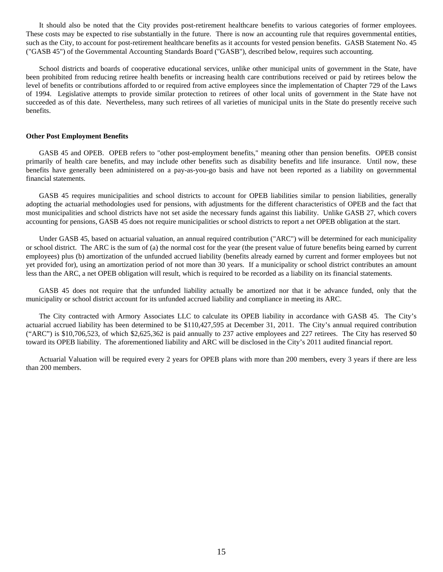It should also be noted that the City provides post-retirement healthcare benefits to various categories of former employees. These costs may be expected to rise substantially in the future. There is now an accounting rule that requires governmental entities, such as the City, to account for post-retirement healthcare benefits as it accounts for vested pension benefits. GASB Statement No. 45 ("GASB 45") of the Governmental Accounting Standards Board ("GASB"), described below, requires such accounting.

 School districts and boards of cooperative educational services, unlike other municipal units of government in the State, have been prohibited from reducing retiree health benefits or increasing health care contributions received or paid by retirees below the level of benefits or contributions afforded to or required from active employees since the implementation of Chapter 729 of the Laws of 1994. Legislative attempts to provide similar protection to retirees of other local units of government in the State have not succeeded as of this date. Nevertheless, many such retirees of all varieties of municipal units in the State do presently receive such benefits.

#### **Other Post Employment Benefits**

 GASB 45 and OPEB. OPEB refers to "other post-employment benefits," meaning other than pension benefits. OPEB consist primarily of health care benefits, and may include other benefits such as disability benefits and life insurance. Until now, these benefits have generally been administered on a pay-as-you-go basis and have not been reported as a liability on governmental financial statements.

 GASB 45 requires municipalities and school districts to account for OPEB liabilities similar to pension liabilities, generally adopting the actuarial methodologies used for pensions, with adjustments for the different characteristics of OPEB and the fact that most municipalities and school districts have not set aside the necessary funds against this liability. Unlike GASB 27, which covers accounting for pensions, GASB 45 does not require municipalities or school districts to report a net OPEB obligation at the start.

 Under GASB 45, based on actuarial valuation, an annual required contribution ("ARC") will be determined for each municipality or school district. The ARC is the sum of (a) the normal cost for the year (the present value of future benefits being earned by current employees) plus (b) amortization of the unfunded accrued liability (benefits already earned by current and former employees but not yet provided for), using an amortization period of not more than 30 years. If a municipality or school district contributes an amount less than the ARC, a net OPEB obligation will result, which is required to be recorded as a liability on its financial statements.

 GASB 45 does not require that the unfunded liability actually be amortized nor that it be advance funded, only that the municipality or school district account for its unfunded accrued liability and compliance in meeting its ARC.

The City contracted with Armory Associates LLC to calculate its OPEB liability in accordance with GASB 45. The City's actuarial accrued liability has been determined to be \$110,427,595 at December 31, 2011. The City's annual required contribution ("ARC") is \$10,706,523, of which \$2,625,362 is paid annually to 237 active employees and 227 retirees. The City has reserved \$0 toward its OPEB liability. The aforementioned liability and ARC will be disclosed in the City's 2011 audited financial report.

 Actuarial Valuation will be required every 2 years for OPEB plans with more than 200 members, every 3 years if there are less than 200 members.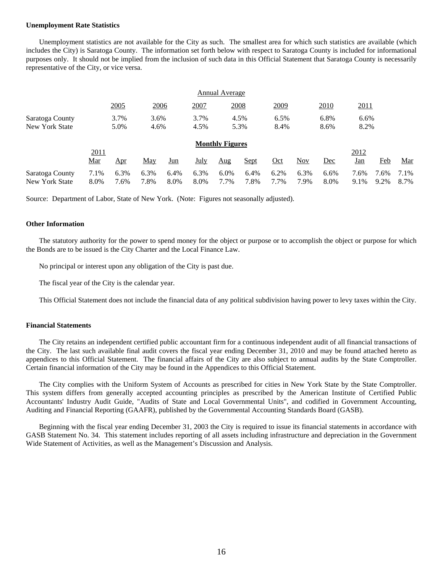#### **Unemployment Rate Statistics**

 Unemployment statistics are not available for the City as such. The smallest area for which such statistics are available (which includes the City) is Saratoga County. The information set forth below with respect to Saratoga County is included for informational purposes only. It should not be implied from the inclusion of such data in this Official Statement that Saratoga County is necessarily representative of the City, or vice versa.

|                 |            |                 |      |            |      | Annual Average         |      |       |      |            |            |            |      |
|-----------------|------------|-----------------|------|------------|------|------------------------|------|-------|------|------------|------------|------------|------|
|                 |            | 2005            | 2006 |            | 2007 |                        | 2008 | 2009  |      | 2010       | 2011       |            |      |
| Saratoga County |            | 3.7%            | 3.6% |            | 3.7% |                        | 4.5% | 6.5%  |      | 6.8%       | 6.6%       |            |      |
| New York State  |            | 5.0%            | 4.6% |            | 4.5% |                        | 5.3% | 8.4%  |      | 8.6%       | 8.2%       |            |      |
|                 |            |                 |      |            |      | <b>Monthly Figures</b> |      |       |      |            |            |            |      |
|                 | 2011       |                 |      |            |      |                        |      |       |      |            | 2012       |            |      |
|                 | <u>Mar</u> | <u>Apr</u>      | May  | <u>Jun</u> | July | <u>Aug</u>             | Sept | $Oct$ | Nov  | <u>Dec</u> | <u>Jan</u> | <b>Feb</b> | Mar  |
| Saratoga County | 7.1%       | 6.3%            | 6.3% | 6.4%       | 6.3% | 6.0%                   | 6.4% | 6.2%  | 6.3% | 6.6%       | 7.6%       | 7.6%       | 7.1% |
| New York State  | 8.0%       | $^{\prime}.6\%$ | 7.8% | 8.0%       | 8.0% | 7.7%                   | '.8% | 7.7%  | '.9% | 8.0%       | 9.1%       | 9.2%       | 8.7% |

Source: Department of Labor, State of New York. (Note: Figures not seasonally adjusted).

#### **Other Information**

 The statutory authority for the power to spend money for the object or purpose or to accomplish the object or purpose for which the Bonds are to be issued is the City Charter and the Local Finance Law.

No principal or interest upon any obligation of the City is past due.

The fiscal year of the City is the calendar year.

This Official Statement does not include the financial data of any political subdivision having power to levy taxes within the City.

## **Financial Statements**

 The City retains an independent certified public accountant firm for a continuous independent audit of all financial transactions of the City. The last such available final audit covers the fiscal year ending December 31, 2010 and may be found attached hereto as appendices to this Official Statement. The financial affairs of the City are also subject to annual audits by the State Comptroller. Certain financial information of the City may be found in the Appendices to this Official Statement.

 The City complies with the Uniform System of Accounts as prescribed for cities in New York State by the State Comptroller. This system differs from generally accepted accounting principles as prescribed by the American Institute of Certified Public Accountants' Industry Audit Guide, "Audits of State and Local Governmental Units", and codified in Government Accounting, Auditing and Financial Reporting (GAAFR), published by the Governmental Accounting Standards Board (GASB).

 Beginning with the fiscal year ending December 31, 2003 the City is required to issue its financial statements in accordance with GASB Statement No. 34. This statement includes reporting of all assets including infrastructure and depreciation in the Government Wide Statement of Activities, as well as the Management's Discussion and Analysis.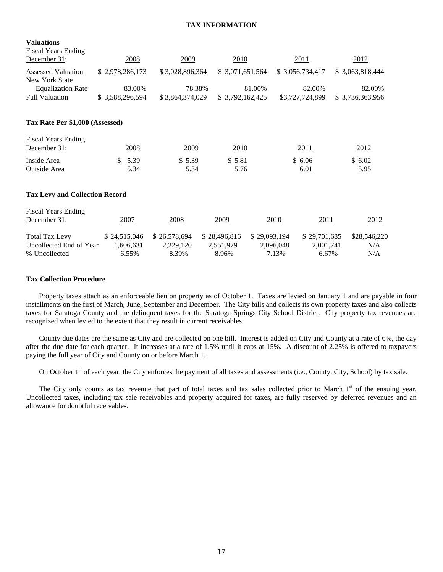## **TAX INFORMATION**

| <b>Valuations</b><br><b>Fiscal Years Ending</b> |                       |                 |                  |              |                 |                  |
|-------------------------------------------------|-----------------------|-----------------|------------------|--------------|-----------------|------------------|
| December 31:                                    | 2008                  | 2009            | 2010             |              | 2011            | 2012             |
| <b>Assessed Valuation</b>                       | \$2,978,286,173       | \$3,028,896,364 | \$ 3,071,651,564 |              | \$3,056,734,417 | \$ 3,063,818,444 |
| New York State                                  |                       |                 |                  |              |                 |                  |
| <b>Equalization Rate</b>                        | 83.00%                | 78.38%          |                  | 81.00%       | 82.00%          | 82.00%           |
| <b>Full Valuation</b>                           | \$3,588,296,594       | \$3,864,374,029 | \$3,792,162,425  |              | \$3,727,724,899 | \$3,736,363,956  |
| Tax Rate Per \$1,000 (Assessed)                 |                       |                 |                  |              |                 |                  |
| <b>Fiscal Years Ending</b>                      |                       |                 |                  |              |                 |                  |
| December 31:                                    | 2008                  | 2009            | 2010             |              | <u>2011</u>     | 2012             |
| Inside Area                                     | 5.39<br>$\mathcal{S}$ | \$5.39          | \$5.81           |              | \$6.06          | \$6.02           |
| Outside Area                                    | 5.34                  | 5.34            | 5.76             |              | 6.01            | 5.95             |
| <b>Tax Levy and Collection Record</b>           |                       |                 |                  |              |                 |                  |
| <b>Fiscal Years Ending</b>                      |                       |                 |                  |              |                 |                  |
| December 31:                                    | 2007                  | 2008            | 2009             | 2010         | 2011            | 2012             |
| <b>Total Tax Levy</b>                           | \$24,515,046          | \$26,578,694    | \$28,496,816     | \$29,093,194 | \$29,701,685    | \$28,546,220     |
| Uncollected End of Year                         | 1,606,631             | 2,229,120       | 2,551,979        | 2,096,048    | 2,001,741       | N/A              |
| % Uncollected                                   | 6.55%                 | 8.39%           | 8.96%            | 7.13%        |                 | N/A<br>6.67%     |

## **Tax Collection Procedure**

 Property taxes attach as an enforceable lien on property as of October 1. Taxes are levied on January 1 and are payable in four installments on the first of March, June, September and December. The City bills and collects its own property taxes and also collects taxes for Saratoga County and the delinquent taxes for the Saratoga Springs City School District. City property tax revenues are recognized when levied to the extent that they result in current receivables.

 County due dates are the same as City and are collected on one bill. Interest is added on City and County at a rate of 6%, the day after the due date for each quarter. It increases at a rate of 1.5% until it caps at 15%. A discount of 2.25% is offered to taxpayers paying the full year of City and County on or before March 1.

On October 1<sup>st</sup> of each year, the City enforces the payment of all taxes and assessments (i.e., County, City, School) by tax sale.

The City only counts as tax revenue that part of total taxes and tax sales collected prior to March 1<sup>st</sup> of the ensuing year. Uncollected taxes, including tax sale receivables and property acquired for taxes, are fully reserved by deferred revenues and an allowance for doubtful receivables.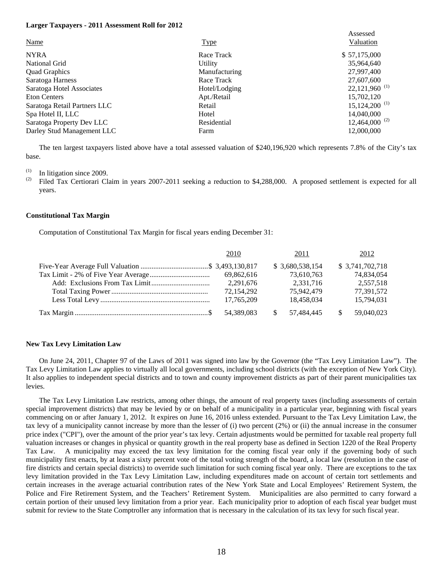## **Larger Taxpayers - 2011 Assessment Roll for 2012**

| <b>Name</b>                  | <b>Type</b>   | Assessed<br>Valuation       |
|------------------------------|---------------|-----------------------------|
| <b>NYRA</b>                  | Race Track    | \$57,175,000                |
| National Grid                | Utility       | 35,964,640                  |
| <b>Quad Graphics</b>         | Manufacturing | 27,997,400                  |
| Saratoga Harness             | Race Track    | 27,607,600                  |
| Saratoga Hotel Associates    | Hotel/Lodging | $22,121,960$ <sup>(1)</sup> |
| <b>Eton Centers</b>          | Apt./Retail   | 15,702,120                  |
| Saratoga Retail Partners LLC | Retail        | $15,124,200$ <sup>(1)</sup> |
| Spa Hotel II, LLC            | Hotel         | 14,040,000                  |
| Saratoga Property Dev LLC    | Residential   | $12,464,000^{(2)}$          |
| Darley Stud Management LLC   | Farm          | 12,000,000                  |

 The ten largest taxpayers listed above have a total assessed valuation of \$240,196,920 which represents 7.8% of the City's tax base.

 $\begin{bmatrix} (1) \\ (2) \end{bmatrix}$  In litigation since 2009.

Filed Tax Certiorari Claim in years 2007-2011 seeking a reduction to \$4,288,000. A proposed settlement is expected for all years.

#### **Constitutional Tax Margin**

Computation of Constitutional Tax Margin for fiscal years ending December 31:

| 2010       | 2011              | 2012             |
|------------|-------------------|------------------|
|            | \$ 3,680,538,154  | \$ 3,741,702,718 |
| 69,862,616 | 73,610,763        | 74,834,054       |
| 2.291.676  | 2,331,716         | 2,557,518        |
| 72,154,292 | 75.942.479        | 77,391,572       |
| 17.765.209 | 18,458,034        | 15,794,031       |
| 54.389.083 | 57.484.445<br>\$. | 59,040,023       |

## **New Tax Levy Limitation Law**

On June 24, 2011, Chapter 97 of the Laws of 2011 was signed into law by the Governor (the "Tax Levy Limitation Law"). The Tax Levy Limitation Law applies to virtually all local governments, including school districts (with the exception of New York City). It also applies to independent special districts and to town and county improvement districts as part of their parent municipalities tax levies.

The Tax Levy Limitation Law restricts, among other things, the amount of real property taxes (including assessments of certain special improvement districts) that may be levied by or on behalf of a municipality in a particular year, beginning with fiscal years commencing on or after January 1, 2012. It expires on June 16, 2016 unless extended. Pursuant to the Tax Levy Limitation Law, the tax levy of a municipality cannot increase by more than the lesser of (i) two percent (2%) or (ii) the annual increase in the consumer price index ("CPI"), over the amount of the prior year's tax levy. Certain adjustments would be permitted for taxable real property full valuation increases or changes in physical or quantity growth in the real property base as defined in Section 1220 of the Real Property Tax Law. A municipality may exceed the tax levy limitation for the coming fiscal year only if the governing body of such municipality first enacts, by at least a sixty percent vote of the total voting strength of the board, a local law (resolution in the case of fire districts and certain special districts) to override such limitation for such coming fiscal year only. There are exceptions to the tax levy limitation provided in the Tax Levy Limitation Law, including expenditures made on account of certain tort settlements and certain increases in the average actuarial contribution rates of the New York State and Local Employees' Retirement System, the Police and Fire Retirement System, and the Teachers' Retirement System. Municipalities are also permitted to carry forward a certain portion of their unused levy limitation from a prior year. Each municipality prior to adoption of each fiscal year budget must submit for review to the State Comptroller any information that is necessary in the calculation of its tax levy for such fiscal year.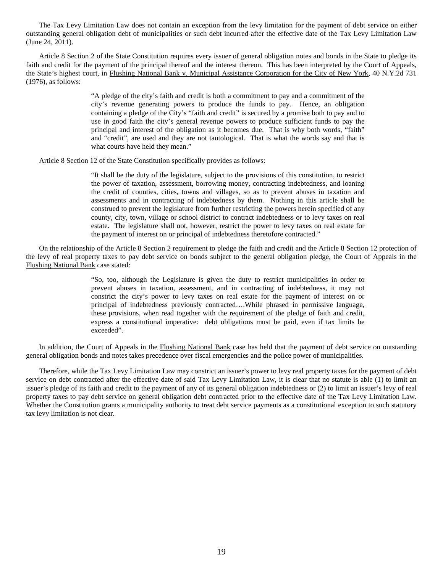The Tax Levy Limitation Law does not contain an exception from the levy limitation for the payment of debt service on either outstanding general obligation debt of municipalities or such debt incurred after the effective date of the Tax Levy Limitation Law (June 24, 2011).

Article 8 Section 2 of the State Constitution requires every issuer of general obligation notes and bonds in the State to pledge its faith and credit for the payment of the principal thereof and the interest thereon. This has been interpreted by the Court of Appeals, the State's highest court, in Flushing National Bank v. Municipal Assistance Corporation for the City of New York, 40 N.Y.2d 731 (1976), as follows:

> "A pledge of the city's faith and credit is both a commitment to pay and a commitment of the city's revenue generating powers to produce the funds to pay. Hence, an obligation containing a pledge of the City's "faith and credit" is secured by a promise both to pay and to use in good faith the city's general revenue powers to produce sufficient funds to pay the principal and interest of the obligation as it becomes due. That is why both words, "faith" and "credit", are used and they are not tautological. That is what the words say and that is what courts have held they mean."

Article 8 Section 12 of the State Constitution specifically provides as follows:

"It shall be the duty of the legislature, subject to the provisions of this constitution, to restrict the power of taxation, assessment, borrowing money, contracting indebtedness, and loaning the credit of counties, cities, towns and villages, so as to prevent abuses in taxation and assessments and in contracting of indebtedness by them. Nothing in this article shall be construed to prevent the legislature from further restricting the powers herein specified of any county, city, town, village or school district to contract indebtedness or to levy taxes on real estate. The legislature shall not, however, restrict the power to levy taxes on real estate for the payment of interest on or principal of indebtedness theretofore contracted."

On the relationship of the Article 8 Section 2 requirement to pledge the faith and credit and the Article 8 Section 12 protection of the levy of real property taxes to pay debt service on bonds subject to the general obligation pledge, the Court of Appeals in the Flushing National Bank case stated:

> "So, too, although the Legislature is given the duty to restrict municipalities in order to prevent abuses in taxation, assessment, and in contracting of indebtedness, it may not constrict the city's power to levy taxes on real estate for the payment of interest on or principal of indebtedness previously contracted….While phrased in permissive language, these provisions, when read together with the requirement of the pledge of faith and credit, express a constitutional imperative: debt obligations must be paid, even if tax limits be exceeded".

In addition, the Court of Appeals in the Flushing National Bank case has held that the payment of debt service on outstanding general obligation bonds and notes takes precedence over fiscal emergencies and the police power of municipalities.

Therefore, while the Tax Levy Limitation Law may constrict an issuer's power to levy real property taxes for the payment of debt service on debt contracted after the effective date of said Tax Levy Limitation Law, it is clear that no statute is able (1) to limit an issuer's pledge of its faith and credit to the payment of any of its general obligation indebtedness or (2) to limit an issuer's levy of real property taxes to pay debt service on general obligation debt contracted prior to the effective date of the Tax Levy Limitation Law. Whether the Constitution grants a municipality authority to treat debt service payments as a constitutional exception to such statutory tax levy limitation is not clear.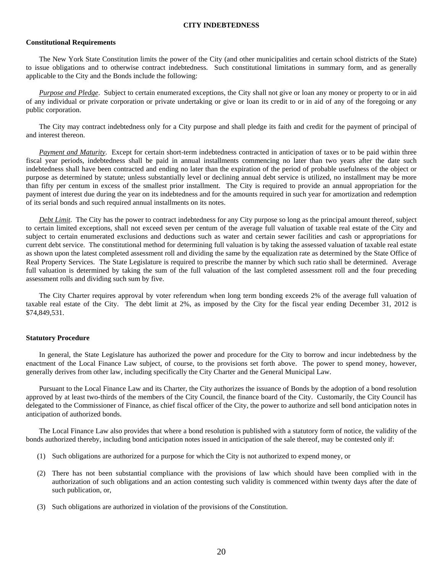## **CITY INDEBTEDNESS**

#### **Constitutional Requirements**

 The New York State Constitution limits the power of the City (and other municipalities and certain school districts of the State) to issue obligations and to otherwise contract indebtedness. Such constitutional limitations in summary form, and as generally applicable to the City and the Bonds include the following:

*Purpose and Pledge*. Subject to certain enumerated exceptions, the City shall not give or loan any money or property to or in aid of any individual or private corporation or private undertaking or give or loan its credit to or in aid of any of the foregoing or any public corporation.

 The City may contract indebtedness only for a City purpose and shall pledge its faith and credit for the payment of principal of and interest thereon.

*Payment and Maturity*. Except for certain short-term indebtedness contracted in anticipation of taxes or to be paid within three fiscal year periods, indebtedness shall be paid in annual installments commencing no later than two years after the date such indebtedness shall have been contracted and ending no later than the expiration of the period of probable usefulness of the object or purpose as determined by statute; unless substantially level or declining annual debt service is utilized, no installment may be more than fifty per centum in excess of the smallest prior installment. The City is required to provide an annual appropriation for the payment of interest due during the year on its indebtedness and for the amounts required in such year for amortization and redemption of its serial bonds and such required annual installments on its notes.

*Debt Limit*. The City has the power to contract indebtedness for any City purpose so long as the principal amount thereof, subject to certain limited exceptions, shall not exceed seven per centum of the average full valuation of taxable real estate of the City and subject to certain enumerated exclusions and deductions such as water and certain sewer facilities and cash or appropriations for current debt service. The constitutional method for determining full valuation is by taking the assessed valuation of taxable real estate as shown upon the latest completed assessment roll and dividing the same by the equalization rate as determined by the State Office of Real Property Services. The State Legislature is required to prescribe the manner by which such ratio shall be determined. Average full valuation is determined by taking the sum of the full valuation of the last completed assessment roll and the four preceding assessment rolls and dividing such sum by five.

 The City Charter requires approval by voter referendum when long term bonding exceeds 2% of the average full valuation of taxable real estate of the City. The debt limit at 2%, as imposed by the City for the fiscal year ending December 31, 2012 is \$74,849,531.

#### **Statutory Procedure**

 In general, the State Legislature has authorized the power and procedure for the City to borrow and incur indebtedness by the enactment of the Local Finance Law subject, of course, to the provisions set forth above. The power to spend money, however, generally derives from other law, including specifically the City Charter and the General Municipal Law.

 Pursuant to the Local Finance Law and its Charter, the City authorizes the issuance of Bonds by the adoption of a bond resolution approved by at least two-thirds of the members of the City Council, the finance board of the City. Customarily, the City Council has delegated to the Commissioner of Finance, as chief fiscal officer of the City, the power to authorize and sell bond anticipation notes in anticipation of authorized bonds.

 The Local Finance Law also provides that where a bond resolution is published with a statutory form of notice, the validity of the bonds authorized thereby, including bond anticipation notes issued in anticipation of the sale thereof, may be contested only if:

- (1) Such obligations are authorized for a purpose for which the City is not authorized to expend money, or
- (2) There has not been substantial compliance with the provisions of law which should have been complied with in the authorization of such obligations and an action contesting such validity is commenced within twenty days after the date of such publication, or,
- (3) Such obligations are authorized in violation of the provisions of the Constitution.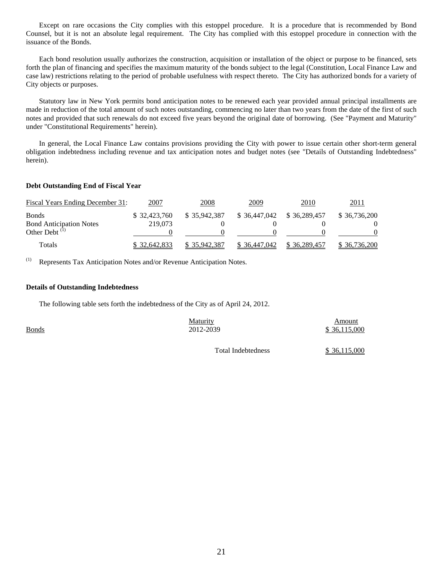Except on rare occasions the City complies with this estoppel procedure. It is a procedure that is recommended by Bond Counsel, but it is not an absolute legal requirement. The City has complied with this estoppel procedure in connection with the issuance of the Bonds.

 Each bond resolution usually authorizes the construction, acquisition or installation of the object or purpose to be financed, sets forth the plan of financing and specifies the maximum maturity of the bonds subject to the legal (Constitution, Local Finance Law and case law) restrictions relating to the period of probable usefulness with respect thereto. The City has authorized bonds for a variety of City objects or purposes.

 Statutory law in New York permits bond anticipation notes to be renewed each year provided annual principal installments are made in reduction of the total amount of such notes outstanding, commencing no later than two years from the date of the first of such notes and provided that such renewals do not exceed five years beyond the original date of borrowing. (See "Payment and Maturity" under "Constitutional Requirements" herein).

 In general, the Local Finance Law contains provisions providing the City with power to issue certain other short-term general obligation indebtedness including revenue and tax anticipation notes and budget notes (see "Details of Outstanding Indebtedness" herein).

## **Debt Outstanding End of Fiscal Year**

| Fiscal Years Ending December 31: | 2007          | 2008         | 2009          | 2010         | <u>2011</u>  |
|----------------------------------|---------------|--------------|---------------|--------------|--------------|
| <b>Bonds</b>                     | \$ 32,423,760 | \$35,942,387 | \$36,447,042  | \$36,289,457 | \$36,736,200 |
| <b>Bond Anticipation Notes</b>   | 219,073       |              |               |              |              |
| Other Debt $^{(1)}$              |               |              |               |              |              |
| Totals                           | \$32,642,833  | \$35,942,387 | \$ 36,447,042 | \$36,289,457 | \$36,736,200 |

(1) Represents Tax Anticipation Notes and/or Revenue Anticipation Notes.

## **Details of Outstanding Indebtedness**

The following table sets forth the indebtedness of the City as of April 24, 2012.

|       | Maturity  | Amount       |
|-------|-----------|--------------|
| Bonds | 2012-2039 | \$36,115,000 |
|       |           |              |

Total Indebtedness \$ 36,115,000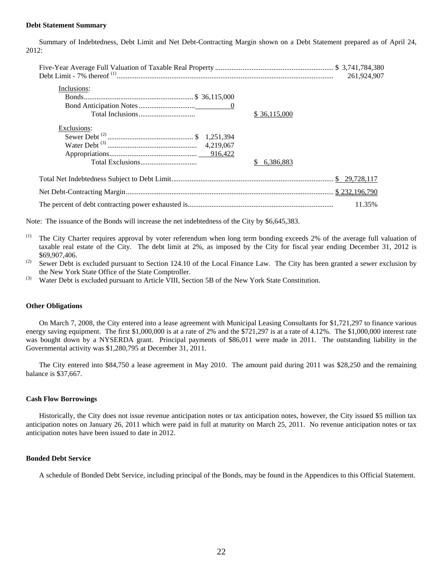## **Debt Statement Summary**

 Summary of Indebtedness, Debt Limit and Net Debt-Contracting Margin shown on a Debt Statement prepared as of April 24, 2012:

| Inclusions: |               |
|-------------|---------------|
|             |               |
|             |               |
|             | \$ 36,115,000 |
| Exclusions: | 6.386.883     |
|             |               |
|             |               |
|             | 11.35%        |

Note: The issuance of the Bonds will increase the net indebtedness of the City by \$6,645,383.

<sup>(1)</sup> The City Charter requires approval by voter referendum when long term bonding exceeds 2% of the average full valuation of taxable real estate of the City. The debt limit at 2%, as imposed by the City for fiscal year ending December 31, 2012 is \$69,907,406.

(2) Sewer Debt is excluded pursuant to Section 124.10 of the Local Finance Law. The City has been granted a sewer exclusion by the New York State Office of the State Comptroller.

(3) Water Debt is excluded pursuant to Article VIII, Section 5B of the New York State Constitution.

#### **Other Obligations**

On March 7, 2008, the City entered into a lease agreement with Municipal Leasing Consultants for \$1,721,297 to finance various energy saving equipment. The first \$1,000,000 is at a rate of 2% and the \$721,297 is at a rate of 4.12%. The \$1,000,000 interest rate was bought down by a NYSERDA grant. Principal payments of \$86,011 were made in 2011. The outstanding liability in the Governmental activity was \$1,280,795 at December 31, 2011.

The City entered into \$84,750 a lease agreement in May 2010. The amount paid during 2011 was \$28,250 and the remaining balance is \$37,667.

#### **Cash Flow Borrowings**

 Historically, the City does not issue revenue anticipation notes or tax anticipation notes, however, the City issued \$5 million tax anticipation notes on January 26, 2011 which were paid in full at maturity on March 25, 2011. No revenue anticipation notes or tax anticipation notes have been issued to date in 2012.

## **Bonded Debt Service**

A schedule of Bonded Debt Service, including principal of the Bonds, may be found in the Appendices to this Official Statement.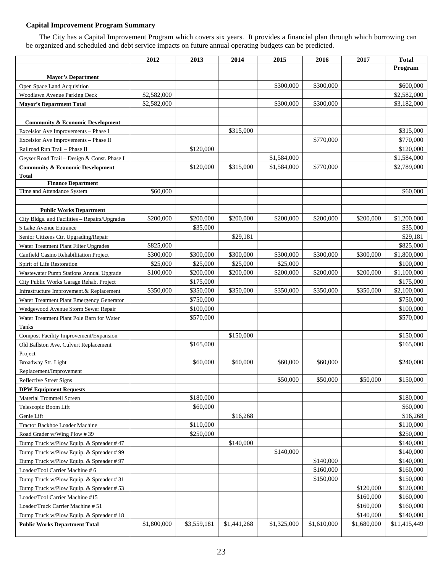## **Capital Improvement Program Summary**

 The City has a Capital Improvement Program which covers six years. It provides a financial plan through which borrowing can be organized and scheduled and debt service impacts on future annual operating budgets can be predicted.

|                                                         | 2012        | 2013        | 2014        | 2015        | 2016        | 2017        | <b>Total</b> |
|---------------------------------------------------------|-------------|-------------|-------------|-------------|-------------|-------------|--------------|
|                                                         |             |             |             |             |             |             | Program      |
| <b>Mayor's Department</b>                               |             |             |             |             |             |             |              |
| Open Space Land Acquisition                             |             |             |             | \$300,000   | \$300,000   |             | \$600,000    |
| Woodlawn Avenue Parking Deck                            | \$2,582,000 |             |             |             |             |             | \$2,582,000  |
| <b>Mayor's Department Total</b>                         | \$2,582,000 |             |             | \$300,000   | \$300,000   |             | \$3,182,000  |
|                                                         |             |             |             |             |             |             |              |
| <b>Community &amp; Economic Development</b>             |             |             |             |             |             |             |              |
| Excelsior Ave Improvements - Phase I                    |             |             | \$315,000   |             |             |             | \$315,000    |
| Excelsior Ave Improvements - Phase II                   |             |             |             |             | \$770,000   |             | \$770,000    |
| Railroad Run Trail - Phase II                           |             | \$120,000   |             |             |             |             | \$120,000    |
| Geyser Road Trail - Design & Const. Phase I             |             |             |             | \$1,584,000 |             |             | \$1,584,000  |
| <b>Community &amp; Economic Development</b>             |             | \$120,000   | \$315,000   | \$1,584,000 | \$770,000   |             | \$2,789,000  |
| <b>Total</b>                                            |             |             |             |             |             |             |              |
| <b>Finance Department</b><br>Time and Attendance System | \$60,000    |             |             |             |             |             | \$60,000     |
|                                                         |             |             |             |             |             |             |              |
| <b>Public Works Department</b>                          |             |             |             |             |             |             |              |
| City Bldgs. and Facilities - Repairs/Upgrades           | \$200,000   | \$200,000   | \$200,000   | \$200,000   | \$200,000   | \$200,000   | \$1,200,000  |
| 5 Lake Avenue Entrance                                  |             | \$35,000    |             |             |             |             | \$35,000     |
| Senior Citizens Ctr. Upgrading/Repair                   |             |             | \$29,181    |             |             |             | \$29,181     |
| Water Treatment Plant Filter Upgrades                   | \$825,000   |             |             |             |             |             | \$825,000    |
| Canfield Casino Rehabilitation Project                  | \$300,000   | \$300,000   | \$300,000   | \$300,000   | \$300,000   | \$300,000   | \$1,800,000  |
| Spirit of Life Restoration                              | \$25,000    | \$25,000    | \$25,000    | \$25,000    |             |             | \$100,000    |
| Wastewater Pump Stations Annual Upgrade                 | \$100,000   | \$200,000   | \$200,000   | \$200,000   | \$200,000   | \$200,000   | \$1,100,000  |
| City Public Works Garage Rehab. Project                 |             | \$175,000   |             |             |             |             | \$175,000    |
| Infrastructure Improvement.& Replacement                | \$350,000   | \$350,000   | \$350,000   | \$350,000   | \$350,000   | \$350,000   | \$2,100,000  |
| Water Treatment Plant Emergency Generator               |             | \$750,000   |             |             |             |             | \$750,000    |
| Wedgewood Avenue Storm Sewer Repair                     |             | \$100,000   |             |             |             |             | \$100,000    |
| Water Treatment Plant Pole Barn for Water               |             | \$570,000   |             |             |             |             | \$570,000    |
| Tanks                                                   |             |             |             |             |             |             |              |
| Compost Facility Improvement/Expansion                  |             |             | \$150,000   |             |             |             | \$150,000    |
| Old Ballston Ave. Culvert Replacement                   |             | \$165,000   |             |             |             |             | \$165,000    |
| Project                                                 |             |             |             |             |             |             |              |
| Broadway Str. Light                                     |             | \$60,000    | \$60,000    | \$60,000    | \$60,000    |             | \$240,000    |
| Replacement/Improvement                                 |             |             |             |             |             |             |              |
| <b>Reflective Street Signs</b>                          |             |             |             | \$50,000    | \$50,000    | \$50,000    | \$150,000    |
| <b>DPW Equipment Requests</b>                           |             |             |             |             |             |             |              |
| <b>Material Trommell Screen</b>                         |             | \$180,000   |             |             |             |             | \$180,000    |
| Telescopic Boom Lift                                    |             | \$60,000    |             |             |             |             | \$60,000     |
| Genie Lift                                              |             |             | \$16,268    |             |             |             | \$16,268     |
| Tractor Backhoe Loader Machine                          |             | \$110,000   |             |             |             |             | \$110,000    |
| Road Grader w/Wing Plow #39                             |             | \$250,000   |             |             |             |             | \$250,000    |
| Dump Truck w/Plow Equip. & Spreader #47                 |             |             | \$140,000   |             |             |             | \$140,000    |
| Dump Truck w/Plow Equip. & Spreader #99                 |             |             |             | \$140,000   |             |             | \$140,000    |
| Dump Truck w/Plow Equip. & Spreader #97                 |             |             |             |             | \$140,000   |             | \$140,000    |
| Loader/Tool Carrier Machine # 6                         |             |             |             |             | \$160,000   |             | \$160,000    |
| Dump Truck w/Plow Equip. & Spreader #31                 |             |             |             |             | \$150,000   |             | \$150,000    |
| Dump Truck w/Plow Equip. & Spreader #53                 |             |             |             |             |             | \$120,000   | \$120,000    |
| Loader/Tool Carrier Machine #15                         |             |             |             |             |             | \$160,000   | \$160,000    |
| Loader/Truck Carrier Machine # 51                       |             |             |             |             |             | \$160,000   | \$160,000    |
| Dump Truck w/Plow Equip. & Spreader #18                 |             |             |             |             |             | \$140,000   | \$140,000    |
| <b>Public Works Department Total</b>                    | \$1,800,000 | \$3,559,181 | \$1,441,268 | \$1,325,000 | \$1,610,000 | \$1,680,000 | \$11,415,449 |
|                                                         |             |             |             |             |             |             |              |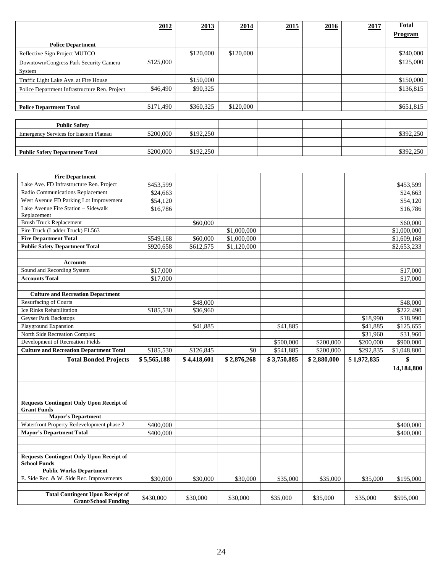|                                               | 2012      | 2013      | 2014      | 2015 | 2016 | 2017 | <b>Total</b>   |
|-----------------------------------------------|-----------|-----------|-----------|------|------|------|----------------|
|                                               |           |           |           |      |      |      | <b>Program</b> |
| <b>Police Department</b>                      |           |           |           |      |      |      |                |
| Reflective Sign Project MUTCO                 |           | \$120,000 | \$120,000 |      |      |      | \$240,000      |
| Downtown/Congress Park Security Camera        | \$125,000 |           |           |      |      |      | \$125,000      |
| System                                        |           |           |           |      |      |      |                |
| Traffic Light Lake Ave. at Fire House         |           | \$150,000 |           |      |      |      | \$150,000      |
| Police Department Infrastructure Ren. Project | \$46,490  | \$90,325  |           |      |      |      | \$136,815      |
|                                               |           |           |           |      |      |      |                |
| <b>Police Department Total</b>                | \$171,490 | \$360,325 | \$120,000 |      |      |      | \$651,815      |
|                                               |           |           |           |      |      |      |                |
| <b>Public Safety</b>                          |           |           |           |      |      |      |                |
| <b>Emergency Services for Eastern Plateau</b> | \$200,000 | \$192,250 |           |      |      |      | \$392,250      |
|                                               |           |           |           |      |      |      |                |
| <b>Public Safety Department Total</b>         | \$200,000 | \$192,250 |           |      |      |      | \$392,250      |

| <b>Fire Department</b>                                                 |             |             |             |             |             |             |             |
|------------------------------------------------------------------------|-------------|-------------|-------------|-------------|-------------|-------------|-------------|
| Lake Ave. FD Infrastructure Ren. Project                               | \$453,599   |             |             |             |             |             | \$453,599   |
| Radio Communications Replacement                                       | \$24,663    |             |             |             |             |             | \$24,663    |
| West Avenue FD Parking Lot Improvement                                 | \$54,120    |             |             |             |             |             | \$54,120    |
| Lake Avenue Fire Station - Sidewalk                                    | \$16,786    |             |             |             |             |             | \$16,786    |
| Replacement                                                            |             |             |             |             |             |             |             |
| <b>Brush Truck Replacement</b>                                         |             | \$60,000    |             |             |             |             | \$60,000    |
| Fire Truck (Ladder Truck) EL563                                        |             |             | \$1,000,000 |             |             |             | \$1,000,000 |
| <b>Fire Department Total</b>                                           | \$549,168   | \$60,000    | \$1,000,000 |             |             |             | \$1,609,168 |
| <b>Public Safety Department Total</b>                                  | \$920,658   | \$612,575   | \$1,120,000 |             |             |             | \$2,653,233 |
|                                                                        |             |             |             |             |             |             |             |
| <b>Accounts</b>                                                        |             |             |             |             |             |             |             |
| Sound and Recording System                                             | \$17,000    |             |             |             |             |             | \$17,000    |
| <b>Accounts Total</b>                                                  | \$17,000    |             |             |             |             |             | \$17,000    |
|                                                                        |             |             |             |             |             |             |             |
| <b>Culture and Recreation Department</b>                               |             |             |             |             |             |             |             |
| <b>Resurfacing of Courts</b>                                           |             | \$48,000    |             |             |             |             | \$48,000    |
| <b>Ice Rinks Rehabilitation</b>                                        | \$185,530   | \$36,960    |             |             |             |             | \$222,490   |
| Geyser Park Backstops                                                  |             |             |             |             |             | \$18,990    | \$18,990    |
| Playground Expansion                                                   |             | \$41,885    |             | \$41,885    |             | \$41,885    | \$125,655   |
| <b>North Side Recreation Complex</b>                                   |             |             |             |             |             | \$31,960    | \$31,960    |
| Development of Recreation Fields                                       |             |             |             | \$500,000   | \$200,000   | \$200,000   | \$900,000   |
| <b>Culture and Recreation Department Total</b>                         | \$185,530   | \$126,845   | \$0         | \$541,885   | \$200,000   | \$292,835   | \$1,048,800 |
| <b>Total Bonded Projects</b>                                           | \$5,565,188 | \$4,418,601 | \$2,876,268 | \$3,750,885 | \$2,880,000 | \$1,972,835 | \$          |
|                                                                        |             |             |             |             |             |             | 14,184,800  |
|                                                                        |             |             |             |             |             |             |             |
|                                                                        |             |             |             |             |             |             |             |
|                                                                        |             |             |             |             |             |             |             |
| <b>Requests Contingent Only Upon Receipt of</b>                        |             |             |             |             |             |             |             |
| <b>Grant Funds</b>                                                     |             |             |             |             |             |             |             |
| Mayor's Department                                                     |             |             |             |             |             |             |             |
| Waterfront Property Redevelopment phase 2                              | \$400,000   |             |             |             |             |             | \$400,000   |
| <b>Mayor's Department Total</b>                                        | \$400,000   |             |             |             |             |             | \$400,000   |
|                                                                        |             |             |             |             |             |             |             |
|                                                                        |             |             |             |             |             |             |             |
| <b>Requests Contingent Only Upon Receipt of</b><br><b>School Funds</b> |             |             |             |             |             |             |             |
|                                                                        |             |             |             |             |             |             |             |
| <b>Public Works Department</b>                                         |             |             |             |             |             |             |             |
| E. Side Rec. & W. Side Rec. Improvements                               | \$30,000    | \$30,000    | \$30,000    | \$35,000    | \$35,000    | \$35,000    | \$195,000   |
| <b>Total Contingent Upon Receipt of</b>                                |             |             |             |             |             |             |             |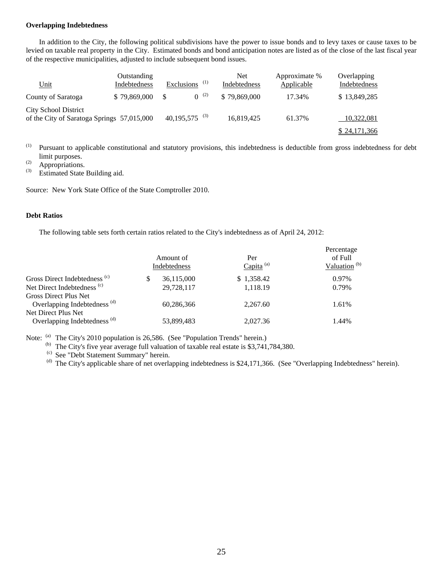## **Overlapping Indebtedness**

 In addition to the City, the following political subdivisions have the power to issue bonds and to levy taxes or cause taxes to be levied on taxable real property in the City. Estimated bonds and bond anticipation notes are listed as of the close of the last fiscal year of the respective municipalities, adjusted to include subsequent bond issues.

| Unit                                                                      | Outstanding<br>Indebtedness | Exclusions <sup>(1)</sup>   | Net<br>Indebtedness | Approximate %<br>Applicable | Overlapping<br>Indebtedness |
|---------------------------------------------------------------------------|-----------------------------|-----------------------------|---------------------|-----------------------------|-----------------------------|
| County of Saratoga                                                        | \$79,869,000                | $0^{(2)}$                   | \$79,869,000        | 17.34%                      | \$13,849,285                |
| <b>City School District</b><br>of the City of Saratoga Springs 57,015,000 |                             | $40,195,575$ <sup>(3)</sup> | 16.819.425          | 61.37%                      | 10,322,081                  |
|                                                                           |                             |                             |                     |                             | \$24,171,366                |

(1) Pursuant to applicable constitutional and statutory provisions, this indebtedness is deductible from gross indebtedness for debt limit purposes.

 $\qquad \qquad \text{(2)} \qquad \qquad \text{Approxiations.}$ <br>  $\qquad \qquad \text{Estimated State}$ 

Estimated State Building aid.

Source: New York State Office of the State Comptroller 2010.

## **Debt Ratios**

The following table sets forth certain ratios related to the City's indebtedness as of April 24, 2012:

|                                          | Amount of<br>Indebtedness | Per<br>Capita <sup><math>(a)</math></sup> | Percentage<br>of Full<br>Valuation <sup>(b)</sup> |
|------------------------------------------|---------------------------|-------------------------------------------|---------------------------------------------------|
| Gross Direct Indebtedness <sup>(c)</sup> | 36,115,000                | \$1,358.42                                | 0.97%                                             |
| Net Direct Indebtedness <sup>(c)</sup>   | 29,728,117                | 1,118.19                                  | 0.79%                                             |
| <b>Gross Direct Plus Net</b>             |                           |                                           |                                                   |
| Overlapping Indebtedness <sup>(d)</sup>  | 60,286,366                | 2.267.60                                  | 1.61%                                             |
| Net Direct Plus Net                      |                           |                                           |                                                   |
| Overlapping Indebtedness <sup>(d)</sup>  | 53,899,483                | 2.027.36                                  | 1.44%                                             |

Note: <sup>(a)</sup> The City's 2010 population is 26,586. (See "Population Trends" herein.)

<sup>(b)</sup> The City's five year average full valuation of taxable real estate is \$3,741,784,380.

(c) See "Debt Statement Summary" herein.

(d) The City's applicable share of net overlapping indebtedness is \$24,171,366. (See "Overlapping Indebtedness" herein).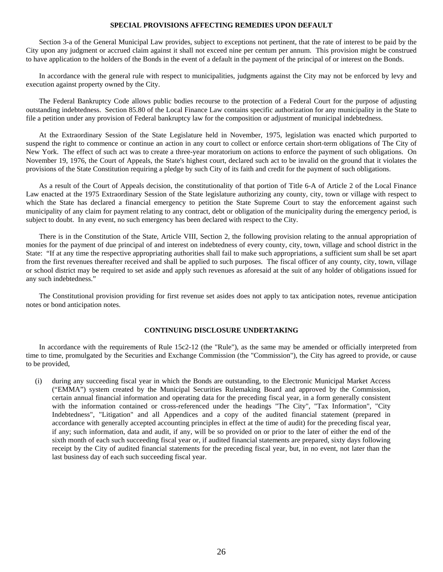## **SPECIAL PROVISIONS AFFECTING REMEDIES UPON DEFAULT**

 Section 3-a of the General Municipal Law provides, subject to exceptions not pertinent, that the rate of interest to be paid by the City upon any judgment or accrued claim against it shall not exceed nine per centum per annum. This provision might be construed to have application to the holders of the Bonds in the event of a default in the payment of the principal of or interest on the Bonds.

 In accordance with the general rule with respect to municipalities, judgments against the City may not be enforced by levy and execution against property owned by the City.

 The Federal Bankruptcy Code allows public bodies recourse to the protection of a Federal Court for the purpose of adjusting outstanding indebtedness. Section 85.80 of the Local Finance Law contains specific authorization for any municipality in the State to file a petition under any provision of Federal bankruptcy law for the composition or adjustment of municipal indebtedness.

 At the Extraordinary Session of the State Legislature held in November, 1975, legislation was enacted which purported to suspend the right to commence or continue an action in any court to collect or enforce certain short-term obligations of The City of New York. The effect of such act was to create a three-year moratorium on actions to enforce the payment of such obligations. On November 19, 1976, the Court of Appeals, the State's highest court, declared such act to be invalid on the ground that it violates the provisions of the State Constitution requiring a pledge by such City of its faith and credit for the payment of such obligations.

 As a result of the Court of Appeals decision, the constitutionality of that portion of Title 6-A of Article 2 of the Local Finance Law enacted at the 1975 Extraordinary Session of the State legislature authorizing any county, city, town or village with respect to which the State has declared a financial emergency to petition the State Supreme Court to stay the enforcement against such municipality of any claim for payment relating to any contract, debt or obligation of the municipality during the emergency period, is subject to doubt. In any event, no such emergency has been declared with respect to the City.

 There is in the Constitution of the State, Article VIII, Section 2, the following provision relating to the annual appropriation of monies for the payment of due principal of and interest on indebtedness of every county, city, town, village and school district in the State: "If at any time the respective appropriating authorities shall fail to make such appropriations, a sufficient sum shall be set apart from the first revenues thereafter received and shall be applied to such purposes. The fiscal officer of any county, city, town, village or school district may be required to set aside and apply such revenues as aforesaid at the suit of any holder of obligations issued for any such indebtedness."

 The Constitutional provision providing for first revenue set asides does not apply to tax anticipation notes, revenue anticipation notes or bond anticipation notes.

## **CONTINUING DISCLOSURE UNDERTAKING**

 In accordance with the requirements of Rule 15c2-12 (the "Rule"), as the same may be amended or officially interpreted from time to time, promulgated by the Securities and Exchange Commission (the "Commission"), the City has agreed to provide, or cause to be provided,

 (i) during any succeeding fiscal year in which the Bonds are outstanding, to the Electronic Municipal Market Access ("EMMA") system created by the Municipal Securities Rulemaking Board and approved by the Commission, certain annual financial information and operating data for the preceding fiscal year, in a form generally consistent with the information contained or cross-referenced under the headings "The City", "Tax Information", "City Indebtedness", "Litigation" and all Appendices and a copy of the audited financial statement (prepared in accordance with generally accepted accounting principles in effect at the time of audit) for the preceding fiscal year, if any; such information, data and audit, if any, will be so provided on or prior to the later of either the end of the sixth month of each such succeeding fiscal year or, if audited financial statements are prepared, sixty days following receipt by the City of audited financial statements for the preceding fiscal year, but, in no event, not later than the last business day of each such succeeding fiscal year.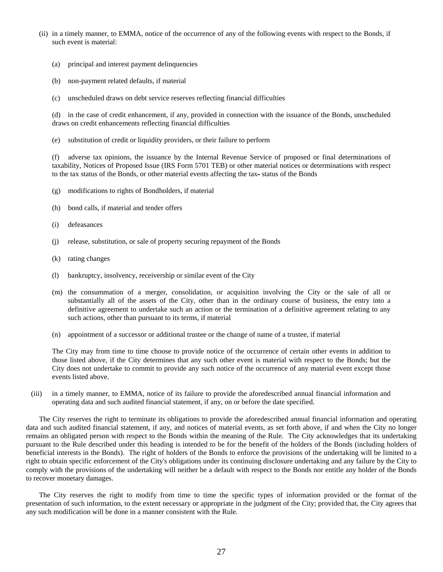- (ii) in a timely manner, to EMMA, notice of the occurrence of any of the following events with respect to the Bonds, if such event is material:
	- (a) principal and interest payment delinquencies
	- (b) non-payment related defaults, if material
	- (c) unscheduled draws on debt service reserves reflecting financial difficulties

(d) in the case of credit enhancement, if any, provided in connection with the issuance of the Bonds, unscheduled draws on credit enhancements reflecting financial difficulties

(e) substitution of credit or liquidity providers, or their failure to perform

(f) adverse tax opinions, the issuance by the Internal Revenue Service of proposed or final determinations of taxability, Notices of Proposed Issue (IRS Form 5701 TEB) or other material notices or determinations with respect to the tax status of the Bonds, or other material events affecting the tax- status of the Bonds

- (g) modifications to rights of Bondholders, if material
- (h) bond calls, if material and tender offers
- (i) defeasances
- (j) release, substitution, or sale of property securing repayment of the Bonds
- (k) rating changes
- (l) bankruptcy, insolvency, receivership or similar event of the City
- (m) the consummation of a merger, consolidation, or acquisition involving the City or the sale of all or substantially all of the assets of the City, other than in the ordinary course of business, the entry into a definitive agreement to undertake such an action or the termination of a definitive agreement relating to any such actions, other than pursuant to its terms, if material
- (n) appointment of a successor or additional trustee or the change of name of a trustee, if material

The City may from time to time choose to provide notice of the occurrence of certain other events in addition to those listed above, if the City determines that any such other event is material with respect to the Bonds; but the City does not undertake to commit to provide any such notice of the occurrence of any material event except those events listed above.

 (iii) in a timely manner, to EMMA, notice of its failure to provide the aforedescribed annual financial information and operating data and such audited financial statement, if any, on or before the date specified.

 The City reserves the right to terminate its obligations to provide the aforedescribed annual financial information and operating data and such audited financial statement, if any, and notices of material events, as set forth above, if and when the City no longer remains an obligated person with respect to the Bonds within the meaning of the Rule. The City acknowledges that its undertaking pursuant to the Rule described under this heading is intended to be for the benefit of the holders of the Bonds (including holders of beneficial interests in the Bonds). The right of holders of the Bonds to enforce the provisions of the undertaking will be limited to a right to obtain specific enforcement of the City's obligations under its continuing disclosure undertaking and any failure by the City to comply with the provisions of the undertaking will neither be a default with respect to the Bonds nor entitle any holder of the Bonds to recover monetary damages.

 The City reserves the right to modify from time to time the specific types of information provided or the format of the presentation of such information, to the extent necessary or appropriate in the judgment of the City; provided that, the City agrees that any such modification will be done in a manner consistent with the Rule.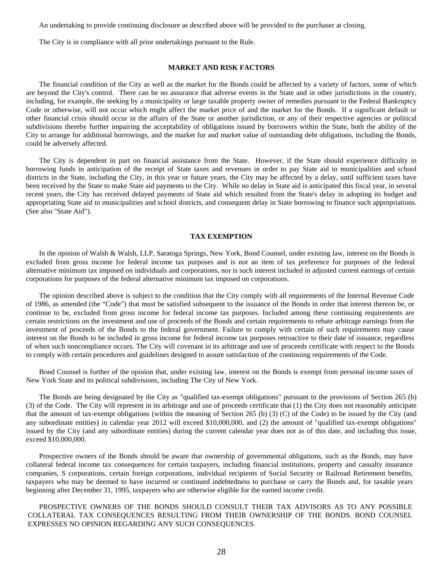An undertaking to provide continuing disclosure as described above will be provided to the purchaser at closing.

The City is in compliance with all prior undertakings pursuant to the Rule.

## **MARKET AND RISK FACTORS**

 The financial condition of the City as well as the market for the Bonds could be affected by a variety of factors, some of which are beyond the City's control. There can be no assurance that adverse events in the State and in other jurisdictions in the country, including, for example, the seeking by a municipality or large taxable property owner of remedies pursuant to the Federal Bankruptcy Code or otherwise, will not occur which might affect the market price of and the market for the Bonds. If a significant default or other financial crisis should occur in the affairs of the State or another jurisdiction, or any of their respective agencies or political subdivisions thereby further impairing the acceptability of obligations issued by borrowers within the State, both the ability of the City to arrange for additional borrowings, and the market for and market value of outstanding debt obligations, including the Bonds, could be adversely affected.

 The City is dependent in part on financial assistance from the State. However, if the State should experience difficulty in borrowing funds in anticipation of the receipt of State taxes and revenues in order to pay State aid to municipalities and school districts in the State, including the City, in this year or future years, the City may be affected by a delay, until sufficient taxes have been received by the State to make State aid payments to the City. While no delay in State aid is anticipated this fiscal year, in several recent years, the City has received delayed payments of State aid which resulted from the State's delay in adopting its budget and appropriating State aid to municipalities and school districts, and consequent delay in State borrowing to finance such appropriations. (See also "State Aid").

#### **TAX EXEMPTION**

In the opinion of Walsh & Walsh, LLP, Saratoga Springs, New York, Bond Counsel, under existing law, interest on the Bonds is excluded from gross income for federal income tax purposes and is not an item of tax preference for purposes of the federal alternative minimum tax imposed on individuals and corporations, nor is such interest included in adjusted current earnings of certain corporations for purposes of the federal alternative minimum tax imposed on corporations.

The opinion described above is subject to the condition that the City comply with all requirements of the Internal Revenue Code of 1986, as amended (the "Code") that must be satisfied subsequent to the issuance of the Bonds in order that interest thereon be, or continue to be, excluded from gross income for federal income tax purposes. Included among these continuing requirements are certain restrictions on the investment and use of proceeds of the Bonds and certain requirements to rebate arbitrage earnings from the investment of proceeds of the Bonds to the federal government. Failure to comply with certain of such requirements may cause interest on the Bonds to be included in gross income for federal income tax purposes retroactive to their date of issuance, regardless of when such noncompliance occurs. The City will covenant in its arbitrage and use of proceeds certificate with respect to the Bonds to comply with certain procedures and guidelines designed to assure satisfaction of the continuing requirements of the Code.

Bond Counsel is further of the opinion that, under existing law, interest on the Bonds is exempt from personal income taxes of New York State and its political subdivisions, including The City of New York.

The Bonds are being designated by the City as "qualified tax-exempt obligations" pursuant to the provisions of Section 265 (b) (3) of the Code. The City will represent in its arbitrage and use of proceeds certificate that (1) the City does not reasonably anticipate that the amount of tax-exempt obligations (within the meaning of Section 265 (b) (3) (C) of the Code) to be issued by the City (and any subordinate entities) in calendar year 2012 will exceed \$10,000,000, and (2) the amount of "qualified tax-exempt obligations" issued by the City (and any subordinate entities) during the current calendar year does not as of this date, and including this issue, exceed \$10,000,000.

Prospective owners of the Bonds should be aware that ownership of governmental obligations, such as the Bonds, may have collateral federal income tax consequences for certain taxpayers, including financial institutions, property and casualty insurance companies, S corporations, certain foreign corporations, individual recipients of Social Security or Railroad Retirement benefits, taxpayers who may be deemed to have incurred or continued indebtedness to purchase or carry the Bonds and, for taxable years beginning after December 31, 1995, taxpayers who are otherwise eligible for the earned income credit.

PROSPECTIVE OWNERS OF THE BONDS SHOULD CONSULT THEIR TAX ADVISORS AS TO ANY POSSIBLE COLLATERAL TAX CONSEQUENCES RESULTING FROM THEIR OWNERSHIP OF THE BONDS. BOND COUNSEL EXPRESSES NO OPINION REGARDING ANY SUCH CONSEQUENCES.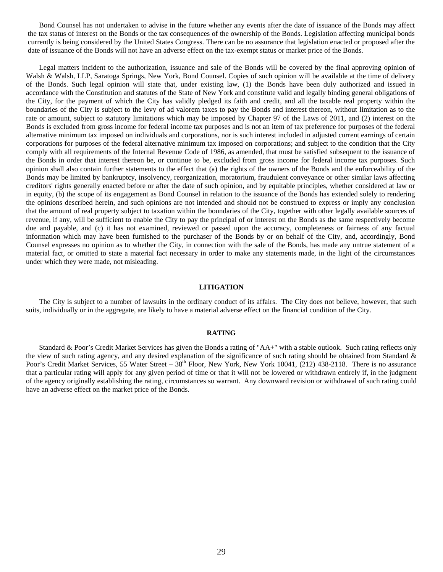Bond Counsel has not undertaken to advise in the future whether any events after the date of issuance of the Bonds may affect the tax status of interest on the Bonds or the tax consequences of the ownership of the Bonds. Legislation affecting municipal bonds currently is being considered by the United States Congress. There can be no assurance that legislation enacted or proposed after the date of issuance of the Bonds will not have an adverse effect on the tax-exempt status or market price of the Bonds.

Legal matters incident to the authorization, issuance and sale of the Bonds will be covered by the final approving opinion of Walsh & Walsh, LLP, Saratoga Springs, New York, Bond Counsel. Copies of such opinion will be available at the time of delivery of the Bonds. Such legal opinion will state that, under existing law, (1) the Bonds have been duly authorized and issued in accordance with the Constitution and statutes of the State of New York and constitute valid and legally binding general obligations of the City, for the payment of which the City has validly pledged its faith and credit, and all the taxable real property within the boundaries of the City is subject to the levy of ad valorem taxes to pay the Bonds and interest thereon, without limitation as to the rate or amount, subject to statutory limitations which may be imposed by Chapter 97 of the Laws of 2011, and (2) interest on the Bonds is excluded from gross income for federal income tax purposes and is not an item of tax preference for purposes of the federal alternative minimum tax imposed on individuals and corporations, nor is such interest included in adjusted current earnings of certain corporations for purposes of the federal alternative minimum tax imposed on corporations; and subject to the condition that the City comply with all requirements of the Internal Revenue Code of 1986, as amended, that must be satisfied subsequent to the issuance of the Bonds in order that interest thereon be, or continue to be, excluded from gross income for federal income tax purposes. Such opinion shall also contain further statements to the effect that (a) the rights of the owners of the Bonds and the enforceability of the Bonds may be limited by bankruptcy, insolvency, reorganization, moratorium, fraudulent conveyance or other similar laws affecting creditors' rights generally enacted before or after the date of such opinion, and by equitable principles, whether considered at law or in equity, (b) the scope of its engagement as Bond Counsel in relation to the issuance of the Bonds has extended solely to rendering the opinions described herein, and such opinions are not intended and should not be construed to express or imply any conclusion that the amount of real property subject to taxation within the boundaries of the City, together with other legally available sources of revenue, if any, will be sufficient to enable the City to pay the principal of or interest on the Bonds as the same respectively become due and payable, and (c) it has not examined, reviewed or passed upon the accuracy, completeness or fairness of any factual information which may have been furnished to the purchaser of the Bonds by or on behalf of the City, and, accordingly, Bond Counsel expresses no opinion as to whether the City, in connection with the sale of the Bonds, has made any untrue statement of a material fact, or omitted to state a material fact necessary in order to make any statements made, in the light of the circumstances under which they were made, not misleading.

#### **LITIGATION**

 The City is subject to a number of lawsuits in the ordinary conduct of its affairs. The City does not believe, however, that such suits, individually or in the aggregate, are likely to have a material adverse effect on the financial condition of the City.

## **RATING**

 Standard & Poor's Credit Market Services has given the Bonds a rating of "AA+" with a stable outlook. Such rating reflects only the view of such rating agency, and any desired explanation of the significance of such rating should be obtained from Standard & Poor's Credit Market Services, 55 Water Street –  $38<sup>th</sup>$  Floor, New York, New York 10041, (212) 438-2118. There is no assurance that a particular rating will apply for any given period of time or that it will not be lowered or withdrawn entirely if, in the judgment of the agency originally establishing the rating, circumstances so warrant. Any downward revision or withdrawal of such rating could have an adverse effect on the market price of the Bonds.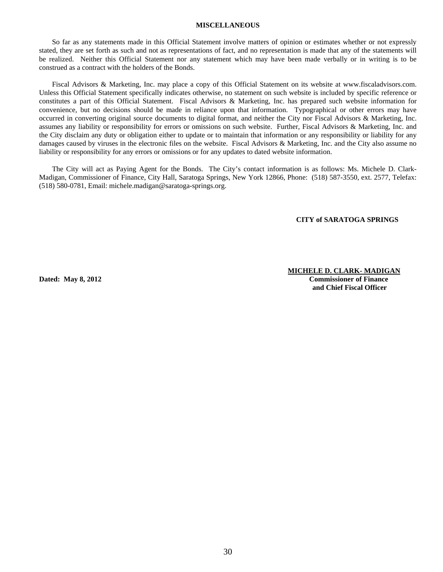#### **MISCELLANEOUS**

 So far as any statements made in this Official Statement involve matters of opinion or estimates whether or not expressly stated, they are set forth as such and not as representations of fact, and no representation is made that any of the statements will be realized. Neither this Official Statement nor any statement which may have been made verbally or in writing is to be construed as a contract with the holders of the Bonds.

 Fiscal Advisors & Marketing, Inc. may place a copy of this Official Statement on its website at www.fiscaladvisors.com. Unless this Official Statement specifically indicates otherwise, no statement on such website is included by specific reference or constitutes a part of this Official Statement. Fiscal Advisors & Marketing, Inc. has prepared such website information for convenience, but no decisions should be made in reliance upon that information. Typographical or other errors may have occurred in converting original source documents to digital format, and neither the City nor Fiscal Advisors & Marketing, Inc. assumes any liability or responsibility for errors or omissions on such website. Further, Fiscal Advisors & Marketing, Inc. and the City disclaim any duty or obligation either to update or to maintain that information or any responsibility or liability for any damages caused by viruses in the electronic files on the website. Fiscal Advisors & Marketing, Inc. and the City also assume no liability or responsibility for any errors or omissions or for any updates to dated website information.

 The City will act as Paying Agent for the Bonds. The City's contact information is as follows: Ms. Michele D. Clark-Madigan, Commissioner of Finance, City Hall, Saratoga Springs, New York 12866, Phone: (518) 587-3550, ext. 2577, Telefax: (518) 580-0781, Email: michele.madigan@saratoga-springs.org.

## **CITY of SARATOGA SPRINGS**

**MICHELE D. CLARK- MADIGAN Dated: May 8, 2012 Commissioner of Finance and Chief Fiscal Officer**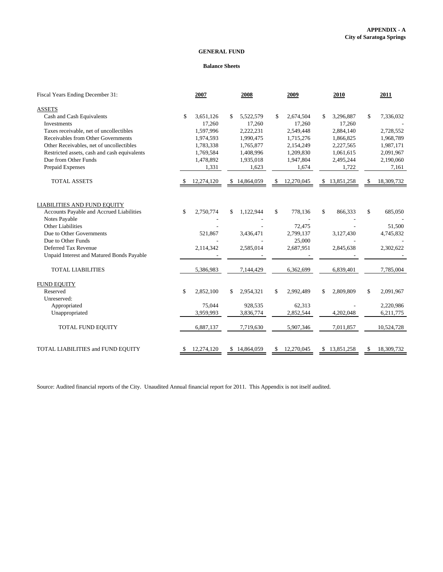## **GENERAL FUND**

## **Balance Sheets**

| Fiscal Years Ending December 31:             |    | 2007       |    | 2008         | 2009             | 2010             | 2011             |
|----------------------------------------------|----|------------|----|--------------|------------------|------------------|------------------|
| <b>ASSETS</b>                                |    |            |    |              |                  |                  |                  |
| Cash and Cash Equivalents                    | \$ | 3,651,126  | \$ | 5,522,579    | \$<br>2,674,504  | \$<br>3,296,887  | \$<br>7,336,032  |
| Investments                                  |    | 17,260     |    | 17,260       | 17,260           | 17,260           |                  |
| Taxes receivable, net of uncollectibles      |    | 1,597,996  |    | 2,222,231    | 2,549,448        | 2,884,140        | 2,728,552        |
| Receivables from Other Governments           |    | 1,974,593  |    | 1,990,475    | 1,715,276        | 1,866,825        | 1,968,789        |
| Other Receivables, net of uncollectibles     |    | 1,783,338  |    | 1,765,877    | 2,154,249        | 2,227,565        | 1,987,171        |
| Restricted assets, cash and cash equivalents |    | 1,769,584  |    | 1,408,996    | 1,209,830        | 1,061,615        | 2,091,967        |
| Due from Other Funds                         |    | 1,478,892  |    | 1,935,018    | 1,947,804        | 2,495,244        | 2,190,060        |
| Prepaid Expenses                             |    | 1,331      |    | 1,623        | 1,674            | 1,722            | 7,161            |
| <b>TOTAL ASSETS</b>                          |    | 12,274,120 | S. | 14,864,059   | 12,270,045       | 13,851,258       | 18,309,732       |
| LIABILITIES AND FUND EQUITY                  |    |            |    |              |                  |                  |                  |
| Accounts Payable and Accrued Liabilities     | \$ | 2,750,774  | \$ | 1,122,944    | \$<br>778,136    | \$<br>866,333    | \$<br>685,050    |
| Notes Payable                                |    |            |    |              |                  |                  |                  |
| <b>Other Liabilities</b>                     |    |            |    |              | 72,475           |                  | 51,500           |
| Due to Other Governments                     |    | 521,867    |    | 3,436,471    | 2,799,137        | 3,127,430        | 4,745,832        |
| Due to Other Funds                           |    |            |    |              | 25,000           |                  |                  |
| Deferred Tax Revenue                         |    | 2,114,342  |    | 2,585,014    | 2,687,951        | 2,845,638        | 2,302,622        |
| Unpaid Interest and Matured Bonds Payable    |    |            |    |              |                  |                  |                  |
| <b>TOTAL LIABILITIES</b>                     |    | 5,386,983  |    | 7,144,429    | 6,362,699        | 6,839,401        | 7,785,004        |
| <b>FUND EQUITY</b>                           |    |            |    |              |                  |                  |                  |
| Reserved                                     | \$ | 2,852,100  | \$ | 2,954,321    | \$<br>2,992,489  | \$<br>2,809,809  | \$<br>2,091,967  |
| Unreserved:                                  |    |            |    |              |                  |                  |                  |
| Appropriated                                 |    | 75,044     |    | 928,535      | 62,313           |                  | 2,220,986        |
| Unappropriated                               |    | 3,959,993  |    | 3,836,774    | 2,852,544        | 4,202,048        | 6,211,775        |
| TOTAL FUND EQUITY                            |    | 6,887,137  |    | 7,719,630    | 5,907,346        | 7,011,857        | 10,524,728       |
| TOTAL LIABILITIES and FUND EQUITY            | -S | 12,274,120 |    | \$14,864,059 | \$<br>12,270,045 | \$<br>13,851,258 | \$<br>18,309,732 |

Source: Audited financial reports of the City. Unaudited Annual financial report for 2011. This Appendix is not itself audited.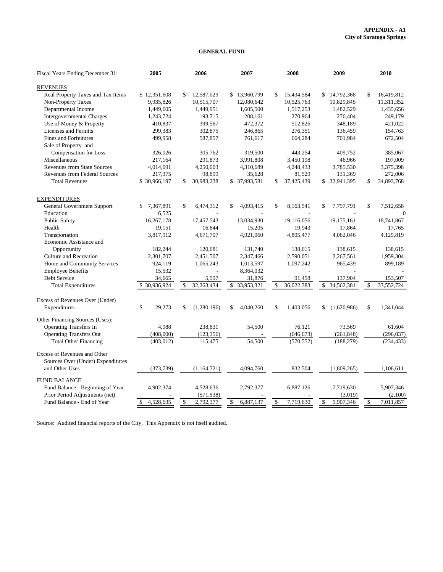## **GENERAL FUND**

| Fiscal Years Ending December 31:                                   | 2005            | 2006              | 2007                       | 2008             | 2009                       | 2010             |
|--------------------------------------------------------------------|-----------------|-------------------|----------------------------|------------------|----------------------------|------------------|
| <b>REVENUES</b>                                                    |                 |                   |                            |                  |                            |                  |
| Real Property Taxes and Tax Items                                  | \$12,351,608    | \$<br>12,587,029  | \$13,960,799               | \$<br>15,434,584 | \$14,792,368               | 16,419,812<br>\$ |
| Non-Property Taxes                                                 | 9,935,826       | 10,515,707        | 12,080,642                 | 10,525,763       | 10,829,845                 | 11,311,352       |
| Departmental Income                                                | 1,449,605       | 1,449,951         | 1,605,500                  | 1,517,253        | 1,482,529                  | 1,435,656        |
| <b>Intergovernmental Charges</b>                                   | 1,243,724       | 193,715           | 208,161                    | 270,964          | 276,404                    | 249,179          |
| Use of Money & Property                                            | 410,837         | 399,567           | 472,372                    | 512,826          | 348,189                    | 421,022          |
| <b>Licenses and Permits</b>                                        | 299,383         | 302,875           | 246,865                    | 276,351          | 136,459                    | 154,763          |
| <b>Fines and Forfeitures</b>                                       | 499,958         | 587,857           | 761,617                    | 664,284          | 701,984                    | 672,504          |
| Sale of Property and                                               |                 |                   |                            |                  |                            |                  |
| Compensation for Loss                                              | 326,026         | 305,762           | 319,500                    | 443,254          | 409,752                    | 385,067          |
| Miscellaneous                                                      | 217,164         | 291,873           | 3,991,808                  | 3,450,198        | 46,966                     | 197,009          |
| <b>Revenues from State Sources</b>                                 | 4,014,691       | 4,250,003         | 4,310,689                  | 4,248,433        | 3,785,530                  | 3,375,398        |
| <b>Revenues from Federal Sources</b>                               | 217,375         | 98,899            | 35,628                     | 81,529           | 131,369                    | 272,006          |
| <b>Total Revenues</b>                                              | \$30,966,197    | 30,983,238<br>\$  | \$<br>37,993,581           | \$<br>37,425,439 | \$<br>32,941,395           | \$<br>34,893,768 |
| <b>EXPENDITURES</b>                                                |                 |                   |                            |                  |                            |                  |
| <b>General Government Support</b>                                  | 7,367,891<br>\$ | \$<br>6,474,312   | 4,093,415<br>\$            | \$<br>8,163,541  | 7,797,791<br>\$            | \$<br>7,512,658  |
| Education                                                          | 6,525           |                   |                            |                  |                            | $\Omega$         |
| <b>Public Safety</b>                                               | 16,267,178      | 17,457,543        | 13,034,930                 | 19,116,056       | 19,175,161                 | 18,741,867       |
| Health                                                             | 19,151          | 16,844            | 15,205                     | 19,943           | 17,864                     | 17,765           |
| Transportation                                                     | 3,817,912       | 4,671,707         | 4,921,060                  | 4,805,477        | 4,062,046                  | 4,129,819        |
| Economic Assistance and                                            |                 |                   |                            |                  |                            |                  |
| Opportunity                                                        | 182,244         | 120,681           | 131,740                    | 138,615          | 138,615                    | 138,615          |
| <b>Culture and Recreation</b>                                      | 2,301,707       | 2,451,507         | 2,347,466                  | 2,590,051        | 2,267,561                  | 1,959,304        |
| Home and Community Services                                        | 924,119         | 1,065,243         | 1,013,597                  | 1,097,242        | 965,439                    | 899,189          |
| <b>Employee Benefits</b>                                           | 15,532          |                   | 8,364,032                  |                  |                            |                  |
| Debt Service                                                       | 34,665          | 5,597             | 31,876                     | 91,458           | 137,904                    | 153,507          |
| <b>Total Expenditures</b>                                          | \$30,936,924    | 32,263,434<br>\$  | 33,953,321<br>\$           | 36,022,383<br>\$ | \$<br>34,562,381           | \$<br>33,552,724 |
| Excess of Revenues Over (Under)                                    |                 |                   |                            |                  |                            |                  |
| Expenditures                                                       | 29,273<br>-\$   | -S<br>(1,280,196) | $\mathbf{\$}$<br>4,040,260 | \$<br>1,403,056  | \$<br>(1,620,986)          | \$<br>1,341,044  |
| Other Financing Sources (Uses):                                    |                 |                   |                            |                  |                            |                  |
| <b>Operating Transfers In</b>                                      | 4,988           | 238,831           | 54,500                     | 76,121           | 73,569                     | 61,604           |
| <b>Operating Transfers Out</b>                                     | (408,000)       | (123, 356)        |                            | (646, 673)       | (261, 848)                 | (296, 037)       |
| <b>Total Other Financing</b>                                       | (403, 012)      | 115,475           | 54,500                     | (570, 552)       | (188, 279)                 | (234, 433)       |
| Excess of Revenues and Other<br>Sources Over (Under) Expenditures  |                 |                   |                            |                  |                            |                  |
| and Other Uses                                                     | (373, 739)      | (1,164,721)       | 4,094,760                  | 832,504          | (1,809,265)                | 1,106,611        |
|                                                                    |                 |                   |                            |                  |                            |                  |
| <b>FUND BALANCE</b>                                                |                 | 4,528,636         |                            |                  | 7,719,630                  | 5,907,346        |
| Fund Balance - Beginning of Year<br>Prior Period Adjustments (net) | 4,902,374       | (571, 538)        | 2,792,377                  | 6,887,126        |                            | (2,100)          |
| Fund Balance - End of Year                                         | 4,528,635<br>\$ | 2,792,377<br>\$   | 6,887,137<br>\$            | 7,719,630        | (3,019)<br>5,907,346<br>\$ | \$<br>7,011,857  |
|                                                                    |                 |                   |                            | $\sqrt{3}$       |                            |                  |

Source: Audited financial reports of the City. This Appendix is not itself audited.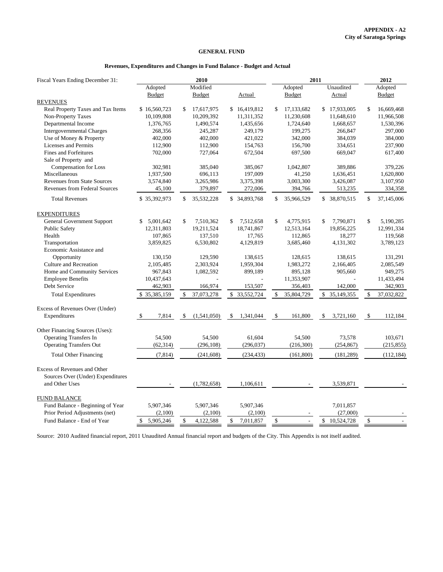## **GENERAL FUND**

## **Revenues, Expenditures and Changes in Fund Balance - Budget and Actual**

| Fiscal Years Ending December 31:     |                 | 2010              |                 |                                | 2011 |               |     | 2012          |
|--------------------------------------|-----------------|-------------------|-----------------|--------------------------------|------|---------------|-----|---------------|
|                                      | Adopted         | Modified          |                 | Adopted                        |      | Unaudited     |     | Adopted       |
|                                      | <b>Budget</b>   | <b>Budget</b>     | Actual          | Budget                         |      | Actual        |     | <b>Budget</b> |
| <b>REVENUES</b>                      |                 |                   |                 |                                |      |               |     |               |
| Real Property Taxes and Tax Items    | \$16,560,723    | \$<br>17,617,975  | \$16,419,812    | \$<br>17,133,682               |      | \$17,933,005  | \$  | 16,669,468    |
| <b>Non-Property Taxes</b>            | 10,109,808      | 10,209,392        | 11,311,352      | 11,230,608                     |      | 11,648,610    |     | 11,966,508    |
| Departmental Income                  | 1,376,765       | 1,490,574         | 1,435,656       | 1,724,640                      |      | 1,668,657     |     | 1,530,396     |
| <b>Intergovernmental Charges</b>     | 268,356         | 245,287           | 249,179         | 199,275                        |      | 266,847       |     | 297,000       |
| Use of Money & Property              | 402,000         | 402,000           | 421,022         | 342,000                        |      | 384,039       |     | 384,000       |
| Licenses and Permits                 | 112,900         | 112,900           | 154,763         | 156,700                        |      | 334,651       |     | 237,900       |
| <b>Fines and Forfeitures</b>         | 702,000         | 727,064           | 672,504         | 697,500                        |      | 669,047       |     | 617,400       |
| Sale of Property and                 |                 |                   |                 |                                |      |               |     |               |
| Compensation for Loss                | 302,981         | 385,040           | 385,067         | 1,042,807                      |      | 389,886       |     | 379,226       |
| Miscellaneous                        | 1,937,500       | 696,113           | 197,009         | 41,250                         |      | 1,636,451     |     | 1,620,800     |
| <b>Revenues from State Sources</b>   | 3,574,840       | 3,265,986         | 3,375,398       | 3,003,300                      |      | 3,426,087     |     | 3,107,950     |
| <b>Revenues from Federal Sources</b> | 45,100          | 379,897           | 272,006         | 394,766                        |      | 513,235       |     | 334,358       |
| <b>Total Revenues</b>                | \$35,392,973    | \$<br>35,532,228  | \$ 34,893,768   | \$<br>35,966,529               |      | \$ 38,870,515 | \$  | 37,145,006    |
| <b>EXPENDITURES</b>                  |                 |                   |                 |                                |      |               |     |               |
| <b>General Government Support</b>    | 5,001,642<br>\$ | \$<br>7,510,362   | \$<br>7,512,658 | \$<br>4,775,915                | \$   | 7,790,871     | \$  | 5,190,285     |
| <b>Public Safety</b>                 | 12,311,803      | 19,211,524        | 18,741,867      | 12,513,164                     |      | 19,856,225    |     | 12,991,334    |
| Health                               | 107,865         | 137,510           | 17,765          | 112,865                        |      | 18,277        |     | 119,568       |
| Transportation                       | 3,859,825       | 6,530,802         | 4,129,819       | 3,685,460                      |      | 4,131,302     |     | 3,789,123     |
| Economic Assistance and              |                 |                   |                 |                                |      |               |     |               |
| Opportunity                          | 130,150         | 129,590           | 138,615         | 128,615                        |      | 138,615       |     | 131,291       |
| <b>Culture and Recreation</b>        | 2,105,485       | 2,303,924         | 1,959,304       | 1,983,272                      |      | 2,166,405     |     | 2,085,549     |
| Home and Community Services          | 967,843         | 1,082,592         | 899,189         | 895,128                        |      | 905,660       |     | 949,275       |
| <b>Employee Benefits</b>             | 10,437,643      |                   |                 | 11,353,907                     |      |               |     | 11,433,494    |
| Debt Service                         | 462,903         | 166,974           | 153,507         | 356,403                        |      | 142,000       |     | 342,903       |
| <b>Total Expenditures</b>            | \$35,385,159    | \$<br>37,073,278  | \$33,552,724    | \$<br>35,804,729               | \$   | 35,149,355    | \$  | 37,032,822    |
| Excess of Revenues Over (Under)      |                 |                   |                 |                                |      |               |     |               |
| Expenditures                         | 7,814<br>-S     | \$<br>(1,541,050) | \$<br>1,341,044 | \$<br>161,800                  | \$   | 3,721,160     | -\$ | 112,184       |
| Other Financing Sources (Uses):      |                 |                   |                 |                                |      |               |     |               |
| <b>Operating Transfers In</b>        | 54,500          | 54,500            | 61,604          | 54.500                         |      | 73,578        |     | 103,671       |
| <b>Operating Transfers Out</b>       | (62, 314)       | (296, 108)        | (296, 037)      | (216,300)                      |      | (254, 867)    |     | (215, 855)    |
| <b>Total Other Financing</b>         | (7, 814)        | (241, 608)        | (234, 433)      | (161,800)                      |      | (181, 289)    |     | (112, 184)    |
| Excess of Revenues and Other         |                 |                   |                 |                                |      |               |     |               |
| Sources Over (Under) Expenditures    |                 |                   |                 |                                |      |               |     |               |
| and Other Uses                       |                 | (1,782,658)       | 1,106,611       |                                |      | 3,539,871     |     |               |
| <b>FUND BALANCE</b>                  |                 |                   |                 |                                |      |               |     |               |
| Fund Balance - Beginning of Year     | 5,907,346       | 5,907,346         | 5,907,346       |                                |      | 7,011,857     |     |               |
| Prior Period Adjustments (net)       | (2,100)         | (2,100)           | (2,100)         |                                |      | (27,000)      |     |               |
| Fund Balance - End of Year           | \$<br>5,905,246 | \$<br>4,122,588   | \$<br>7,011,857 | \$<br>$\overline{\phantom{a}}$ | \$   | 10,524,728    | \$  |               |

Source: 2010 Audited financial report, 2011 Unaudited Annual financial report and budgets of the City. This Appendix is not itself audited.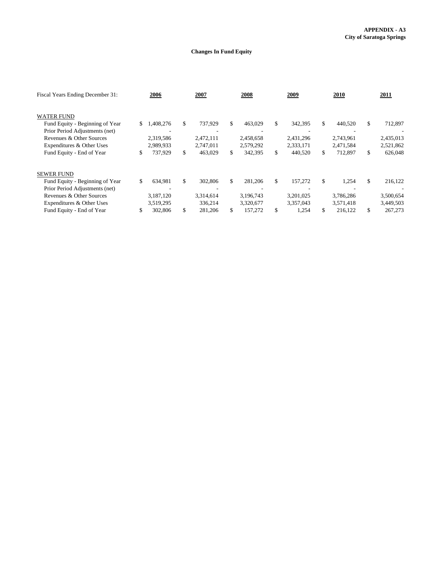## **Changes In Fund Equity**

| Fiscal Years Ending December 31: | 2006           |     | 2007      |    | 2008      | 2009          | 2010          | 2011          |
|----------------------------------|----------------|-----|-----------|----|-----------|---------------|---------------|---------------|
| <b>WATER FUND</b>                |                |     |           |    |           |               |               |               |
| Fund Equity - Beginning of Year  | \$<br>.408.276 | \$  | 737.929   | \$ | 463.029   | \$<br>342,395 | \$<br>440,520 | \$<br>712,897 |
| Prior Period Adjustments (net)   |                |     |           |    |           |               |               |               |
| Revenues & Other Sources         | 2,319,586      |     | 2,472,111 |    | 2,458,658 | 2,431,296     | 2,743,961     | 2,435,013     |
| Expenditures & Other Uses        | 2,989,933      |     | 2,747,011 |    | 2,579,292 | 2,333,171     | 2,471,584     | 2,521,862     |
| Fund Equity - End of Year        | \$<br>737,929  | \$. | 463,029   | S. | 342,395   | \$<br>440,520 | \$<br>712,897 | \$<br>626,048 |
| <b>SEWER FUND</b>                |                |     |           |    |           |               |               |               |
| Fund Equity - Beginning of Year  | \$<br>634,981  | \$  | 302,806   | \$ | 281,206   | \$<br>157,272 | \$<br>1,254   | \$<br>216,122 |
| Prior Period Adjustments (net)   |                |     |           |    |           |               |               |               |
| Revenues & Other Sources         | 3,187,120      |     | 3,314,614 |    | 3,196,743 | 3,201,025     | 3,786,286     | 3,500,654     |
| Expenditures & Other Uses        | 3,519,295      |     | 336,214   |    | 3,320,677 | 3,357,043     | 3,571,418     | 3,449,503     |
| Fund Equity - End of Year        | 302,806        | \$  | 281,206   |    | 157,272   | \$<br>1,254   | \$<br>216,122 | \$<br>267,273 |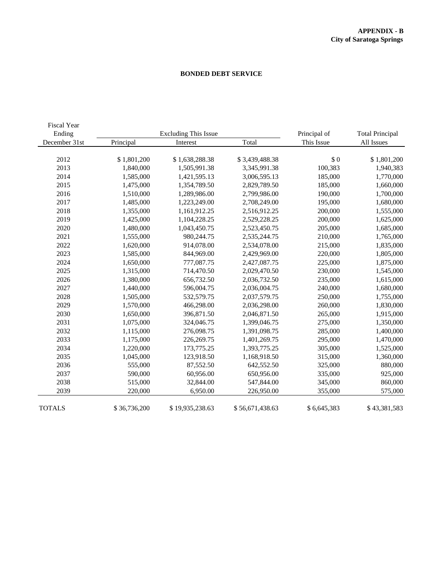## **BONDED DEBT SERVICE**

| Fiscal Year<br>Ending |              | <b>Excluding This Issue</b> |                 | Principal of | <b>Total Principal</b> |
|-----------------------|--------------|-----------------------------|-----------------|--------------|------------------------|
| December 31st         | Principal    | Interest                    | Total           | This Issue   | All Issues             |
|                       |              |                             |                 |              |                        |
| 2012                  | \$1,801,200  | \$1,638,288.38              | \$3,439,488.38  | \$0          | \$1,801,200            |
| 2013                  | 1,840,000    | 1,505,991.38                | 3,345,991.38    | 100,383      | 1,940,383              |
| 2014                  | 1,585,000    | 1,421,595.13                | 3,006,595.13    | 185,000      | 1,770,000              |
| 2015                  | 1,475,000    | 1,354,789.50                | 2,829,789.50    | 185,000      | 1,660,000              |
| 2016                  | 1,510,000    | 1,289,986.00                | 2,799,986.00    | 190,000      | 1,700,000              |
| 2017                  | 1,485,000    | 1,223,249.00                | 2,708,249.00    | 195,000      | 1,680,000              |
| 2018                  | 1,355,000    | 1,161,912.25                | 2,516,912.25    | 200,000      | 1,555,000              |
| 2019                  | 1,425,000    | 1,104,228.25                | 2,529,228.25    | 200,000      | 1,625,000              |
| 2020                  | 1,480,000    | 1,043,450.75                | 2,523,450.75    | 205,000      | 1,685,000              |
| 2021                  | 1,555,000    | 980,244.75                  | 2,535,244.75    | 210,000      | 1,765,000              |
| 2022                  | 1,620,000    | 914,078.00                  | 2,534,078.00    | 215,000      | 1,835,000              |
| 2023                  | 1,585,000    | 844,969.00                  | 2,429,969.00    | 220,000      | 1,805,000              |
| 2024                  | 1,650,000    | 777,087.75                  | 2,427,087.75    | 225,000      | 1,875,000              |
| 2025                  | 1,315,000    | 714,470.50                  | 2,029,470.50    | 230,000      | 1,545,000              |
| 2026                  | 1,380,000    | 656,732.50                  | 2,036,732.50    | 235,000      | 1,615,000              |
| 2027                  | 1,440,000    | 596,004.75                  | 2,036,004.75    | 240,000      | 1,680,000              |
| 2028                  | 1,505,000    | 532,579.75                  | 2,037,579.75    | 250,000      | 1,755,000              |
| 2029                  | 1,570,000    | 466,298.00                  | 2,036,298.00    | 260,000      | 1,830,000              |
| 2030                  | 1,650,000    | 396,871.50                  | 2,046,871.50    | 265,000      | 1,915,000              |
| 2031                  | 1,075,000    | 324,046.75                  | 1,399,046.75    | 275,000      | 1,350,000              |
| 2032                  | 1,115,000    | 276,098.75                  | 1,391,098.75    | 285,000      | 1,400,000              |
| 2033                  | 1,175,000    | 226,269.75                  | 1,401,269.75    | 295,000      | 1,470,000              |
| 2034                  | 1,220,000    | 173,775.25                  | 1,393,775.25    | 305,000      | 1,525,000              |
| 2035                  | 1,045,000    | 123,918.50                  | 1,168,918.50    | 315,000      | 1,360,000              |
| 2036                  | 555,000      | 87,552.50                   | 642,552.50      | 325,000      | 880,000                |
| 2037                  | 590,000      | 60,956.00                   | 650,956.00      | 335,000      | 925,000                |
| 2038                  | 515,000      | 32,844.00                   | 547,844.00      | 345,000      | 860,000                |
| 2039                  | 220,000      | 6,950.00                    | 226,950.00      | 355,000      | 575,000                |
| <b>TOTALS</b>         | \$36,736,200 | \$19,935,238.63             | \$56,671,438.63 | \$6,645,383  | \$43,381,583           |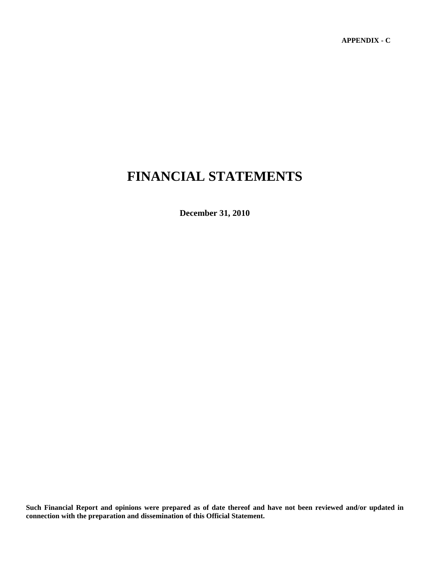**APPENDIX - C** 

# **FINANCIAL STATEMENTS**

**December 31, 2010** 

**Such Financial Report and opinions were prepared as of date thereof and have not been reviewed and/or updated in connection with the preparation and dissemination of this Official Statement.**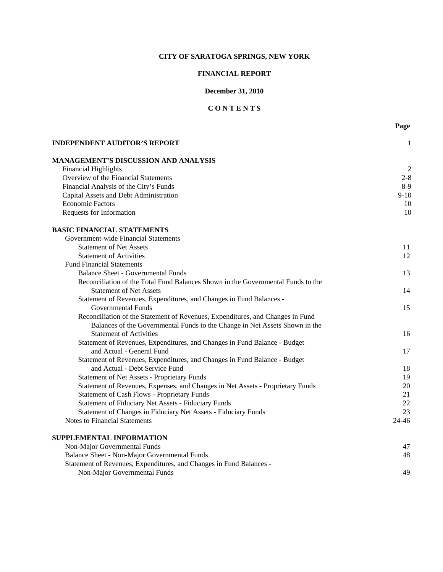# **FINANCIAL REPORT**

# **December 31, 2010**

# **C O N T E N T S**

|                                                                                  | Page      |
|----------------------------------------------------------------------------------|-----------|
| <b>INDEPENDENT AUDITOR'S REPORT</b>                                              | 1         |
| MANAGEMENT'S DISCUSSION AND ANALYSIS                                             |           |
| <b>Financial Highlights</b>                                                      | 2         |
| Overview of the Financial Statements                                             | $2 - 8$   |
| Financial Analysis of the City's Funds                                           | $8-9$     |
| Capital Assets and Debt Administration                                           | $9-10$    |
| <b>Economic Factors</b>                                                          | 10        |
| Requests for Information                                                         | 10        |
| <b>BASIC FINANCIAL STATEMENTS</b>                                                |           |
| Government-wide Financial Statements                                             |           |
| <b>Statement of Net Assets</b>                                                   | 11        |
| <b>Statement of Activities</b>                                                   | 12        |
| <b>Fund Financial Statements</b>                                                 |           |
| <b>Balance Sheet - Governmental Funds</b>                                        | 13        |
| Reconciliation of the Total Fund Balances Shown in the Governmental Funds to the |           |
| <b>Statement of Net Assets</b>                                                   | 14        |
| Statement of Revenues, Expenditures, and Changes in Fund Balances -              |           |
| Governmental Funds                                                               | 15        |
| Reconciliation of the Statement of Revenues, Expenditures, and Changes in Fund   |           |
| Balances of the Governmental Funds to the Change in Net Assets Shown in the      |           |
| <b>Statement of Activities</b>                                                   | 16        |
| Statement of Revenues, Expenditures, and Changes in Fund Balance - Budget        |           |
| and Actual - General Fund                                                        | 17        |
| Statement of Revenues, Expenditures, and Changes in Fund Balance - Budget        |           |
| and Actual - Debt Service Fund                                                   | 18        |
| <b>Statement of Net Assets - Proprietary Funds</b>                               | 19        |
| Statement of Revenues, Expenses, and Changes in Net Assets - Proprietary Funds   | 20        |
| <b>Statement of Cash Flows - Proprietary Funds</b>                               | 21        |
| Statement of Fiduciary Net Assets - Fiduciary Funds                              | 22        |
| Statement of Changes in Fiduciary Net Assets - Fiduciary Funds                   | 23        |
| <b>Notes to Financial Statements</b>                                             | $24 - 46$ |
| SUPPLEMENTAL INFORMATION                                                         |           |
| Non-Major Governmental Funds                                                     | 47        |
| Balance Sheet - Non-Major Governmental Funds                                     | 48        |
| Statement of Revenues, Expenditures, and Changes in Fund Balances -              |           |
| Non-Major Governmental Funds                                                     | 49        |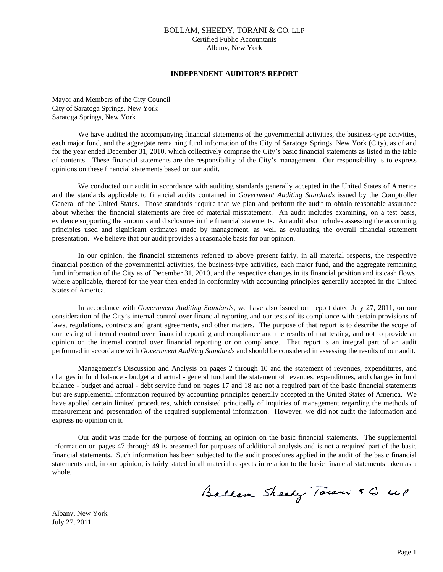# BOLLAM, SHEEDY, TORANI & CO. LLP Certified Public Accountants Albany, New York

#### **INDEPENDENT AUDITOR'S REPORT**

Mayor and Members of the City Council City of Saratoga Springs, New York Saratoga Springs, New York

We have audited the accompanying financial statements of the governmental activities, the business-type activities, each major fund, and the aggregate remaining fund information of the City of Saratoga Springs, New York (City), as of and for the year ended December 31, 2010, which collectively comprise the City's basic financial statements as listed in the table of contents. These financial statements are the responsibility of the City's management. Our responsibility is to express opinions on these financial statements based on our audit.

 We conducted our audit in accordance with auditing standards generally accepted in the United States of America and the standards applicable to financial audits contained in *Government Auditing Standards* issued by the Comptroller General of the United States. Those standards require that we plan and perform the audit to obtain reasonable assurance about whether the financial statements are free of material misstatement. An audit includes examining, on a test basis, evidence supporting the amounts and disclosures in the financial statements. An audit also includes assessing the accounting principles used and significant estimates made by management, as well as evaluating the overall financial statement presentation. We believe that our audit provides a reasonable basis for our opinion.

 In our opinion, the financial statements referred to above present fairly, in all material respects, the respective financial position of the governmental activities, the business-type activities, each major fund, and the aggregate remaining fund information of the City as of December 31, 2010, and the respective changes in its financial position and its cash flows, where applicable, thereof for the year then ended in conformity with accounting principles generally accepted in the United States of America.

 In accordance with *Government Auditing Standards*, we have also issued our report dated July 27, 2011, on our consideration of the City's internal control over financial reporting and our tests of its compliance with certain provisions of laws, regulations, contracts and grant agreements, and other matters. The purpose of that report is to describe the scope of our testing of internal control over financial reporting and compliance and the results of that testing, and not to provide an opinion on the internal control over financial reporting or on compliance. That report is an integral part of an audit performed in accordance with *Government Auditing Standards* and should be considered in assessing the results of our audit.

 Management's Discussion and Analysis on pages 2 through 10 and the statement of revenues, expenditures, and changes in fund balance - budget and actual - general fund and the statement of revenues, expenditures, and changes in fund balance - budget and actual - debt service fund on pages 17 and 18 are not a required part of the basic financial statements but are supplemental information required by accounting principles generally accepted in the United States of America. We have applied certain limited procedures, which consisted principally of inquiries of management regarding the methods of measurement and presentation of the required supplemental information. However, we did not audit the information and express no opinion on it.

 Our audit was made for the purpose of forming an opinion on the basic financial statements. The supplemental information on pages 47 through 49 is presented for purposes of additional analysis and is not a required part of the basic financial statements. Such information has been subjected to the audit procedures applied in the audit of the basic financial statements and, in our opinion, is fairly stated in all material respects in relation to the basic financial statements taken as a whole.

Ballam Sheedy Town & G up

Albany, New York July 27, 2011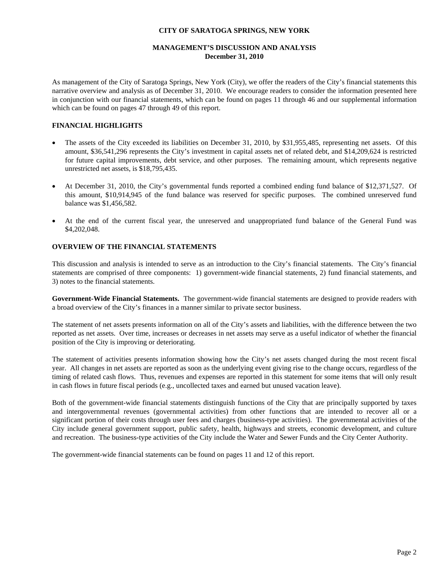# **MANAGEMENT'S DISCUSSION AND ANALYSIS December 31, 2010**

As management of the City of Saratoga Springs, New York (City), we offer the readers of the City's financial statements this narrative overview and analysis as of December 31, 2010. We encourage readers to consider the information presented here in conjunction with our financial statements, which can be found on pages 11 through 46 and our supplemental information which can be found on pages 47 through 49 of this report.

# **FINANCIAL HIGHLIGHTS**

- The assets of the City exceeded its liabilities on December 31, 2010, by \$31,955,485, representing net assets. Of this amount, \$36,541,296 represents the City's investment in capital assets net of related debt, and \$14,209,624 is restricted for future capital improvements, debt service, and other purposes. The remaining amount, which represents negative unrestricted net assets, is \$18,795,435.
- At December 31, 2010, the City's governmental funds reported a combined ending fund balance of \$12,371,527. Of this amount, \$10,914,945 of the fund balance was reserved for specific purposes. The combined unreserved fund balance was \$1,456,582.
- At the end of the current fiscal year, the unreserved and unappropriated fund balance of the General Fund was \$4,202,048.

# **OVERVIEW OF THE FINANCIAL STATEMENTS**

This discussion and analysis is intended to serve as an introduction to the City's financial statements. The City's financial statements are comprised of three components: 1) government-wide financial statements, 2) fund financial statements, and 3) notes to the financial statements.

**Government-Wide Financial Statements.** The government-wide financial statements are designed to provide readers with a broad overview of the City's finances in a manner similar to private sector business.

The statement of net assets presents information on all of the City's assets and liabilities, with the difference between the two reported as net assets. Over time, increases or decreases in net assets may serve as a useful indicator of whether the financial position of the City is improving or deteriorating.

The statement of activities presents information showing how the City's net assets changed during the most recent fiscal year. All changes in net assets are reported as soon as the underlying event giving rise to the change occurs, regardless of the timing of related cash flows. Thus, revenues and expenses are reported in this statement for some items that will only result in cash flows in future fiscal periods (e.g., uncollected taxes and earned but unused vacation leave).

Both of the government-wide financial statements distinguish functions of the City that are principally supported by taxes and intergovernmental revenues (governmental activities) from other functions that are intended to recover all or a significant portion of their costs through user fees and charges (business-type activities). The governmental activities of the City include general government support, public safety, health, highways and streets, economic development, and culture and recreation. The business-type activities of the City include the Water and Sewer Funds and the City Center Authority.

The government-wide financial statements can be found on pages 11 and 12 of this report.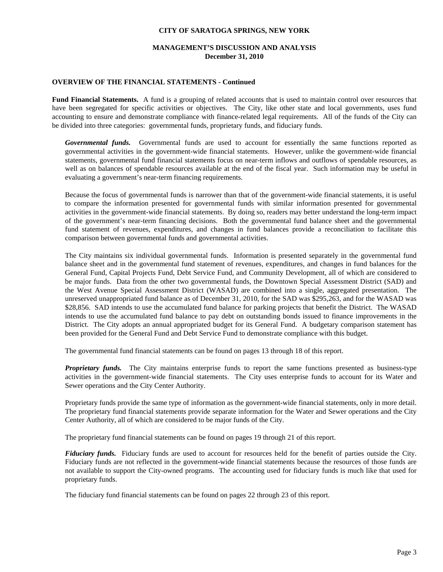# **MANAGEMENT'S DISCUSSION AND ANALYSIS December 31, 2010**

#### **OVERVIEW OF THE FINANCIAL STATEMENTS - Continued**

**Fund Financial Statements.** A fund is a grouping of related accounts that is used to maintain control over resources that have been segregated for specific activities or objectives. The City, like other state and local governments, uses fund accounting to ensure and demonstrate compliance with finance-related legal requirements. All of the funds of the City can be divided into three categories: governmental funds, proprietary funds, and fiduciary funds.

*Governmental funds.* Governmental funds are used to account for essentially the same functions reported as governmental activities in the government-wide financial statements. However, unlike the government-wide financial statements, governmental fund financial statements focus on near-term inflows and outflows of spendable resources, as well as on balances of spendable resources available at the end of the fiscal year. Such information may be useful in evaluating a government's near-term financing requirements.

Because the focus of governmental funds is narrower than that of the government-wide financial statements, it is useful to compare the information presented for governmental funds with similar information presented for governmental activities in the government-wide financial statements. By doing so, readers may better understand the long-term impact of the government's near-term financing decisions. Both the governmental fund balance sheet and the governmental fund statement of revenues, expenditures, and changes in fund balances provide a reconciliation to facilitate this comparison between governmental funds and governmental activities.

The City maintains six individual governmental funds. Information is presented separately in the governmental fund balance sheet and in the governmental fund statement of revenues, expenditures, and changes in fund balances for the General Fund, Capital Projects Fund, Debt Service Fund, and Community Development, all of which are considered to be major funds. Data from the other two governmental funds, the Downtown Special Assessment District (SAD) and the West Avenue Special Assessment District (WASAD) are combined into a single, aggregated presentation. The unreserved unappropriated fund balance as of December 31, 2010, for the SAD was \$295,263, and for the WASAD was \$28,856. SAD intends to use the accumulated fund balance for parking projects that benefit the District. The WASAD intends to use the accumulated fund balance to pay debt on outstanding bonds issued to finance improvements in the District. The City adopts an annual appropriated budget for its General Fund. A budgetary comparison statement has been provided for the General Fund and Debt Service Fund to demonstrate compliance with this budget.

The governmental fund financial statements can be found on pages 13 through 18 of this report.

*Proprietary funds.* The City maintains enterprise funds to report the same functions presented as business-type activities in the government-wide financial statements. The City uses enterprise funds to account for its Water and Sewer operations and the City Center Authority.

Proprietary funds provide the same type of information as the government-wide financial statements, only in more detail. The proprietary fund financial statements provide separate information for the Water and Sewer operations and the City Center Authority, all of which are considered to be major funds of the City.

The proprietary fund financial statements can be found on pages 19 through 21 of this report.

*Fiduciary funds.* Fiduciary funds are used to account for resources held for the benefit of parties outside the City. Fiduciary funds are not reflected in the government-wide financial statements because the resources of those funds are not available to support the City-owned programs. The accounting used for fiduciary funds is much like that used for proprietary funds.

The fiduciary fund financial statements can be found on pages 22 through 23 of this report.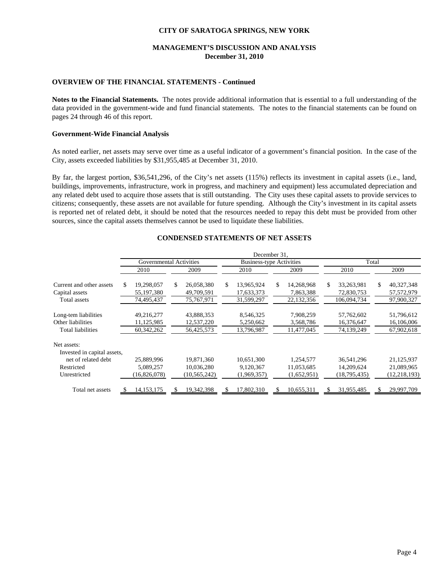# **MANAGEMENT'S DISCUSSION AND ANALYSIS December 31, 2010**

#### **OVERVIEW OF THE FINANCIAL STATEMENTS - Continued**

**Notes to the Financial Statements.** The notes provide additional information that is essential to a full understanding of the data provided in the government-wide and fund financial statements. The notes to the financial statements can be found on pages 24 through 46 of this report.

#### **Government-Wide Financial Analysis**

As noted earlier, net assets may serve over time as a useful indicator of a government's financial position. In the case of the City, assets exceeded liabilities by \$31,955,485 at December 31, 2010.

By far, the largest portion, \$36,541,296, of the City's net assets (115%) reflects its investment in capital assets (i.e., land, buildings, improvements, infrastructure, work in progress, and machinery and equipment) less accumulated depreciation and any related debt used to acquire those assets that is still outstanding. The City uses these capital assets to provide services to citizens; consequently, these assets are not available for future spending. Although the City's investment in its capital assets is reported net of related debt, it should be noted that the resources needed to repay this debt must be provided from other sources, since the capital assets themselves cannot be used to liquidate these liabilities.

|                                                                                                 |     |                                         |    |                                            |     | December 31,                           |                                             |    |                                            |       |                                            |
|-------------------------------------------------------------------------------------------------|-----|-----------------------------------------|----|--------------------------------------------|-----|----------------------------------------|---------------------------------------------|----|--------------------------------------------|-------|--------------------------------------------|
|                                                                                                 |     | Governmental Activities                 |    |                                            |     | <b>Business-type Activities</b>        |                                             |    |                                            | Total |                                            |
|                                                                                                 |     | 2010                                    |    | 2009                                       |     | 2010                                   | 2009                                        |    | 2010                                       |       | 2009                                       |
| Current and other assets<br>Capital assets<br>Total assets                                      | \$. | 19,298,057<br>55,197,380<br>74,495,437  | \$ | 26,058,380<br>49,709,591<br>75,767,971     | \$. | 13,965,924<br>17,633,373<br>31,599,297 | \$<br>14,268,968<br>7,863,388<br>22,132,356 | \$ | 33,263,981<br>72,830,753<br>106,094,734    | \$.   | 40,327,348<br>57,572,979<br>97,900,327     |
| Long-tem liabilities<br>Other liabilities<br>Total liabilities                                  |     | 49,216,277<br>11,125,985<br>60,342,262  |    | 43,888,353<br>12,537,220<br>56,425,573     |     | 8,546,325<br>5,250,662<br>13,796,987   | 7,908,259<br>3,568,786<br>11,477,045        |    | 57,762,602<br>16,376,647<br>74,139,249     |       | 51,796,612<br>16,106,006<br>67,902,618     |
| Net assets:<br>Invested in capital assets,<br>net of related debt<br>Restricted<br>Unrestricted |     | 25,889,996<br>5,089,257<br>(16,826,078) |    | 19,871,360<br>10,036,280<br>(10, 565, 242) |     | 10,651,300<br>9,120,367<br>(1,969,357) | 1,254,577<br>11,053,685<br>(1,652,951)      |    | 36,541,296<br>14,209,624<br>(18, 795, 435) |       | 21,125,937<br>21,089,965<br>(12, 218, 193) |
| Total net assets                                                                                | S   | 14, 153, 175                            | S  | 19,342,398                                 |     | 17,802,310                             | 10,655,311                                  | S  | 31,955,485                                 | \$    | 29,997,709                                 |

#### **CONDENSED STATEMENTS OF NET ASSETS**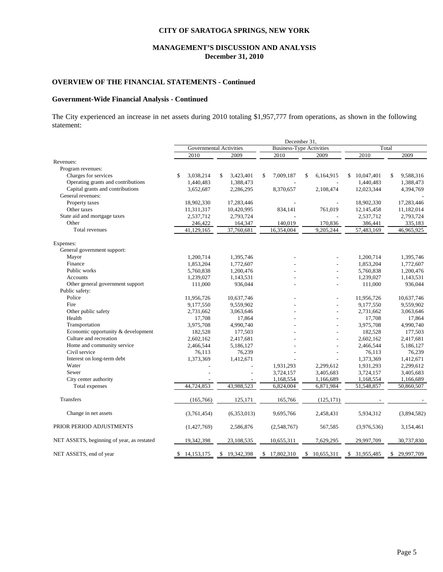# **MANAGEMENT'S DISCUSSION AND ANALYSIS December 31, 2010**

# **OVERVIEW OF THE FINANCIAL STATEMENTS - Continued**

# **Government-Wide Financial Analysis - Continued**

The City experienced an increase in net assets during 2010 totaling \$1,957,777 from operations, as shown in the following statement:

|                                            |                 |                                |                 | December 31,                    |                  |                    |
|--------------------------------------------|-----------------|--------------------------------|-----------------|---------------------------------|------------------|--------------------|
|                                            |                 | <b>Governmental Activities</b> |                 | <b>Business-Type Activities</b> |                  | Total              |
|                                            | 2010            | 2009                           | 2010            | 2009                            | 2010             | 2009               |
| Revenues:                                  |                 |                                |                 |                                 |                  |                    |
| Program revenues:                          |                 |                                |                 |                                 |                  |                    |
| Charges for services                       | 3,038,214<br>\$ | 3,423,401<br>\$                | 7,009,187<br>\$ | 6,164,915<br>\$                 | 10,047,401<br>\$ | 9,588,316<br>\$    |
| Operating grants and contributions         | 1,440,483       | 1,388,473                      |                 |                                 | 1,440,483        | 1,388,473          |
| Capital grants and contributions           | 3,652,687       | 2,286,295                      | 8,370,657       | 2,108,474                       | 12,023,344       | 4,394,769          |
| General revenues:                          |                 |                                |                 |                                 |                  |                    |
| Property taxes                             | 18,902,330      | 17,283,446                     |                 |                                 | 18,902,330       | 17,283,446         |
| Other taxes                                | 11,311,317      | 10,420,995                     | 834,141         | 761,019                         | 12,145,458       | 11,182,014         |
| State aid and mortgage taxes               | 2,537,712       | 2,793,724                      |                 |                                 | 2,537,712        | 2,793,724          |
| Other                                      | 246,422         | 164,347                        | 140,019         | 170,836                         | 386,441          | 335,183            |
| Total revenues                             | 41,129,165      | 37,760,681                     | 16,354,004      | 9,205,244                       | 57,483,169       | 46,965,925         |
| Expenses:                                  |                 |                                |                 |                                 |                  |                    |
| General government support:                |                 |                                |                 |                                 |                  |                    |
| Mayor                                      | 1,200,714       | 1,395,746                      |                 |                                 | 1,200,714        | 1,395,746          |
| Finance                                    | 1,853,204       | 1,772,607                      |                 |                                 | 1,853,204        | 1,772,607          |
| Public works                               | 5,760,838       | 1,200,476                      |                 |                                 | 5,760,838        | 1,200,476          |
| <b>Accounts</b>                            | 1,239,027       | 1,143,531                      |                 | $\overline{a}$                  | 1,239,027        | 1,143,531          |
| Other general government support           | 111,000         | 936,044                        |                 |                                 | 111,000          | 936,044            |
| Public safety:                             |                 |                                |                 |                                 |                  |                    |
| Police                                     | 11,956,726      | 10,637,746                     |                 |                                 | 11,956,726       | 10,637,746         |
| Fire                                       | 9,177,550       | 9,559,902                      |                 |                                 | 9,177,550        | 9,559,902          |
| Other public safety                        | 2,731,662       | 3,063,646                      |                 | $\overline{a}$                  | 2,731,662        | 3,063,646          |
| Health                                     | 17,708          | 17,864                         |                 |                                 | 17,708           | 17,864             |
| Transportation                             | 3,975,708       | 4,990,740                      |                 |                                 | 3,975,708        | 4,990,740          |
| Economic opportunity & development         | 182,528         | 177,503                        |                 |                                 | 182,528          | 177,503            |
| Culture and recreation                     | 2,602,162       | 2,417,681                      |                 |                                 | 2,602,162        | 2,417,681          |
| Home and community service                 | 2,466,544       | 5,186,127                      |                 |                                 | 2,466,544        | 5,186,127          |
| Civil service                              | 76,113          | 76,239                         |                 |                                 | 76,113           | 76,239             |
| Interest on long-term debt                 | 1,373,369       | 1,412,671                      |                 |                                 | 1,373,369        | 1,412,671          |
| Water                                      |                 |                                | 1,931,293       | 2,299,612                       | 1,931,293        | 2,299,612          |
| Sewer                                      |                 |                                | 3,724,157       | 3,405,683                       | 3,724,157        | 3,405,683          |
| City center authority                      |                 |                                | 1,168,554       | 1,166,689                       | 1,168,554        | 1,166,689          |
| Total expenses                             | 44,724,853      | 43,988,523                     | 6,824,004       | 6,871,984                       | 51,548,857       | 50,860,507         |
| Transfers                                  | (165, 766)      | 125,171                        | 165,766         | (125, 171)                      |                  |                    |
| Change in net assets                       | (3,761,454)     | (6,353,013)                    | 9,695,766       | 2,458,431                       | 5,934,312        | (3,894,582)        |
| PRIOR PERIOD ADJUSTMENTS                   | (1,427,769)     | 2,586,876                      | (2,548,767)     | 567,585                         | (3,976,536)      | 3,154,461          |
| NET ASSETS, beginning of year, as restated | 19,342,398      | 23,108,535                     | 10,655,311      | 7,629,295                       | 29,997,709       | 30,737,830         |
| NET ASSETS, end of year                    | \$14,153,175    | \$19,342,398                   | \$17,802,310    | \$ 10,655,311                   | \$31,955,485     | - \$<br>29,997,709 |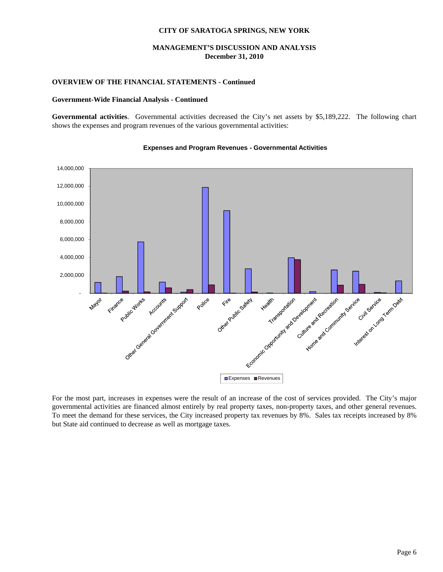# **MANAGEMENT'S DISCUSSION AND ANALYSIS December 31, 2010**

#### **OVERVIEW OF THE FINANCIAL STATEMENTS - Continued**

#### **Government-Wide Financial Analysis - Continued**

**Governmental activities**. Governmental activities decreased the City's net assets by \$5,189,222. The following chart shows the expenses and program revenues of the various governmental activities:



#### **Expenses and Program Revenues - Governmental Activities**

For the most part, increases in expenses were the result of an increase of the cost of services provided. The City's major governmental activities are financed almost entirely by real property taxes, non-property taxes, and other general revenues. To meet the demand for these services, the City increased property tax revenues by 8%. Sales tax receipts increased by 8% but State aid continued to decrease as well as mortgage taxes.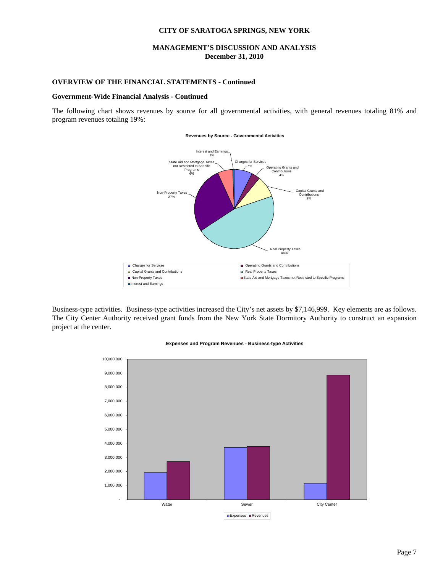# **MANAGEMENT'S DISCUSSION AND ANALYSIS December 31, 2010**

#### **OVERVIEW OF THE FINANCIAL STATEMENTS - Continued**

#### **Government-Wide Financial Analysis - Continued**

The following chart shows revenues by source for all governmental activities, with general revenues totaling 81% and program revenues totaling 19%:



#### **Revenues by Source - Governmental Activities**

Business-type activities. Business-type activities increased the City's net assets by \$7,146,999. Key elements are as follows. The City Center Authority received grant funds from the New York State Dormitory Authority to construct an expansion project at the center.



#### **Expenses and Program Revenues - Business-type Activities**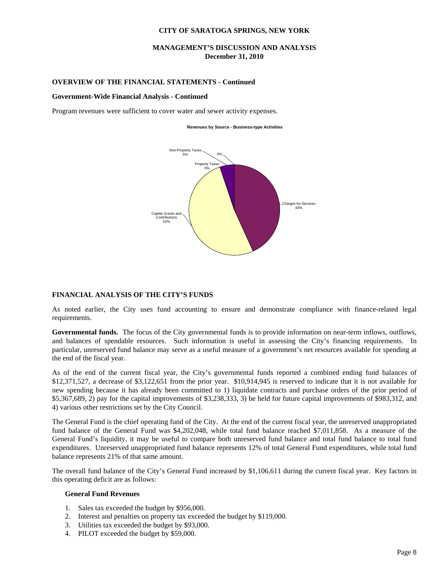**MANAGEMENT'S DISCUSSION AND ANALYSIS December 31, 2010** 

#### **OVERVIEW OF THE FINANCIAL STATEMENTS - Continued**

#### **Government-Wide Financial Analysis - Continued**

Program revenues were sufficient to cover water and sewer activity expenses.

**Revenues by Source - Business-type Activities**



#### **FINANCIAL ANALYSIS OF THE CITY'S FUNDS**

As noted earlier, the City uses fund accounting to ensure and demonstrate compliance with finance-related legal requirements.

**Governmental funds.** The focus of the City governmental funds is to provide information on near-term inflows, outflows, and balances of spendable resources. Such information is useful in assessing the City's financing requirements. In particular, unreserved fund balance may serve as a useful measure of a government's net resources available for spending at the end of the fiscal year.

As of the end of the current fiscal year, the City's governmental funds reported a combined ending fund balances of \$12,371,527, a decrease of \$3,122,651 from the prior year. \$10,914,945 is reserved to indicate that it is not available for new spending because it has already been committed to 1) liquidate contracts and purchase orders of the prior period of \$5,367,689, 2) pay for the capital improvements of \$3,238,333, 3) be held for future capital improvements of \$983,312, and 4) various other restrictions set by the City Council.

The General Fund is the chief operating fund of the City. At the end of the current fiscal year, the unreserved unappropriated fund balance of the General Fund was \$4,202,048, while total fund balance reached \$7,011,858. As a measure of the General Fund's liquidity, it may be useful to compare both unreserved fund balance and total fund balance to total fund expenditures. Unreserved unappropriated fund balance represents 12% of total General Fund expenditures, while total fund balance represents 21% of that same amount.

The overall fund balance of the City's General Fund increased by \$1,106,611 during the current fiscal year. Key factors in this operating deficit are as follows:

#### **General Fund Revenues**

- 1. Sales tax exceeded the budget by \$956,000.
- 2. Interest and penalties on property tax exceeded the budget by \$119,000.
- 3. Utilities tax exceeded the budget by \$93,000.
- 4. PILOT exceeded the budget by \$59,000.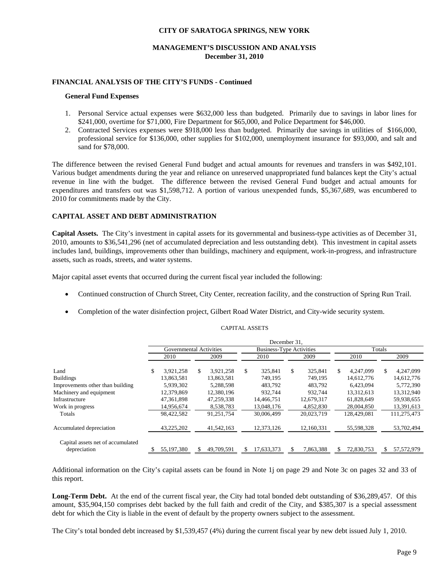# **MANAGEMENT'S DISCUSSION AND ANALYSIS December 31, 2010**

# **FINANCIAL ANALYSIS OF THE CITY'S FUNDS - Continued**

#### **General Fund Expenses**

- 1. Personal Service actual expenses were \$632,000 less than budgeted. Primarily due to savings in labor lines for \$241,000, overtime for \$71,000, Fire Department for \$65,000, and Police Department for \$46,000.
- 2. Contracted Services expenses were \$918,000 less than budgeted. Primarily due savings in utilities of \$166,000, professional service for \$136,000, other supplies for \$102,000, unemployment insurance for \$93,000, and salt and sand for \$78,000.

The difference between the revised General Fund budget and actual amounts for revenues and transfers in was \$492,101. Various budget amendments during the year and reliance on unreserved unappropriated fund balances kept the City's actual revenue in line with the budget. The difference between the revised General Fund budget and actual amounts for expenditures and transfers out was \$1,598,712. A portion of various unexpended funds, \$5,367,689, was encumbered to 2010 for commitments made by the City.

#### **CAPITAL ASSET AND DEBT ADMINISTRATION**

**Capital Assets.** The City's investment in capital assets for its governmental and business-type activities as of December 31, 2010, amounts to \$36,541,296 (net of accumulated depreciation and less outstanding debt). This investment in capital assets includes land, buildings, improvements other than buildings, machinery and equipment, work-in-progress, and infrastructure assets, such as roads, streets, and water systems.

Major capital asset events that occurred during the current fiscal year included the following:

- Continued construction of Church Street, City Center, recreation facility, and the construction of Spring Run Trail.
- Completion of the water disinfection project, Gilbert Road Water District, and City-wide security system.

| CAPITAL ASSETS |  |
|----------------|--|
|                |  |

|                                                   |                                |            | December 31.                    |                 |     |             |        |             |
|---------------------------------------------------|--------------------------------|------------|---------------------------------|-----------------|-----|-------------|--------|-------------|
|                                                   | <b>Governmental Activities</b> |            | <b>Business-Type Activities</b> |                 |     |             | Totals |             |
|                                                   | 2010                           | 2009       | 2010                            | 2009            |     | 2010        |        | 2009        |
| Land                                              | \$<br>3,921,258                | 3.921.258  | \$<br>325.841                   | \$<br>325,841   | \$  | 4,247,099   |        | 4,247,099   |
| <b>Buildings</b>                                  | 13,863,581                     | 13,863,581 | 749.195                         | 749.195         |     | 14.612.776  |        | 14,612,776  |
| Improvements other than building                  | 5,939,302                      | 5,288,598  | 483.792                         | 483.792         |     | 6.423.094   |        | 5,772,390   |
| Machinery and equipment                           | 12,379,869                     | 12,380,196 | 932.744                         | 932.744         |     | 13.312.613  |        | 13,312,940  |
| Infrastructure                                    | 47,361,898                     | 47,259,338 | 14,466,751                      | 12.679.317      |     | 61,828,649  |        | 59,938,655  |
| Work in progress                                  | 14,956,674                     | 8,538,783  | 13,048,176                      | 4,852,830       |     | 28,004,850  |        | 13,391,613  |
| Totals                                            | 98,422,582                     | 91,251,754 | 30,006,499                      | 20,023,719      |     | 128.429.081 |        | 111,275,473 |
| Accumulated depreciation                          | 43,225,202                     | 41,542,163 | 12,373,126                      | 12,160,331      |     | 55,598,328  |        | 53,702,494  |
| Capital assets net of accumulated<br>depreciation | 55.197.380                     | 49.709.591 | 17.633.373                      | \$<br>7.863.388 | \$. | 72,830,753  | S.     | 57,572,979  |

Additional information on the City's capital assets can be found in Note 1j on page 29 and Note 3c on pages 32 and 33 of this report.

**Long-Term Debt.** At the end of the current fiscal year, the City had total bonded debt outstanding of \$36,289,457. Of this amount, \$35,904,150 comprises debt backed by the full faith and credit of the City, and \$385,307 is a special assessment debt for which the City is liable in the event of default by the property owners subject to the assessment.

The City's total bonded debt increased by \$1,539,457 (4%) during the current fiscal year by new debt issued July 1, 2010.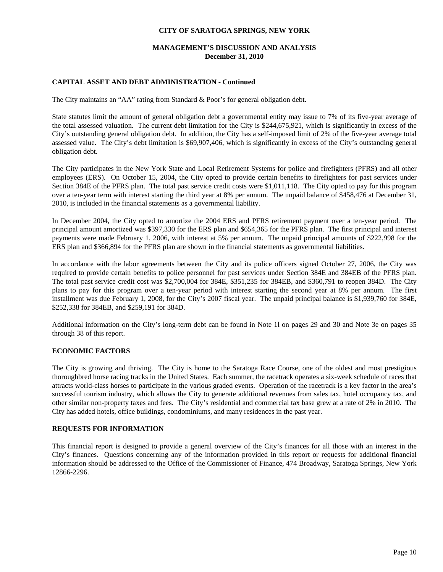# **MANAGEMENT'S DISCUSSION AND ANALYSIS December 31, 2010**

# **CAPITAL ASSET AND DEBT ADMINISTRATION - Continued**

The City maintains an "AA" rating from Standard & Poor's for general obligation debt.

State statutes limit the amount of general obligation debt a governmental entity may issue to 7% of its five-year average of the total assessed valuation. The current debt limitation for the City is \$244,675,921, which is significantly in excess of the City's outstanding general obligation debt. In addition, the City has a self-imposed limit of 2% of the five-year average total assessed value. The City's debt limitation is \$69,907,406, which is significantly in excess of the City's outstanding general obligation debt.

The City participates in the New York State and Local Retirement Systems for police and firefighters (PFRS) and all other employees (ERS). On October 15, 2004, the City opted to provide certain benefits to firefighters for past services under Section 384E of the PFRS plan. The total past service credit costs were \$1,011,118. The City opted to pay for this program over a ten-year term with interest starting the third year at 8% per annum. The unpaid balance of \$458,476 at December 31, 2010, is included in the financial statements as a governmental liability.

In December 2004, the City opted to amortize the 2004 ERS and PFRS retirement payment over a ten-year period. The principal amount amortized was \$397,330 for the ERS plan and \$654,365 for the PFRS plan. The first principal and interest payments were made February 1, 2006, with interest at 5% per annum. The unpaid principal amounts of \$222,998 for the ERS plan and \$366,894 for the PFRS plan are shown in the financial statements as governmental liabilities.

In accordance with the labor agreements between the City and its police officers signed October 27, 2006, the City was required to provide certain benefits to police personnel for past services under Section 384E and 384EB of the PFRS plan. The total past service credit cost was \$2,700,004 for 384E, \$351,235 for 384EB, and \$360,791 to reopen 384D. The City plans to pay for this program over a ten-year period with interest starting the second year at 8% per annum. The first installment was due February 1, 2008, for the City's 2007 fiscal year. The unpaid principal balance is \$1,939,760 for 384E, \$252,338 for 384EB, and \$259,191 for 384D.

Additional information on the City's long-term debt can be found in Note 1l on pages 29 and 30 and Note 3e on pages 35 through 38 of this report.

# **ECONOMIC FACTORS**

The City is growing and thriving. The City is home to the Saratoga Race Course, one of the oldest and most prestigious thoroughbred horse racing tracks in the United States. Each summer, the racetrack operates a six-week schedule of races that attracts world-class horses to participate in the various graded events. Operation of the racetrack is a key factor in the area's successful tourism industry, which allows the City to generate additional revenues from sales tax, hotel occupancy tax, and other similar non-property taxes and fees. The City's residential and commercial tax base grew at a rate of 2% in 2010. The City has added hotels, office buildings, condominiums, and many residences in the past year.

# **REQUESTS FOR INFORMATION**

This financial report is designed to provide a general overview of the City's finances for all those with an interest in the City's finances. Questions concerning any of the information provided in this report or requests for additional financial information should be addressed to the Office of the Commissioner of Finance, 474 Broadway, Saratoga Springs, New York 12866-2296.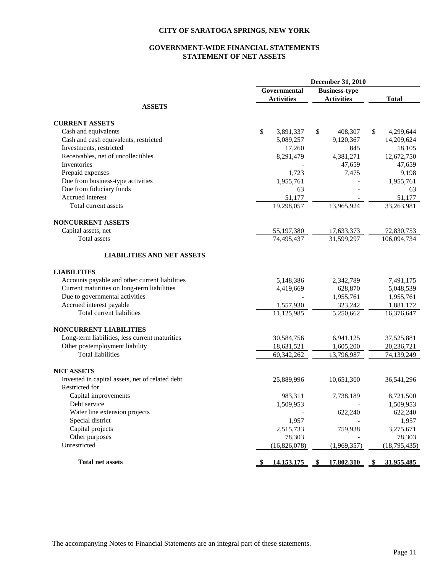# **GOVERNMENT-WIDE FINANCIAL STATEMENTS STATEMENT OF NET ASSETS**

|                                                 |                                   | <b>December 31, 2010</b>                  |                   |
|-------------------------------------------------|-----------------------------------|-------------------------------------------|-------------------|
|                                                 | Governmental<br><b>Activities</b> | <b>Business-type</b><br><b>Activities</b> | <b>Total</b>      |
| <b>ASSETS</b>                                   |                                   |                                           |                   |
| <b>CURRENT ASSETS</b>                           |                                   |                                           |                   |
| Cash and equivalents                            | \$<br>3,891,337                   | \$<br>408,307                             | 4,299,644<br>\$   |
| Cash and cash equivalents, restricted           | 5,089,257                         | 9,120,367                                 | 14,209,624        |
| Investments, restricted                         | 17,260                            | 845                                       | 18,105            |
| Receivables, net of uncollectibles              | 8,291,479                         | 4,381,271                                 | 12,672,750        |
| Inventories                                     |                                   | 47,659                                    | 47,659            |
| Prepaid expenses                                | 1,723                             | 7,475                                     | 9,198             |
| Due from business-type activities               | 1,955,761                         |                                           | 1,955,761         |
| Due from fiduciary funds                        | 63                                |                                           | 63                |
| Accrued interest                                | 51,177                            |                                           | 51,177            |
| Total current assets                            | 19,298,057                        | 13,965,924                                | 33,263,981        |
| <b>NONCURRENT ASSETS</b>                        |                                   |                                           |                   |
| Capital assets, net                             | 55,197,380                        | 17,633,373                                | 72,830,753        |
| <b>Total assets</b>                             | 74,495,437                        | 31,599,297                                | 106,094,734       |
| <b>LIABILITIES AND NET ASSETS</b>               |                                   |                                           |                   |
| <b>LIABILITIES</b>                              |                                   |                                           |                   |
| Accounts payable and other current liabilities  | 5,148,386                         | 2,342,789                                 | 7,491,175         |
| Current maturities on long-term liabilities     | 4,419,669                         | 628,870                                   | 5,048,539         |
| Due to governmental activities                  |                                   | 1,955,761                                 | 1,955,761         |
| Accrued interest payable                        | 1,557,930                         | 323,242                                   | 1,881,172         |
| Total current liabilities                       | 11,125,985                        | 5,250,662                                 | 16,376,647        |
| <b>NONCURRENT LIABILITIES</b>                   |                                   |                                           |                   |
| Long-term liabilities, less current maturities  | 30,584,756                        | 6,941,125                                 | 37,525,881        |
| Other postemployment liability                  | 18,631,521                        | 1,605,200                                 | 20,236,721        |
| <b>Total liabilities</b>                        | 60,342,262                        | 13,796,987                                | 74,139,249        |
| <b>NET ASSETS</b>                               |                                   |                                           |                   |
| Invested in capital assets, net of related debt | 25,889,996                        | 10,651,300                                | 36,541,296        |
| Restricted for                                  |                                   |                                           |                   |
| Capital improvements                            | 983,311                           | 7,738,189                                 | 8,721,500         |
| Debt service                                    | 1,509,953                         |                                           | 1,509,953         |
| Water line extension projects                   |                                   | 622,240                                   | 622,240           |
| Special district                                | 1,957                             |                                           | 1,957             |
| Capital projects                                | 2,515,733                         | 759,938                                   | 3,275,671         |
| Other purposes                                  | 78,303                            |                                           | 78,303            |
| Unrestricted                                    | (16, 826, 078)                    | (1,969,357)                               | (18, 795, 435)    |
| <b>Total net assets</b>                         | <u>14,153,175</u>                 | \$17,802,310                              | <u>31,955,485</u> |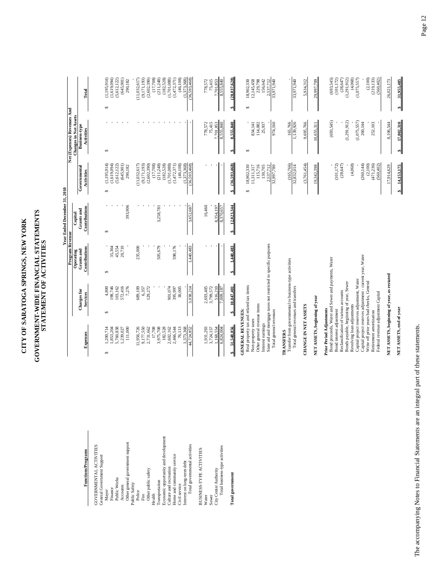CITY OF SARATOGA SPRINGS, NEW YORK **CITY OF SARATOGA SPRINGS, NEW YORK** 

# GOVERNMENT-WIDE FINANCIAL STATEMENTS STATEMENTS **GOVERNMENT-WIDE FINANCIAL STATEMENTS STATEMENT OF ACTIVITIES**

|                                                       |                                                   |                                                                                                         |                              | Year Ended December 31, 2010 |                                           |                                                             |                                                    |
|-------------------------------------------------------|---------------------------------------------------|---------------------------------------------------------------------------------------------------------|------------------------------|------------------------------|-------------------------------------------|-------------------------------------------------------------|----------------------------------------------------|
|                                                       |                                                   |                                                                                                         | Program Revenue<br>Operating | Capital                      |                                           | Net (Expenses) Revenues And<br><b>Changes in Net Assets</b> |                                                    |
| <b>Functions/Programs</b>                             | <b>Expenses</b>                                   | Charges for<br>Services                                                                                 | Contributions<br>Grants and  | Contributions<br>Grants and  | Governmental<br>Activities                | <b>Business-type</b><br>Activities                          | Total                                              |
| GOVERNMENTAL ACTIVITIES<br>General Government Support |                                                   |                                                                                                         |                              |                              |                                           |                                                             |                                                    |
| Mayor                                                 | 1,200,714<br>S                                    | 4,800<br>$\Theta$                                                                                       | $\Theta$                     | $\Theta$                     | (1, 195, 914)<br>S                        | $\Theta$                                                    | (1, 195, 914)<br>S                                 |
| Public Works<br>Finance                               | 5,760,838<br>1,853,204                            | 198,746<br>103,162                                                                                      | 45,554<br>35,364             |                              | (1,619,094)<br>(5, 612, 122)              |                                                             | (1,619,094)<br>(5, 612, 122)                       |
| Accounts                                              | 1,239,027                                         | 572,416                                                                                                 | 20,710                       |                              | (645,901)                                 |                                                             | (645,901)                                          |
| Other general government support<br>Public Safety     | 111,000                                           | 7,276                                                                                                   |                              | 393,906                      | 290,182                                   |                                                             | 290,182                                            |
| Police                                                | 11,956,726                                        | 689,109                                                                                                 | 235,000                      |                              | (11, 032, 617)                            |                                                             | (11,032,617)                                       |
| Other public safety<br>Fire                           | 9,177,550<br>2,731,662                            | 6,357<br>129,272                                                                                        |                              |                              | (9,171,193)<br>(2,602,390)                |                                                             | (9,171,193)<br>(2,602,390)                         |
| Health                                                | 17,708                                            |                                                                                                         |                              |                              | (17,708)                                  | $\mathbf{I}$                                                | (17,708)                                           |
| Economic opportunity and development<br>ransportation | 3,975,708<br>182,528                              |                                                                                                         | 505,679                      | 3,258,781                    | (211,248)<br>(182, 528)                   |                                                             | (211,248)<br>(182, 528)                            |
| Culture and recreation                                | 2,602,162                                         | 901,074                                                                                                 |                              |                              | (1,701,088)                               |                                                             | (1,701,088)                                        |
| Home and community service                            | 2,466,544                                         | 395,997                                                                                                 | 598,176                      |                              | (1,472,371)                               |                                                             | (1,472,371)                                        |
| interest on long-term debt<br>Civil service           | 76,113<br>1,373,368                               | 30,005                                                                                                  |                              |                              | (46, 108)<br>(1,373,368)                  |                                                             | (46, 108)<br>(1,373,368)                           |
| Total governmental activities                         | 44,724,852                                        | 3,038,214                                                                                               | 1,440,483                    | 3,652,687                    | (36,593,468)                              |                                                             | (36,593,468)                                       |
| BUSINESS-TYPE ACTIVITIES                              |                                                   |                                                                                                         |                              |                              |                                           |                                                             |                                                    |
| Water<br>Sewer                                        | 1,931,293<br>3,724,157                            | 2,693,405<br>3,799,572                                                                                  |                              | 16,460                       |                                           | 778,572<br>75,415                                           | 778,572<br>75,415                                  |
| <b>Center Authority</b>                               | ,168,554                                          | 516,210                                                                                                 |                              | 8,354,197                    |                                           | 7,701,853                                                   | 7,701,853                                          |
| Total business-type activities                        | 6,824,004                                         | 7,009,187                                                                                               |                              | 8,370,657                    |                                           | 8,555,840                                                   | 8,555,840                                          |
| <b>Total</b> government                               | 51,548,856                                        | 10,047,401<br>ų                                                                                         | 1,440,483                    | 12,023,344                   | (36,593,468)<br>÷.                        | 8,555,840<br>GR.                                            | (28, 037, 628)<br>Đ,                               |
|                                                       | GENERAL REVENUES:                                 |                                                                                                         |                              |                              |                                           |                                                             |                                                    |
|                                                       |                                                   | Real property tax and related tax items                                                                 |                              |                              | 18,902,330<br>11,311,317<br>$\mathcal{G}$ | $\mathcal{G}$                                               | 18,902,330<br>12,145,458<br>$\boldsymbol{\varphi}$ |
|                                                       | Other general revenue items<br>Non-property taxes |                                                                                                         |                              |                              | 115,716                                   | 114,082<br>834,141                                          | 229,798                                            |
|                                                       | Interest earnings                                 | State aid and mortgage taxes not restricted to specific purposes                                        |                              |                              | 130,705                                   | 25,937                                                      | 156,642                                            |
|                                                       | Total general revenues                            |                                                                                                         |                              |                              | 32,997,780<br>2,537,712                   | 974,160                                                     | 33,971,940<br>2,537,712                            |
|                                                       | TRANSFERS                                         |                                                                                                         |                              |                              |                                           |                                                             |                                                    |
|                                                       |                                                   | Transfer from governmental to business-type activities                                                  |                              |                              | (165,766)                                 | 165,766                                                     |                                                    |
|                                                       |                                                   | Total general revenues and transfers                                                                    |                              |                              | 32,832,014                                | 1,139,926                                                   | 33,971,940                                         |
|                                                       | CHANGE IN NET ASSETS                              |                                                                                                         |                              |                              | (3,761,454)                               | 9,695,766                                                   | 5,934,312                                          |
|                                                       | NET ASSETS, beginning of year                     |                                                                                                         |                              |                              | 19,342,398                                | 10,655,311                                                  | 29,997,709                                         |
|                                                       | <b>Prior Period Adjustments</b>                   | Bond proceeds, Water and Sewer and payments, Water                                                      |                              |                              |                                           | (693,545)                                                   | (693,545)                                          |
|                                                       | Bond interest adjustment                          |                                                                                                         |                              |                              | (101, 172)                                |                                                             | (101, 172)                                         |
|                                                       |                                                   | Bonds payable, beginning of year, Sewer<br>Reclassification of various accounts                         |                              |                              | (28, 647)                                 | (1,291,912)                                                 | (28, 647)<br>(1, 291, 912)                         |
|                                                       | Revolving loan adjustments                        |                                                                                                         |                              |                              | (4,068)                                   |                                                             | (4,068)                                            |
|                                                       |                                                   | Capital project reserves adjustment - current year, Water<br>Capital project reserves adjustment, Water |                              |                              | (260, 144)                                | (1,075,557)<br>260,144                                      | (1,075,557)                                        |
|                                                       | Retirement amortization                           | Write off prior years bad checks, General                                                               |                              |                              | (2,100)                                   | 252,103                                                     | (2,100)<br>(219, 133)                              |
|                                                       |                                                   | Federal revenue adjustment Capital                                                                      |                              |                              | $(471, 236)$<br>$(560, 402)$              |                                                             | (560, 402)                                         |
|                                                       |                                                   | NET ASSETS, beginning of year, as restated                                                              |                              |                              | 17,914,629                                | 8,106,544                                                   | 26,021,173                                         |
|                                                       | NET ASSETS, end of year                           |                                                                                                         |                              |                              | 14,153,175<br>⊌                           | 17,802,310<br>₩                                             | 31,955,485<br>€                                    |

Fire<br>
Other public safety<br>
Hransportation<br>
Transportation<br>
Teconomic opportunity and development<br>
Culture and recreation<br>
Culture and community service<br>
Civil and obterm debt<br>
Interest on long-term debt<br>
Total governmental Accounts<br>Other general government support<br>Public Safety<br>Dolice GOVERNMENTAL ACTIVITIES<br>General Government Support<br>Mayor GOVERNMENTAL ACTIVITIES  $\begin{array}{c} \mbox{BUSINES-TYPE}\ \mbox{ACTIVITIES} \\ \mbox{Water} \end{array}$ General Government Support Finance<br>Public Works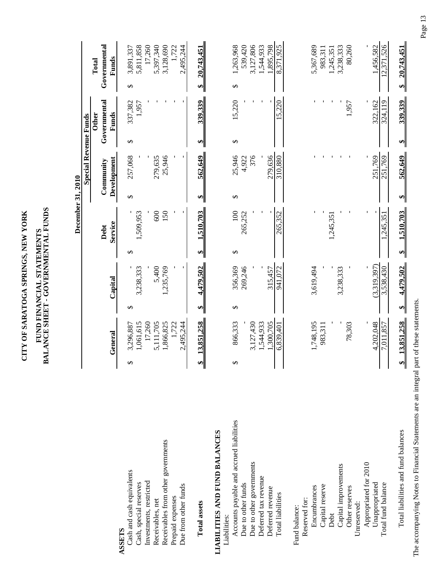CITY OF SARATOGA SPRINGS, NEW YORK **CITY OF SARATOGA SPRINGS, NEW YORK** 

# FUND FINANCIAL STATEMENTS<br>BALANCE SHEET - GOVERNMENTAL FUNDS **BALANCE SHEET - GOVERNMENTAL FUNDS FUND FINANCIAL STATEMENTS**

|                                                      |                 |            |    |             |    | December 31, 2010 |          |                              |               |                       |           |                       |
|------------------------------------------------------|-----------------|------------|----|-------------|----|-------------------|----------|------------------------------|---------------|-----------------------|-----------|-----------------------|
|                                                      |                 |            |    |             |    |                   |          | <b>Special Revenue Funds</b> |               |                       |           |                       |
|                                                      |                 |            |    |             |    |                   |          |                              |               | <b>Other</b>          |           | Total                 |
|                                                      |                 | General    |    | Capital     |    | Service<br>Debt   |          | Development<br>Community     |               | Governmental<br>Funds |           | Governmental<br>Funds |
| <b>ASSETS</b>                                        |                 |            |    |             |    |                   |          |                              |               |                       |           |                       |
| Cash and cash equivalents                            | $\varphi$       | 3,296,887  | ↔  |             | ↮  |                   | $\Theta$ | 257,068                      | $\rightarrow$ | 337,382               | $\bullet$ | 3,891,337             |
| Cash, special reserves                               |                 | 1,061,615  |    | 3,238,333   |    | .,509,953         |          |                              |               | 1,957                 |           | 5,811,858             |
| Investments, restricted                              |                 | 17,260     |    |             |    |                   |          |                              |               |                       |           | 17,260                |
| Receivables, net                                     |                 | 5,111,705  |    | 5,400       |    | 600               |          | 279,635                      |               |                       |           | 5,397,340             |
| Receivables from other governments                   |                 | 1,866,825  |    | 1,235,769   |    | 150               |          | 25,946                       |               |                       |           | 3,128,690             |
| Prepaid expenses                                     |                 | 1,722      |    |             |    |                   |          |                              |               |                       |           | 1,722                 |
| Due from other funds                                 |                 | 2,495,244  |    |             |    |                   |          |                              |               |                       |           | 2,495,244             |
| Total assets                                         | ∞∥              | 13,851,258 | \$ | 4,479,502   | ଇ∣ | 1,510,703         | ↮        | 562,649                      | ↮             | 339,339               | S         | 20,743,451            |
| <b>LIABILITIES AND FUND BALANCES</b><br>Liabilities: |                 |            |    |             |    |                   |          |                              |               |                       |           |                       |
| Accounts payable and accrued liabilities             | $\varphi$       | 866,333    | 5  | 356,369     | S  | 100               | $\Theta$ | 25,946                       | S             | 15,220                | S         | 1,263,968             |
| Due to other funds                                   |                 |            |    | 269,246     |    | 265,252           |          | 4,922                        |               |                       |           | 539,420               |
| Due to other governments                             |                 | 3,127,430  |    |             |    |                   |          | 376                          |               |                       |           | 3,127,806             |
| Deferred tax revenue                                 |                 | 1,544,933  |    |             |    |                   |          |                              |               |                       |           | 1,544,933             |
| Deferred revenue                                     |                 | ,300,705   |    | 315,457     |    |                   |          | 279,636                      |               |                       |           | ,895,798              |
| Total liabilities                                    |                 | 6,839,401  |    | 941,072     |    | 265,352           |          | 310,880                      |               | 15,220                |           | 8,371,925             |
| Fund balance:                                        |                 |            |    |             |    |                   |          |                              |               |                       |           |                       |
| Reserved for:                                        |                 |            |    |             |    |                   |          |                              |               |                       |           |                       |
| Encumbrances                                         |                 | 1,748,195  |    | 3,619,494   |    |                   |          |                              |               |                       |           | 5,367,689             |
| Capital reserve                                      |                 | 983,311    |    |             |    |                   |          |                              |               |                       |           | 983,311               |
| Debt                                                 |                 |            |    |             |    | 1,245,351         |          |                              |               |                       |           | 1,245,351             |
| Capital improvements                                 |                 |            |    | 3,238,333   |    |                   |          |                              |               |                       |           | 3,238,333             |
| Other reserves<br>Unreserved:                        |                 | 78,303     |    |             |    |                   |          |                              |               | 1,957                 |           | 80,260                |
| Appropriated for 2010                                |                 |            |    |             |    |                   |          |                              |               |                       |           |                       |
| Unappropriated                                       |                 | 4,202,048  |    | (3,319,397) |    |                   |          | 251,769                      |               | 322,162               |           | 1,456,582             |
| Total fund balance                                   |                 | 7,011,857  |    | 3,538,430   |    | ,245,351          |          | 251,769                      |               | 324,119               |           | 12,371,526            |
| Total liabilities and fund balances                  | $\blacklozenge$ | 13,851,258 | S  | 4,479,502   | Ø  | 1,510,703         | ↮        | 562,649                      | ↮             | 339,339               | se,       | 20,743,451            |

The accompanying Notes to Financial Statements are an integral part of these statements. The accompanying Notes to Financial Statements are an integral part of these statements.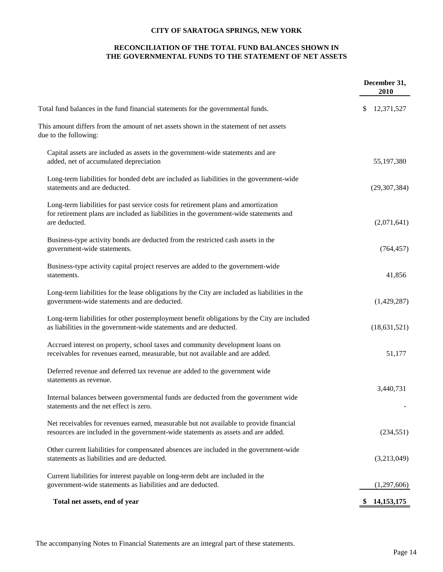# **RECONCILIATION OF THE TOTAL FUND BALANCES SHOWN IN THE GOVERNMENTAL FUNDS TO THE STATEMENT OF NET ASSETS**

|                                                                                                                                                                                               | December 31,<br>2010 |
|-----------------------------------------------------------------------------------------------------------------------------------------------------------------------------------------------|----------------------|
| Total fund balances in the fund financial statements for the governmental funds.                                                                                                              | 12,371,527<br>\$     |
| This amount differs from the amount of net assets shown in the statement of net assets<br>due to the following:                                                                               |                      |
| Capital assets are included as assets in the government-wide statements and are<br>added, net of accumulated depreciation                                                                     | 55,197,380           |
| Long-term liabilities for bonded debt are included as liabilities in the government-wide<br>statements and are deducted.                                                                      | (29, 307, 384)       |
| Long-term liabilities for past service costs for retirement plans and amortization<br>for retirement plans are included as liabilities in the government-wide statements and<br>are deducted. | (2,071,641)          |
| Business-type activity bonds are deducted from the restricted cash assets in the<br>government-wide statements.                                                                               | (764, 457)           |
| Business-type activity capital project reserves are added to the government-wide<br>statements.                                                                                               | 41,856               |
| Long-term liabilities for the lease obligations by the City are included as liabilities in the<br>government-wide statements and are deducted.                                                | (1,429,287)          |
| Long-term liabilities for other postemployment benefit obligations by the City are included<br>as liabilities in the government-wide statements and are deducted.                             | (18, 631, 521)       |
| Accrued interest on property, school taxes and community development loans on<br>receivables for revenues earned, measurable, but not available and are added.                                | 51,177               |
| Deferred revenue and deferred tax revenue are added to the government wide<br>statements as revenue.                                                                                          |                      |
| Internal balances between governmental funds are deducted from the government wide<br>statements and the net effect is zero.                                                                  | 3,440,731            |
| Net receivables for revenues earned, measurable but not available to provide financial<br>resources are included in the government-wide statements as assets and are added.                   | (234, 551)           |
| Other current liabilities for compensated absences are included in the government-wide<br>statements as liabilities and are deducted.                                                         | (3,213,049)          |
| Current liabilities for interest payable on long-term debt are included in the<br>government-wide statements as liabilities and are deducted.                                                 | (1,297,606)          |
| Total net assets, end of year                                                                                                                                                                 | 14, 153, 175         |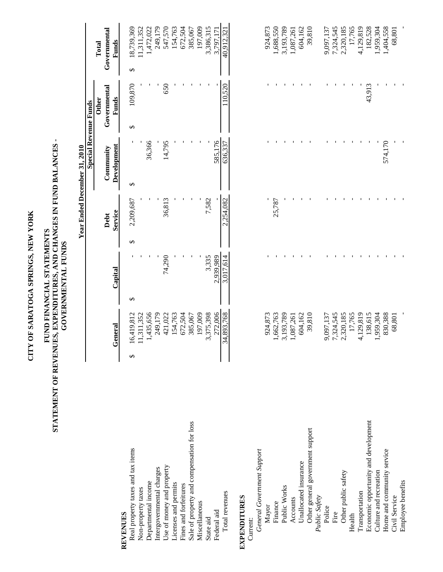**CITY OF SARATOGA SPRINGS, NEW YORK**  CITY OF SARATOGA SPRINGS, NEW YORK

# **STATEMENT OF REVENUES, EXPENDITURES, AND CHANGES IN FUND BALANCES -**  STATEMENT OF REVENUES, EXPENDITURES, AND CHANGES IN FUND BALANCES -<br>GOVERNMENTAL FUNDS FUND FINANCIAL STATEMENTS **FUND FINANCIAL STATEMENTS GOVERNMENTAL FUNDS**

|                                            |   |            |           |   |           | Year Ended December 31, 2010 |                              |         |                       |
|--------------------------------------------|---|------------|-----------|---|-----------|------------------------------|------------------------------|---------|-----------------------|
|                                            |   |            |           |   |           |                              | <b>Special Revenue Funds</b> |         |                       |
|                                            |   |            |           |   | Debt      | Community                    | Governmental<br><b>Other</b> |         | Governmental<br>Total |
|                                            |   | General    | Capital   |   | Service   | Development                  | Funds                        |         | Funds                 |
| <b>REVENUES</b>                            |   |            |           |   |           |                              |                              |         |                       |
| Real property taxes and tax items          | ↮ | 16,419,812 | ↮         | ↮ | 2,209,687 | ↮                            | ِص                           | 109,870 | 18,739,369<br>ِص      |
| Non-property taxes                         |   | 11,311,352 |           |   |           |                              |                              |         | 11,311,352            |
| Departmental income                        |   | 1,435,656  |           |   |           | 36,366                       |                              |         | 1,472,022             |
| Intergovernmental charges                  |   | 249,179    |           |   |           |                              |                              |         | 249,179               |
| Use of money and property                  |   | 421,022    | 74,290    |   | 36,813    | 14,795                       |                              | 650     | 547,570               |
| Licenses and permits                       |   | 154,763    |           |   |           |                              |                              |         | 154,763               |
| Fines and forfeitures                      |   | 672,504    |           |   |           |                              |                              |         | 672,504               |
| Sale of property and compensation for loss |   | 385,067    |           |   |           |                              |                              |         | 385,067               |
| Miscellaneous                              |   | 197,009    |           |   |           |                              |                              |         | 197,009               |
| State aid                                  |   | 3,375,398  | 3,335     |   | 7,582     |                              |                              |         | 3,386,315             |
| Federal aid                                |   | 272,006    | 2,939,989 |   |           | 585,176                      |                              |         | 3,797,171             |
| Total revenues                             |   | 34,893,768 | 3,017,614 |   | 2,254,082 | 636,337                      |                              | 110,520 | 40,912,321            |
| EXPENDITURES                               |   |            |           |   |           |                              |                              |         |                       |
| Current:                                   |   |            |           |   |           |                              |                              |         |                       |
| General Government Support                 |   |            |           |   |           |                              |                              |         |                       |
| Mayor                                      |   | 924,873    |           |   |           |                              |                              |         | 924,873               |
| Finance                                    |   | ,662,763   |           |   | 25,787    |                              |                              |         | 1,688,550             |
| Public Works                               |   | 3,193,789  |           |   |           |                              |                              |         | 3,193,789             |
| Accounts                                   |   | 1,087,261  |           |   |           |                              |                              |         | 1,087,261             |
| Unallocated insurance                      |   | 604,162    |           |   |           |                              |                              |         | 604,162               |
| Other general government support           |   | 39,810     |           |   |           |                              |                              |         | 39,810                |
| Public Safety                              |   |            |           |   |           |                              |                              |         |                       |
| Police                                     |   | 9,097,137  |           |   |           |                              |                              |         | 9,097,137             |
| Fire                                       |   | 7,324,545  |           |   |           |                              |                              |         | 7,324,545             |
| Other public safety                        |   | 2,320,185  |           |   |           |                              |                              |         | 2,320,185             |
| Health                                     |   | 17,765     |           |   |           |                              |                              |         | 17,765                |
| Transportation                             |   | 4,129,819  |           |   |           |                              |                              |         | 4,129,819             |
| Economic opportunity and development       |   | 138,615    |           |   |           |                              |                              | 43,913  | 182,528               |
| Culture and recreation                     |   | ,959,304   |           |   |           |                              |                              |         | 1,959,304             |
| Home and community service                 |   | 830,388    |           |   |           | 574,170                      |                              |         | 1,404,558             |
| Civil Service                              |   | 68,801     |           |   |           |                              |                              |         | 68,801                |
| Employee benefits                          |   |            |           |   |           |                              |                              |         |                       |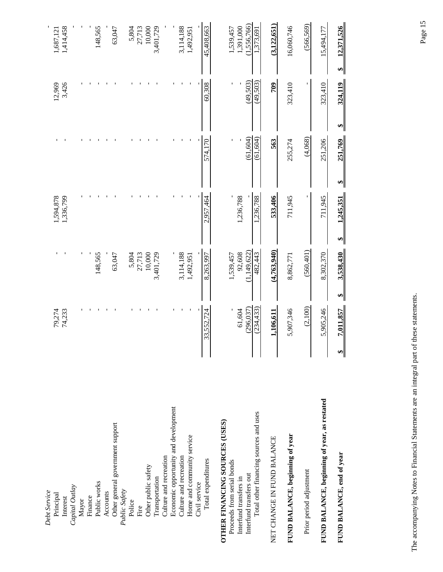|   |            |                            |        |                                                                                                                                                                                                       |                             |         |                                                                               | .,687,121       |
|---|------------|----------------------------|--------|-------------------------------------------------------------------------------------------------------------------------------------------------------------------------------------------------------|-----------------------------|---------|-------------------------------------------------------------------------------|-----------------|
|   |            |                            |        |                                                                                                                                                                                                       |                             |         |                                                                               | ,414,458        |
|   |            |                            |        |                                                                                                                                                                                                       |                             |         |                                                                               |                 |
|   |            |                            |        |                                                                                                                                                                                                       |                             |         |                                                                               |                 |
|   |            |                            |        |                                                                                                                                                                                                       |                             |         |                                                                               |                 |
|   |            |                            |        |                                                                                                                                                                                                       |                             |         |                                                                               | 148,565         |
|   |            |                            |        |                                                                                                                                                                                                       |                             |         |                                                                               |                 |
|   |            |                            | 63,047 |                                                                                                                                                                                                       |                             |         |                                                                               | 63,047          |
|   |            |                            |        |                                                                                                                                                                                                       |                             |         |                                                                               |                 |
|   |            |                            |        |                                                                                                                                                                                                       |                             |         |                                                                               |                 |
|   |            |                            |        |                                                                                                                                                                                                       |                             |         |                                                                               | 5,804<br>27,713 |
|   |            |                            |        |                                                                                                                                                                                                       |                             |         |                                                                               | 10,000          |
|   |            |                            |        |                                                                                                                                                                                                       |                             |         |                                                                               | 3,401,729       |
|   |            |                            |        |                                                                                                                                                                                                       |                             |         |                                                                               |                 |
|   |            |                            |        |                                                                                                                                                                                                       |                             |         |                                                                               |                 |
|   |            |                            |        |                                                                                                                                                                                                       |                             |         |                                                                               | 3,114,188       |
|   |            |                            |        |                                                                                                                                                                                                       |                             |         |                                                                               | 1,492,951       |
|   |            |                            |        |                                                                                                                                                                                                       |                             |         |                                                                               |                 |
|   | 33,552,724 |                            |        | 2,957,464                                                                                                                                                                                             |                             |         | 60,308                                                                        | 45,408,663      |
|   |            |                            |        |                                                                                                                                                                                                       |                             |         |                                                                               |                 |
|   |            |                            |        |                                                                                                                                                                                                       |                             |         |                                                                               | 1,539,457       |
|   |            |                            | 92,608 | 1,236,788                                                                                                                                                                                             |                             |         |                                                                               | 1,391,000       |
|   | (296, 037) |                            |        |                                                                                                                                                                                                       |                             |         | (49, 503)                                                                     | 1,556,766)      |
|   | (234, 433) |                            |        | 1,236,788                                                                                                                                                                                             |                             |         | (49, 503)                                                                     | .373,691        |
|   | 1,106,611  |                            |        |                                                                                                                                                                                                       |                             | 563     | 709                                                                           | (3,122,651)     |
|   | 5,907,346  |                            |        | 711,945                                                                                                                                                                                               |                             |         | 323,410                                                                       | 16,060,746      |
|   | (2,100)    |                            |        |                                                                                                                                                                                                       |                             |         | I.                                                                            | (566, 569)      |
|   | 5,905,246  |                            |        | 711,945                                                                                                                                                                                               |                             |         | 323,410                                                                       | 15,494,177      |
| ₩ | 7,011,857  | ↮                          |        | 1,245,351                                                                                                                                                                                             | ↮                           | ↮       | 324,119                                                                       | 12,371,526<br>예 |
|   |            | 79,274<br>74,233<br>61,604 |        | (4,763,940)<br>(560, 401)<br>(1, 149, 622)<br>3,538,430<br>3,114,188<br>8,302,370<br>5,804<br>27,713<br>10,000<br>3,401,729<br>1,539,457<br>482,443<br>148,565<br>8,263,997<br>8,862,771<br>1,492,951 | 1,336,799<br>1,594,878<br>↮ | 533,406 | (61, 604)<br>(4,068)<br>(61, 604)<br>251,769<br>251,206<br>574,170<br>255,274 | 3,426<br>12,969 |

The accompanying Notes to Financial Statements are an integral part of these statements. The accompanying Notes to Financial Statements are an integral part of these statements.

Page 15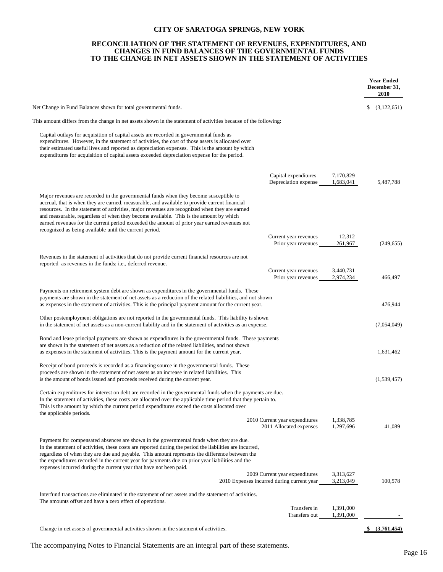#### **RECONCILIATION OF THE STATEMENT OF REVENUES, EXPENDITURES, AND CHANGES IN FUND BALANCES OF THE GOVERNMENTAL FUNDS TO THE CHANGE IN NET ASSETS SHOWN IN THE STATEMENT OF ACTIVITIES**

|                                                                                                                                                                                                                                                                                                                                                                                                                                                                                                                                             |                                                                              |                        | <b>Year Ended</b><br>December 31,<br>2010 |
|---------------------------------------------------------------------------------------------------------------------------------------------------------------------------------------------------------------------------------------------------------------------------------------------------------------------------------------------------------------------------------------------------------------------------------------------------------------------------------------------------------------------------------------------|------------------------------------------------------------------------------|------------------------|-------------------------------------------|
| Net Change in Fund Balances shown for total governmental funds.                                                                                                                                                                                                                                                                                                                                                                                                                                                                             |                                                                              |                        | \$<br>(3,122,651)                         |
| This amount differs from the change in net assets shown in the statement of activities because of the following:                                                                                                                                                                                                                                                                                                                                                                                                                            |                                                                              |                        |                                           |
| Capital outlays for acquisition of capital assets are recorded in governmental funds as<br>expenditures. However, in the statement of activities, the cost of those assets is allocated over<br>their estimated useful lives and reported as depreciation expenses. This is the amount by which<br>expenditures for acquisition of capital assets exceeded depreciation expense for the period.                                                                                                                                             |                                                                              |                        |                                           |
|                                                                                                                                                                                                                                                                                                                                                                                                                                                                                                                                             | Capital expenditures<br>Depreciation expense                                 | 7,170,829<br>1,683,041 | 5.487.788                                 |
| Major revenues are recorded in the governmental funds when they become susceptible to<br>accrual, that is when they are earned, measurable, and available to provide current financial<br>resources. In the statement of activities, major revenues are recognized when they are earned<br>and measurable, regardless of when they become available. This is the amount by which<br>earned revenues for the current period exceeded the amount of prior year earned revenues not<br>recognized as being available until the current period. |                                                                              |                        |                                           |
|                                                                                                                                                                                                                                                                                                                                                                                                                                                                                                                                             | Current year revenues<br>Prior year revenues                                 | 12,312<br>261,967      | (249, 655)                                |
| Revenues in the statement of activities that do not provide current financial resources are not<br>reported as revenues in the funds; i.e., deferred revenue.                                                                                                                                                                                                                                                                                                                                                                               |                                                                              |                        |                                           |
|                                                                                                                                                                                                                                                                                                                                                                                                                                                                                                                                             | Current year revenues<br>Prior year revenues                                 | 3,440,731<br>2,974,234 | 466,497                                   |
| Payments on retirement system debt are shown as expenditures in the governmental funds. These<br>payments are shown in the statement of net assets as a reduction of the related liabilities, and not shown<br>as expenses in the statement of activities. This is the principal payment amount for the current year.                                                                                                                                                                                                                       |                                                                              |                        | 476,944                                   |
| Other postemployment obligations are not reported in the governmental funds. This liability is shown<br>in the statement of net assets as a non-current liability and in the statement of activities as an expense.                                                                                                                                                                                                                                                                                                                         |                                                                              |                        | (7,054,049)                               |
| Bond and lease principal payments are shown as expenditures in the governmental funds. These payments<br>are shown in the statement of net assets as a reduction of the related liabilities, and not shown<br>as expenses in the statement of activities. This is the payment amount for the current year.                                                                                                                                                                                                                                  |                                                                              |                        | 1,631,462                                 |
| Receipt of bond proceeds is recorded as a financing source in the governmental funds. These<br>proceeds are shown in the statement of net assets as an increase in related liabilities. This                                                                                                                                                                                                                                                                                                                                                |                                                                              |                        |                                           |
| is the amount of bonds issued and proceeds received during the current year.                                                                                                                                                                                                                                                                                                                                                                                                                                                                |                                                                              |                        | (1,539,457)                               |
| Certain expenditures for interest on debt are recorded in the governmental funds when the payments are due.<br>In the statement of activities, these costs are allocated over the applicable time period that they pertain to.<br>This is the amount by which the current period expenditures exceed the costs allocated over<br>the applicable periods.                                                                                                                                                                                    |                                                                              |                        |                                           |
|                                                                                                                                                                                                                                                                                                                                                                                                                                                                                                                                             | 2010 Current year expenditures<br>2011 Allocated expenses                    | 1,338,785<br>1,297,696 | 41,089                                    |
| Payments for compensated absences are shown in the governmental funds when they are due.<br>In the statement of activities, these costs are reported during the period the liabilities are incurred,<br>regardless of when they are due and payable. This amount represents the difference between the<br>the expenditures recorded in the current year for payments due on prior year liabilities and the<br>expenses incurred during the current year that have not been paid.                                                            |                                                                              |                        |                                           |
|                                                                                                                                                                                                                                                                                                                                                                                                                                                                                                                                             | 2009 Current year expenditures<br>2010 Expenses incurred during current year | 3,313,627<br>3,213,049 | 100,578                                   |
| Interfund transactions are eliminated in the statement of net assets and the statement of activities.<br>The amounts offset and have a zero effect of operations.                                                                                                                                                                                                                                                                                                                                                                           |                                                                              |                        |                                           |
|                                                                                                                                                                                                                                                                                                                                                                                                                                                                                                                                             | Transfers in<br>Transfers out                                                | 1,391,000<br>1,391,000 |                                           |
| Change in net assets of governmental activities shown in the statement of activities.                                                                                                                                                                                                                                                                                                                                                                                                                                                       |                                                                              |                        | (3,761,454)                               |

The accompanying Notes to Financial Statements are an integral part of these statements.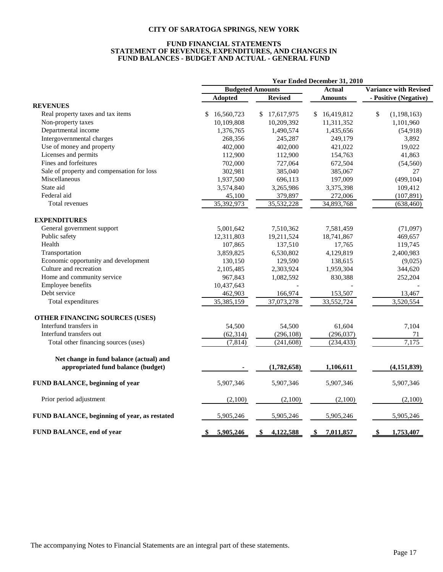#### **FUND FINANCIAL STATEMENTS STATEMENT OF REVENUES, EXPENDITURES, AND CHANGES IN FUND BALANCES - BUDGET AND ACTUAL - GENERAL FUND**

|                                              | Year Ended December 31, 2010 |                         |                   |                              |  |  |
|----------------------------------------------|------------------------------|-------------------------|-------------------|------------------------------|--|--|
|                                              |                              | <b>Budgeted Amounts</b> | <b>Actual</b>     | <b>Variance with Revised</b> |  |  |
|                                              | <b>Adopted</b>               | <b>Revised</b>          | <b>Amounts</b>    | - Positive (Negative)        |  |  |
| <b>REVENUES</b>                              |                              |                         |                   |                              |  |  |
| Real property taxes and tax items            | 16,560,723<br>\$             | 17,617,975<br>S.        | 16,419,812<br>\$. | \$<br>(1, 198, 163)          |  |  |
| Non-property taxes                           | 10,109,808                   | 10,209,392              | 11,311,352        | 1,101,960                    |  |  |
| Departmental income                          | 1,376,765                    | 1,490,574               | 1,435,656         | (54, 918)                    |  |  |
| Intergovernmental charges                    | 268,356                      | 245,287                 | 249,179           | 3,892                        |  |  |
| Use of money and property                    | 402,000                      | 402,000                 | 421,022           | 19,022                       |  |  |
| Licenses and permits                         | 112,900                      | 112,900                 | 154,763           | 41,863                       |  |  |
| Fines and forfeitures                        | 702,000                      | 727,064                 | 672,504           | (54, 560)                    |  |  |
| Sale of property and compensation for loss   | 302,981                      | 385,040                 | 385,067           | 27                           |  |  |
| Miscellaneous                                | 1,937,500                    | 696,113                 | 197,009           | (499, 104)                   |  |  |
| State aid                                    | 3,574,840                    | 3,265,986               | 3,375,398         | 109,412                      |  |  |
| Federal aid                                  | 45,100                       | 379,897                 | 272,006           | (107, 891)                   |  |  |
| Total revenues                               | 35,392,973                   | 35,532,228              | 34,893,768        | (638, 460)                   |  |  |
| <b>EXPENDITURES</b>                          |                              |                         |                   |                              |  |  |
| General government support                   | 5,001,642                    | 7,510,362               | 7,581,459         | (71,097)                     |  |  |
| Public safety                                | 12,311,803                   | 19,211,524              | 18,741,867        | 469,657                      |  |  |
| Health                                       | 107,865                      | 137,510                 | 17,765            | 119,745                      |  |  |
| Transportation                               | 3,859,825                    | 6,530,802               | 4,129,819         | 2,400,983                    |  |  |
| Economic opportunity and development         | 130,150                      | 129,590                 | 138,615           | (9,025)                      |  |  |
| Culture and recreation                       | 2,105,485                    | 2,303,924               | 1,959,304         | 344,620                      |  |  |
| Home and community service                   | 967,843                      | 1,082,592               | 830,388           | 252,204                      |  |  |
| Employee benefits                            | 10,437,643                   |                         |                   |                              |  |  |
| Debt service                                 | 462,903                      | 166,974                 | 153,507           | 13,467                       |  |  |
| Total expenditures                           | 35,385,159                   | $\overline{37,073,2}78$ | 33,552,724        | 3,520,554                    |  |  |
| OTHER FINANCING SOURCES (USES)               |                              |                         |                   |                              |  |  |
| Interfund transfers in                       | 54,500                       | 54,500                  | 61,604            | 7,104                        |  |  |
| Interfund transfers out                      | (62, 314)                    | (296, 108)              | (296, 037)        | 71                           |  |  |
| Total other financing sources (uses)         | (7, 814)                     | (241, 608)              | (234, 433)        | 7,175                        |  |  |
|                                              |                              |                         |                   |                              |  |  |
| Net change in fund balance (actual) and      |                              |                         |                   |                              |  |  |
| appropriated fund balance (budget)           |                              | (1,782,658)             | 1,106,611         | (4,151,839)                  |  |  |
| FUND BALANCE, beginning of year              | 5,907,346                    | 5,907,346               | 5,907,346         | 5,907,346                    |  |  |
| Prior period adjustment                      | (2,100)                      | (2,100)                 | (2,100)           | (2,100)                      |  |  |
| FUND BALANCE, beginning of year, as restated | 5,905,246                    | 5,905,246               | 5,905,246         | 5,905,246                    |  |  |
| FUND BALANCE, end of year                    | 5,905,246<br>-SS             | 4,122,588<br>S          | 7,011,857<br>S    | 1,753,407<br>S,              |  |  |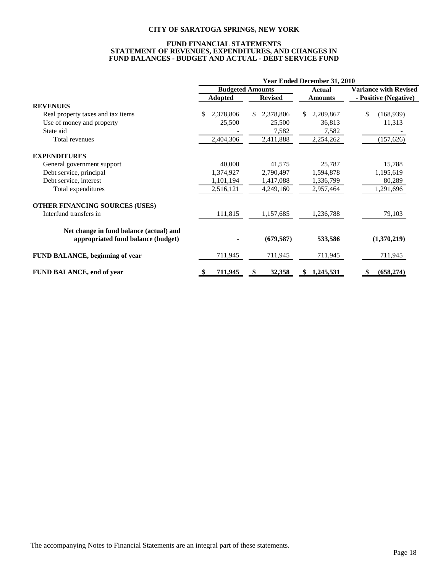#### **FUND FINANCIAL STATEMENTS STATEMENT OF REVENUES, EXPENDITURES, AND CHANGES IN FUND BALANCES - BUDGET AND ACTUAL - DEBT SERVICE FUND**

|                                         | <b>Year Ended December 31, 2010</b> |                         |                 |                              |  |
|-----------------------------------------|-------------------------------------|-------------------------|-----------------|------------------------------|--|
|                                         |                                     | <b>Budgeted Amounts</b> | Actual          | <b>Variance with Revised</b> |  |
|                                         | <b>Adopted</b>                      | <b>Revised</b>          | <b>Amounts</b>  | - Positive (Negative)        |  |
| <b>REVENUES</b>                         |                                     |                         |                 |                              |  |
| Real property taxes and tax items       | 2,378,806<br>\$                     | 2,378,806<br>\$         | 2,209,867<br>S. | \$<br>(168,939)              |  |
| Use of money and property               | 25,500                              | 25,500                  | 36,813          | 11,313                       |  |
| State aid                               |                                     | 7,582                   | 7,582           |                              |  |
| Total revenues                          | 2,404,306                           | 2,411,888               | 2,254,262       | (157, 626)                   |  |
| <b>EXPENDITURES</b>                     |                                     |                         |                 |                              |  |
| General government support              | 40,000                              | 41,575                  | 25,787          | 15,788                       |  |
| Debt service, principal                 | 1,374,927                           | 2,790,497               | 1,594,878       | 1,195,619                    |  |
| Debt service, interest                  | 1,101,194                           | 1,417,088               | 1,336,799       | 80,289                       |  |
| Total expenditures                      | 2,516,121                           | 4,249,160               | 2,957,464       | 1,291,696                    |  |
| OTHER FINANCING SOURCES (USES)          |                                     |                         |                 |                              |  |
| Interfund transfers in                  | 111,815                             | 1,157,685               | 1,236,788       | 79,103                       |  |
| Net change in fund balance (actual) and |                                     |                         |                 |                              |  |
| appropriated fund balance (budget)      |                                     | (679, 587)              | 533,586         | (1,370,219)                  |  |
| <b>FUND BALANCE, beginning of year</b>  | 711,945                             | 711,945                 | 711,945         | 711,945                      |  |
| <b>FUND BALANCE, end of year</b>        | 711,945                             | 32,358                  | 1,245,531       | (658, 274)                   |  |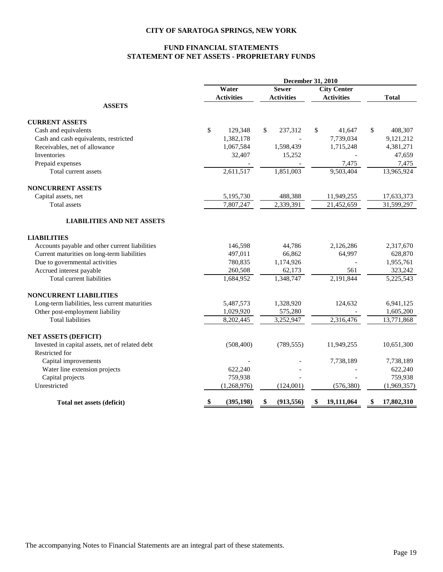# **FUND FINANCIAL STATEMENTS STATEMENT OF NET ASSETS - PROPRIETARY FUNDS**

|                                                 | December 31, 2010 |             |    |                   |                   |                    |    |              |
|-------------------------------------------------|-------------------|-------------|----|-------------------|-------------------|--------------------|----|--------------|
|                                                 |                   | Water       |    | <b>Sewer</b>      |                   | <b>City Center</b> |    |              |
|                                                 | <b>Activities</b> |             |    | <b>Activities</b> | <b>Activities</b> |                    |    | <b>Total</b> |
| <b>ASSETS</b>                                   |                   |             |    |                   |                   |                    |    |              |
| <b>CURRENT ASSETS</b>                           |                   |             |    |                   |                   |                    |    |              |
| Cash and equivalents                            | \$                | 129,348     | \$ | 237,312           | \$                | 41,647             | \$ | 408,307      |
| Cash and cash equivalents, restricted           |                   | 1,382,178   |    |                   |                   | 7,739,034          |    | 9,121,212    |
| Receivables, net of allowance                   |                   | 1,067,584   |    | 1,598,439         |                   | 1,715,248          |    | 4,381,271    |
| Inventories                                     |                   | 32,407      |    | 15,252            |                   |                    |    | 47,659       |
| Prepaid expenses                                |                   |             |    |                   |                   | 7,475              |    | 7,475        |
| Total current assets                            |                   | 2,611,517   |    | 1,851,003         |                   | 9,503,404          |    | 13,965,924   |
| <b>NONCURRENT ASSETS</b>                        |                   |             |    |                   |                   |                    |    |              |
| Capital assets, net                             |                   | 5,195,730   |    | 488,388           |                   | 11,949,255         |    | 17,633,373   |
| <b>Total</b> assets                             |                   | 7,807,247   |    | 2,339,391         |                   | 21,452,659         |    | 31,599,297   |
| <b>LIABILITIES AND NET ASSETS</b>               |                   |             |    |                   |                   |                    |    |              |
| <b>LIABILITIES</b>                              |                   |             |    |                   |                   |                    |    |              |
| Accounts payable and other current liabilities  |                   | 146,598     |    | 44,786            |                   | 2,126,286          |    | 2,317,670    |
| Current maturities on long-term liabilities     |                   | 497,011     |    | 66,862            |                   | 64,997             |    | 628,870      |
| Due to governmental activities                  |                   | 780,835     |    | 1,174,926         |                   |                    |    | 1,955,761    |
| Accrued interest payable                        |                   | 260,508     |    | 62,173            |                   | 561                |    | 323,242      |
| Total current liabilities                       |                   | 1,684,952   |    | 1,348,747         |                   | 2,191,844          |    | 5,225,543    |
| <b>NONCURRENT LIABILITIES</b>                   |                   |             |    |                   |                   |                    |    |              |
| Long-term liabilities, less current maturities  |                   | 5,487,573   |    | 1,328,920         |                   | 124,632            |    | 6,941,125    |
| Other post-employment liability                 |                   | 1,029,920   |    | 575,280           |                   |                    |    | 1,605,200    |
| <b>Total liabilities</b>                        |                   | 8,202,445   |    | 3,252,947         |                   | 2,316,476          |    | 13,771,868   |
| <b>NET ASSETS (DEFICIT)</b>                     |                   |             |    |                   |                   |                    |    |              |
| Invested in capital assets, net of related debt |                   | (508, 400)  |    | (789, 555)        |                   | 11,949,255         |    | 10,651,300   |
| Restricted for                                  |                   |             |    |                   |                   |                    |    |              |
| Capital improvements                            |                   |             |    |                   |                   | 7,738,189          |    | 7,738,189    |
| Water line extension projects                   |                   | 622,240     |    |                   |                   |                    |    | 622,240      |
| Capital projects                                |                   | 759,938     |    |                   |                   |                    |    | 759,938      |
| Unrestricted                                    |                   | (1,268,976) |    | (124,001)         |                   | (576, 380)         |    | (1,969,357)  |
| Total net assets (deficit)                      | \$                | (395, 198)  | \$ | (913, 556)        | \$                | 19,111,064         | \$ | 17,802,310   |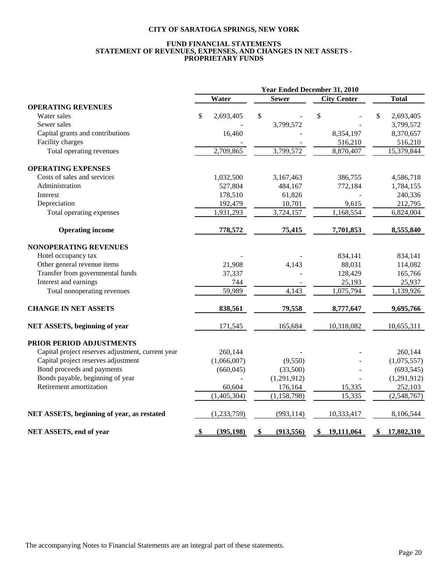#### **FUND FINANCIAL STATEMENTS STATEMENT OF REVENUES, EXPENSES, AND CHANGES IN NET ASSETS - PROPRIETARY FUNDS**

|                                                   | Year Ended December 31, 2010 |                          |                    |                   |  |  |
|---------------------------------------------------|------------------------------|--------------------------|--------------------|-------------------|--|--|
|                                                   | Water                        | <b>Sewer</b>             | <b>City Center</b> | <b>Total</b>      |  |  |
| <b>OPERATING REVENUES</b>                         |                              |                          |                    |                   |  |  |
| Water sales                                       | 2,693,405<br>\$              | \$                       | \$                 | \$<br>2,693,405   |  |  |
| Sewer sales                                       |                              | 3,799,572                |                    | 3,799,572         |  |  |
| Capital grants and contributions                  | 16,460                       |                          | 8,354,197          | 8,370,657         |  |  |
| Facility charges                                  |                              |                          | 516,210            | 516,210           |  |  |
| Total operating revenues                          | 2,709,865                    | 3,799,572                | 8,870,407          | 15,379,844        |  |  |
| <b>OPERATING EXPENSES</b>                         |                              |                          |                    |                   |  |  |
| Costs of sales and services                       | 1,032,500                    | 3,167,463                | 386,755            | 4,586,718         |  |  |
| Administration                                    | 527,804                      | 484,167                  | 772,184            | 1,784,155         |  |  |
| Interest                                          | 178,510                      | 61,826                   |                    | 240,336           |  |  |
| Depreciation                                      | 192,479                      | 10,701                   | 9,615              | 212,795           |  |  |
| Total operating expenses                          | 1,931,293                    | 3,724,157                | 1,168,554          | 6,824,004         |  |  |
| <b>Operating income</b>                           | 778,572                      | 75,415                   | 7,701,853          | 8,555,840         |  |  |
| <b>NONOPERATING REVENUES</b>                      |                              |                          |                    |                   |  |  |
| Hotel occupancy tax                               |                              |                          | 834,141            | 834,141           |  |  |
| Other general revenue items                       | 21,908                       | 4,143                    | 88,031             | 114,082           |  |  |
| Transfer from governmental funds                  | 37,337                       |                          | 128,429            | 165,766           |  |  |
| Interest and earnings                             | 744                          |                          | 25,193             | 25,937            |  |  |
| Total nonoperating revenues                       | 59,989                       | 4,143                    | 1,075,794          | 1,139,926         |  |  |
| <b>CHANGE IN NET ASSETS</b>                       | 838,561                      | 79,558                   | 8,777,647          | 9,695,766         |  |  |
| NET ASSETS, beginning of year                     | 171,545                      | 165,684                  | 10,318,082         | 10,655,311        |  |  |
| PRIOR PERIOD ADJUSTMENTS                          |                              |                          |                    |                   |  |  |
| Capital project reserves adjustment, current year | 260,144                      |                          |                    | 260,144           |  |  |
| Capital project reserves adjustment               | (1,066,007)                  | (9,550)                  |                    | (1,075,557)       |  |  |
| Bond proceeds and payments                        | (660, 045)                   | (33,500)                 |                    | (693, 545)        |  |  |
| Bonds payable, beginning of year                  |                              | (1,291,912)              |                    | (1,291,912)       |  |  |
| Retirement amortization                           | 60,604                       | 176,164                  | 15,335             | 252,103           |  |  |
|                                                   | (1,405,304)                  | $\overline{(1,158,798)}$ | 15,335             | (2,548,767)       |  |  |
| NET ASSETS, beginning of year, as restated        | (1,233,759)                  | (993, 114)               | 10,333,417         | 8,106,544         |  |  |
| NET ASSETS, end of year                           | (395, 198)<br>$\frac{1}{2}$  | (913, 556)<br>-SS        | 19,111,064<br>S    | 17,802,310<br>-SS |  |  |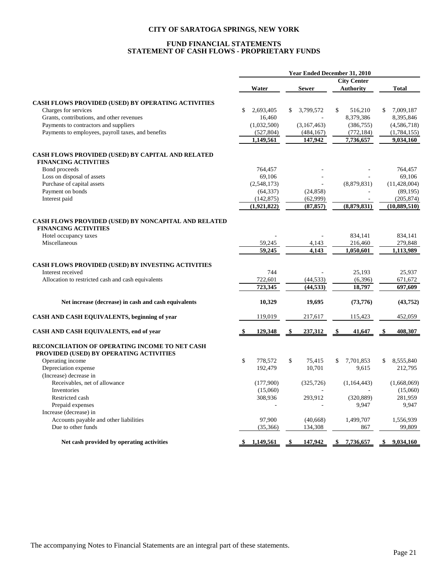#### **FUND FINANCIAL STATEMENTS STATEMENT OF CASH FLOWS - PROPRIETARY FUNDS**

|                                                                                     | Year Ended December 31, 2010 |             |      |              |    |                    |                 |
|-------------------------------------------------------------------------------------|------------------------------|-------------|------|--------------|----|--------------------|-----------------|
|                                                                                     |                              |             |      |              |    | <b>City Center</b> |                 |
|                                                                                     |                              | Water       |      | <b>Sewer</b> |    | <b>Authority</b>   | <b>Total</b>    |
| CASH FLOWS PROVIDED (USED) BY OPERATING ACTIVITIES                                  |                              |             |      |              |    |                    |                 |
| Charges for services                                                                | \$                           | 2,693,405   | \$   | 3,799,572    | \$ | 516,210            | \$<br>7,009,187 |
| Grants, contributions, and other revenues                                           |                              | 16,460      |      |              |    | 8,379,386          | 8,395,846       |
| Payments to contractors and suppliers                                               |                              | (1,032,500) |      | (3,167,463)  |    | (386, 755)         | (4,586,718)     |
| Payments to employees, payroll taxes, and benefits                                  |                              | (527, 804)  |      | (484, 167)   |    | (772, 184)         | (1,784,155)     |
|                                                                                     |                              | 1,149,561   |      | 147,942      |    | 7,736,657          | 9,034,160       |
|                                                                                     |                              |             |      |              |    |                    |                 |
| CASH FLOWS PROVIDED (USED) BY CAPITAL AND RELATED<br><b>FINANCING ACTIVITIES</b>    |                              |             |      |              |    |                    |                 |
| Bond proceeds                                                                       |                              | 764,457     |      |              |    |                    | 764,457         |
| Loss on disposal of assets                                                          |                              | 69,106      |      |              |    |                    | 69,106          |
| Purchase of capital assets                                                          |                              | (2,548,173) |      |              |    | (8,879,831)        | (11, 428, 004)  |
| Payment on bonds                                                                    |                              | (64, 337)   |      | (24, 858)    |    |                    | (89, 195)       |
| Interest paid                                                                       |                              | (142, 875)  |      | (62,999)     |    |                    | (205, 874)      |
|                                                                                     |                              | (1,921,822) |      | (87, 857)    |    | (8,879,831)        | (10,889,510)    |
| CASH FLOWS PROVIDED (USED) BY NONCAPITAL AND RELATED<br><b>FINANCING ACTIVITIES</b> |                              |             |      |              |    |                    |                 |
| Hotel occupancy taxes                                                               |                              |             |      |              |    | 834,141            | 834,141         |
| Miscellaneous                                                                       |                              | 59,245      |      | 4,143        |    | 216,460            | 279,848         |
|                                                                                     |                              | 59,245      |      | 4,143        |    | 1,050,601          | 1,113,989       |
|                                                                                     |                              |             |      |              |    |                    |                 |
| <b>CASH FLOWS PROVIDED (USED) BY INVESTING ACTIVITIES</b>                           |                              |             |      |              |    |                    |                 |
| Interest received                                                                   |                              | 744         |      |              |    | 25,193             | 25,937          |
| Allocation to restricted cash and cash equivalents                                  |                              | 722,601     |      | (44, 533)    |    | (6,396)            | 671,672         |
|                                                                                     |                              | 723,345     |      | (44, 533)    |    | 18,797             | 697,609         |
| Net increase (decrease) in cash and cash equivalents                                |                              | 10,329      |      | 19,695       |    | (73, 776)          | (43,752)        |
| CASH AND CASH EQUIVALENTS, beginning of year                                        |                              | 119,019     |      | 217,617      |    | 115,423            | 452,059         |
| CASH AND CASH EQUIVALENTS, end of year                                              |                              | 129,348     | - \$ | 237,312      |    | 41,647             | 408,307         |
| RECONCILIATION OF OPERATING INCOME TO NET CASH                                      |                              |             |      |              |    |                    |                 |
| PROVIDED (USED) BY OPERATING ACTIVITIES                                             |                              |             |      |              |    |                    |                 |
| Operating income                                                                    | $\mathbb{S}$                 | 778,572     | \$   | 75,415       | \$ | 7,701,853          | \$<br>8,555,840 |
| Depreciation expense                                                                |                              | 192,479     |      | 10,701       |    | 9,615              | 212,795         |
| (Increase) decrease in                                                              |                              |             |      |              |    |                    |                 |
| Receivables, net of allowance                                                       |                              | (177,900)   |      | (325, 726)   |    | (1,164,443)        | (1,668,069)     |
| Inventories                                                                         |                              | (15,060)    |      |              |    |                    | (15,060)        |
| Restricted cash                                                                     |                              | 308,936     |      | 293,912      |    | (320, 889)         | 281,959         |
| Prepaid expenses                                                                    |                              |             |      |              |    | 9,947              | 9,947           |
| Increase (decrease) in                                                              |                              |             |      |              |    |                    |                 |
| Accounts payable and other liabilities                                              |                              | 97,900      |      | (40, 668)    |    | 1,499,707          | 1,556,939       |
| Due to other funds                                                                  |                              | (35,366)    |      | 134,308      |    | 867                | 99,809          |
| Net cash provided by operating activities                                           |                              | 1,149,561   |      | 147,942      |    | 7,736,657          | 9,034,160       |
|                                                                                     |                              |             |      |              |    |                    |                 |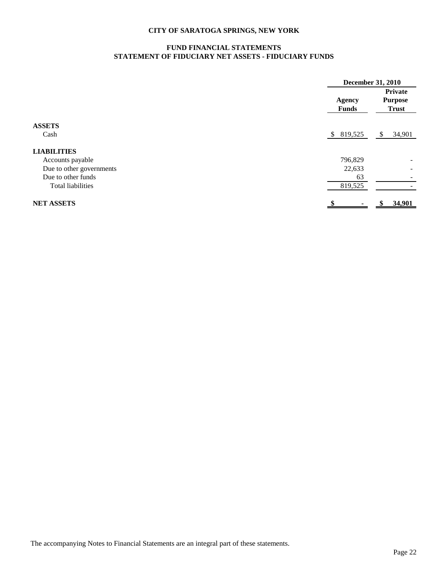# **FUND FINANCIAL STATEMENTS STATEMENT OF FIDUCIARY NET ASSETS - FIDUCIARY FUNDS**

|                          |                        | <b>December 31, 2010</b>                  |  |  |  |
|--------------------------|------------------------|-------------------------------------------|--|--|--|
|                          | Agency<br><b>Funds</b> | Private<br><b>Purpose</b><br><b>Trust</b> |  |  |  |
| <b>ASSETS</b>            |                        |                                           |  |  |  |
| Cash                     | 819,525<br>\$          | 34,901<br>S.                              |  |  |  |
| <b>LIABILITIES</b>       |                        |                                           |  |  |  |
| Accounts payable         | 796,829                |                                           |  |  |  |
| Due to other governments | 22,633                 | $\qquad \qquad$                           |  |  |  |
| Due to other funds       | 63                     |                                           |  |  |  |
| <b>Total liabilities</b> | 819,525                |                                           |  |  |  |
| <b>NET ASSETS</b>        |                        | 34,901                                    |  |  |  |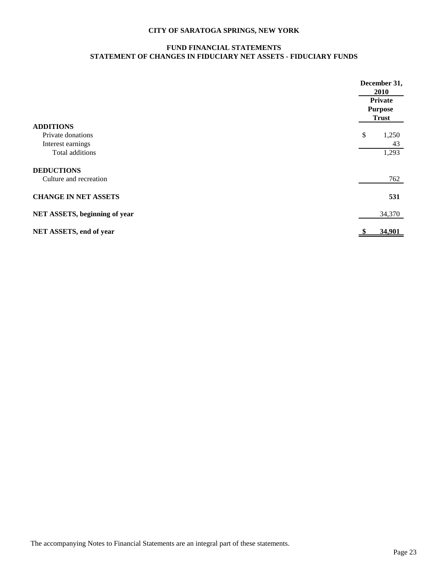# **FUND FINANCIAL STATEMENTS STATEMENT OF CHANGES IN FIDUCIARY NET ASSETS - FIDUCIARY FUNDS**

|                               | December 31,<br>2010<br>Private<br><b>Purpose</b><br><b>Trust</b> |
|-------------------------------|-------------------------------------------------------------------|
| <b>ADDITIONS</b>              |                                                                   |
| Private donations             | \$<br>1,250                                                       |
| Interest earnings             | 43                                                                |
| Total additions               | 1,293                                                             |
| <b>DEDUCTIONS</b>             |                                                                   |
| Culture and recreation        | 762                                                               |
| <b>CHANGE IN NET ASSETS</b>   | 531                                                               |
| NET ASSETS, beginning of year | 34,370                                                            |
| NET ASSETS, end of year       | 34,901<br>\$                                                      |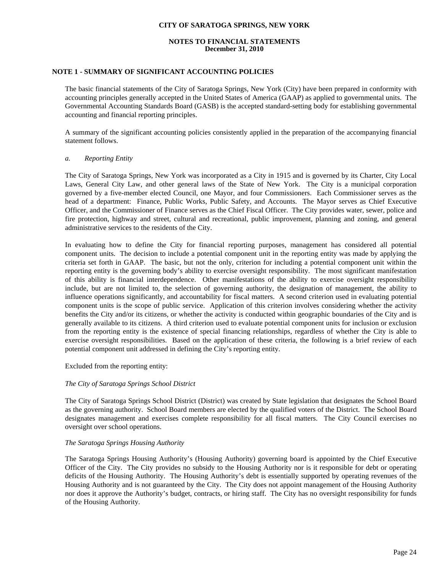#### **NOTES TO FINANCIAL STATEMENTS December 31, 2010**

#### **NOTE 1 - SUMMARY OF SIGNIFICANT ACCOUNTING POLICIES**

The basic financial statements of the City of Saratoga Springs, New York (City) have been prepared in conformity with accounting principles generally accepted in the United States of America (GAAP) as applied to governmental units. The Governmental Accounting Standards Board (GASB) is the accepted standard-setting body for establishing governmental accounting and financial reporting principles.

A summary of the significant accounting policies consistently applied in the preparation of the accompanying financial statement follows.

#### *a. Reporting Entity*

 The City of Saratoga Springs, New York was incorporated as a City in 1915 and is governed by its Charter, City Local Laws, General City Law, and other general laws of the State of New York. The City is a municipal corporation governed by a five-member elected Council, one Mayor, and four Commissioners. Each Commissioner serves as the head of a department: Finance, Public Works, Public Safety, and Accounts. The Mayor serves as Chief Executive Officer, and the Commissioner of Finance serves as the Chief Fiscal Officer. The City provides water, sewer, police and fire protection, highway and street, cultural and recreational, public improvement, planning and zoning, and general administrative services to the residents of the City.

 In evaluating how to define the City for financial reporting purposes, management has considered all potential component units. The decision to include a potential component unit in the reporting entity was made by applying the criteria set forth in GAAP. The basic, but not the only, criterion for including a potential component unit within the reporting entity is the governing body's ability to exercise oversight responsibility. The most significant manifestation of this ability is financial interdependence. Other manifestations of the ability to exercise oversight responsibility include, but are not limited to, the selection of governing authority, the designation of management, the ability to influence operations significantly, and accountability for fiscal matters. A second criterion used in evaluating potential component units is the scope of public service. Application of this criterion involves considering whether the activity benefits the City and/or its citizens, or whether the activity is conducted within geographic boundaries of the City and is generally available to its citizens. A third criterion used to evaluate potential component units for inclusion or exclusion from the reporting entity is the existence of special financing relationships, regardless of whether the City is able to exercise oversight responsibilities. Based on the application of these criteria, the following is a brief review of each potential component unit addressed in defining the City's reporting entity.

Excluded from the reporting entity:

#### *The City of Saratoga Springs School District*

 The City of Saratoga Springs School District (District) was created by State legislation that designates the School Board as the governing authority. School Board members are elected by the qualified voters of the District. The School Board designates management and exercises complete responsibility for all fiscal matters. The City Council exercises no oversight over school operations.

#### *The Saratoga Springs Housing Authority*

The Saratoga Springs Housing Authority's (Housing Authority) governing board is appointed by the Chief Executive Officer of the City. The City provides no subsidy to the Housing Authority nor is it responsible for debt or operating deficits of the Housing Authority. The Housing Authority's debt is essentially supported by operating revenues of the Housing Authority and is not guaranteed by the City. The City does not appoint management of the Housing Authority nor does it approve the Authority's budget, contracts, or hiring staff. The City has no oversight responsibility for funds of the Housing Authority.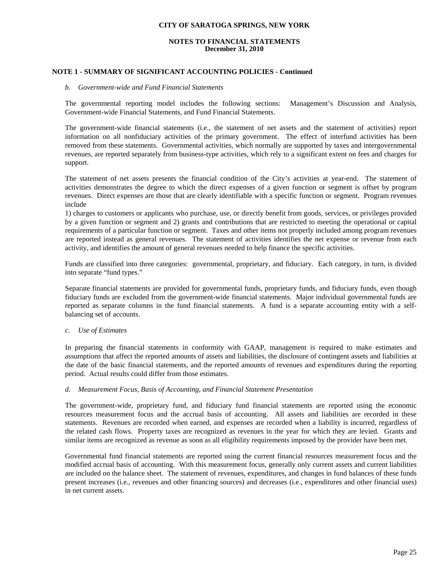#### **NOTES TO FINANCIAL STATEMENTS December 31, 2010**

#### **NOTE 1 - SUMMARY OF SIGNIFICANT ACCOUNTING POLICIES - Continued**

#### *b. Government-wide and Fund Financial Statements*

The governmental reporting model includes the following sections: Management's Discussion and Analysis, Government-wide Financial Statements, and Fund Financial Statements.

The government-wide financial statements (i.e., the statement of net assets and the statement of activities) report information on all nonfiduciary activities of the primary government. The effect of interfund activities has been removed from these statements. Governmental activities, which normally are supported by taxes and intergovernmental revenues, are reported separately from business-type activities, which rely to a significant extent on fees and charges for support.

The statement of net assets presents the financial condition of the City's activities at year-end. The statement of activities demonstrates the degree to which the direct expenses of a given function or segment is offset by program revenues. Direct expenses are those that are clearly identifiable with a specific function or segment. Program revenues include

1) charges to customers or applicants who purchase, use, or directly benefit from goods, services, or privileges provided by a given function or segment and 2) grants and contributions that are restricted to meeting the operational or capital requirements of a particular function or segment. Taxes and other items not properly included among program revenues are reported instead as general revenues. The statement of activities identifies the net expense or revenue from each activity, and identifies the amount of general revenues needed to help finance the specific activities.

Funds are classified into three categories: governmental, proprietary, and fiduciary. Each category, in turn, is divided into separate "fund types."

 Separate financial statements are provided for governmental funds, proprietary funds, and fiduciary funds, even though fiduciary funds are excluded from the government-wide financial statements. Major individual governmental funds are reported as separate columns in the fund financial statements. A fund is a separate accounting entity with a selfbalancing set of accounts.

#### *c. Use of Estimates*

In preparing the financial statements in conformity with GAAP, management is required to make estimates and assumptions that affect the reported amounts of assets and liabilities, the disclosure of contingent assets and liabilities at the date of the basic financial statements, and the reported amounts of revenues and expenditures during the reporting period. Actual results could differ from those estimates.

#### *d. Measurement Focus, Basis of Accounting, and Financial Statement Presentation*

 The government-wide, proprietary fund, and fiduciary fund financial statements are reported using the economic resources measurement focus and the accrual basis of accounting. All assets and liabilities are recorded in these statements. Revenues are recorded when earned, and expenses are recorded when a liability is incurred, regardless of the related cash flows. Property taxes are recognized as revenues in the year for which they are levied. Grants and similar items are recognized as revenue as soon as all eligibility requirements imposed by the provider have been met.

Governmental fund financial statements are reported using the current financial resources measurement focus and the modified accrual basis of accounting. With this measurement focus, generally only current assets and current liabilities are included on the balance sheet. The statement of revenues, expenditures, and changes in fund balances of these funds present increases (i.e., revenues and other financing sources) and decreases (i.e., expenditures and other financial uses) in net current assets.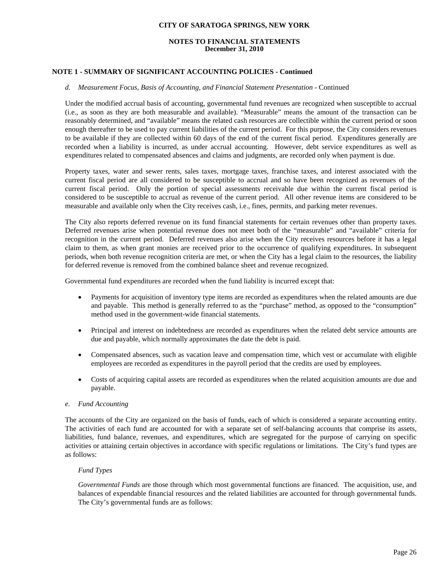#### **NOTES TO FINANCIAL STATEMENTS December 31, 2010**

# **NOTE 1 - SUMMARY OF SIGNIFICANT ACCOUNTING POLICIES - Continued**

#### *d. Measurement Focus, Basis of Accounting, and Financial Statement Presentation* - Continued

Under the modified accrual basis of accounting, governmental fund revenues are recognized when susceptible to accrual (i.e., as soon as they are both measurable and available). "Measurable" means the amount of the transaction can be reasonably determined, and "available" means the related cash resources are collectible within the current period or soon enough thereafter to be used to pay current liabilities of the current period. For this purpose, the City considers revenues to be available if they are collected within 60 days of the end of the current fiscal period. Expenditures generally are recorded when a liability is incurred, as under accrual accounting. However, debt service expenditures as well as expenditures related to compensated absences and claims and judgments, are recorded only when payment is due.

Property taxes, water and sewer rents, sales taxes, mortgage taxes, franchise taxes, and interest associated with the current fiscal period are all considered to be susceptible to accrual and so have been recognized as revenues of the current fiscal period. Only the portion of special assessments receivable due within the current fiscal period is considered to be susceptible to accrual as revenue of the current period. All other revenue items are considered to be measurable and available only when the City receives cash, i.e., fines, permits, and parking meter revenues.

The City also reports deferred revenue on its fund financial statements for certain revenues other than property taxes. Deferred revenues arise when potential revenue does not meet both of the "measurable" and "available" criteria for recognition in the current period. Deferred revenues also arise when the City receives resources before it has a legal claim to them, as when grant monies are received prior to the occurrence of qualifying expenditures. In subsequent periods, when both revenue recognition criteria are met, or when the City has a legal claim to the resources, the liability for deferred revenue is removed from the combined balance sheet and revenue recognized.

Governmental fund expenditures are recorded when the fund liability is incurred except that:

- Payments for acquisition of inventory type items are recorded as expenditures when the related amounts are due and payable. This method is generally referred to as the "purchase" method, as opposed to the "consumption" method used in the government-wide financial statements.
- Principal and interest on indebtedness are recorded as expenditures when the related debt service amounts are due and payable, which normally approximates the date the debt is paid.
- Compensated absences, such as vacation leave and compensation time, which vest or accumulate with eligible employees are recorded as expenditures in the payroll period that the credits are used by employees.
- Costs of acquiring capital assets are recorded as expenditures when the related acquisition amounts are due and payable.

#### *e. Fund Accounting*

The accounts of the City are organized on the basis of funds, each of which is considered a separate accounting entity. The activities of each fund are accounted for with a separate set of self-balancing accounts that comprise its assets, liabilities, fund balance, revenues, and expenditures, which are segregated for the purpose of carrying on specific activities or attaining certain objectives in accordance with specific regulations or limitations. The City's fund types are as follows:

#### *Fund Types*

*Governmental Funds* are those through which most governmental functions are financed. The acquisition, use, and balances of expendable financial resources and the related liabilities are accounted for through governmental funds. The City's governmental funds are as follows: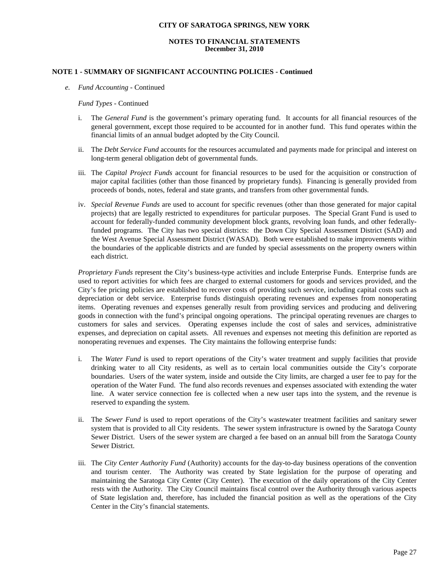#### **NOTES TO FINANCIAL STATEMENTS December 31, 2010**

#### **NOTE 1 - SUMMARY OF SIGNIFICANT ACCOUNTING POLICIES - Continued**

*e. Fund Accounting* - Continued

#### *Fund Types* - Continued

- i. The *General Fund* is the government's primary operating fund. It accounts for all financial resources of the general government, except those required to be accounted for in another fund. This fund operates within the financial limits of an annual budget adopted by the City Council.
- ii. The *Debt Service Fund* accounts for the resources accumulated and payments made for principal and interest on long-term general obligation debt of governmental funds.
- iii. The *Capital Project Funds* account for financial resources to be used for the acquisition or construction of major capital facilities (other than those financed by proprietary funds). Financing is generally provided from proceeds of bonds, notes, federal and state grants, and transfers from other governmental funds.
- iv. *Special Revenue Funds* are used to account for specific revenues (other than those generated for major capital projects) that are legally restricted to expenditures for particular purposes. The Special Grant Fund is used to account for federally-funded community development block grants, revolving loan funds, and other federallyfunded programs. The City has two special districts: the Down City Special Assessment District (SAD) and the West Avenue Special Assessment District (WASAD). Both were established to make improvements within the boundaries of the applicable districts and are funded by special assessments on the property owners within each district.

*Proprietary Funds* represent the City's business-type activities and include Enterprise Funds. Enterprise funds are used to report activities for which fees are charged to external customers for goods and services provided, and the City's fee pricing policies are established to recover costs of providing such service, including capital costs such as depreciation or debt service. Enterprise funds distinguish operating revenues and expenses from nonoperating items. Operating revenues and expenses generally result from providing services and producing and delivering goods in connection with the fund's principal ongoing operations. The principal operating revenues are charges to customers for sales and services. Operating expenses include the cost of sales and services, administrative expenses, and depreciation on capital assets. All revenues and expenses not meeting this definition are reported as nonoperating revenues and expenses. The City maintains the following enterprise funds:

- i. The *Water Fund* is used to report operations of the City's water treatment and supply facilities that provide drinking water to all City residents, as well as to certain local communities outside the City's corporate boundaries. Users of the water system, inside and outside the City limits, are charged a user fee to pay for the operation of the Water Fund. The fund also records revenues and expenses associated with extending the water line. A water service connection fee is collected when a new user taps into the system, and the revenue is reserved to expanding the system.
- ii. The *Sewer Fund* is used to report operations of the City's wastewater treatment facilities and sanitary sewer system that is provided to all City residents. The sewer system infrastructure is owned by the Saratoga County Sewer District. Users of the sewer system are charged a fee based on an annual bill from the Saratoga County Sewer District.
- iii. The *City Center Authority Fund* (Authority) accounts for the day-to-day business operations of the convention and tourism center. The Authority was created by State legislation for the purpose of operating and maintaining the Saratoga City Center (City Center). The execution of the daily operations of the City Center rests with the Authority. The City Council maintains fiscal control over the Authority through various aspects of State legislation and, therefore, has included the financial position as well as the operations of the City Center in the City's financial statements.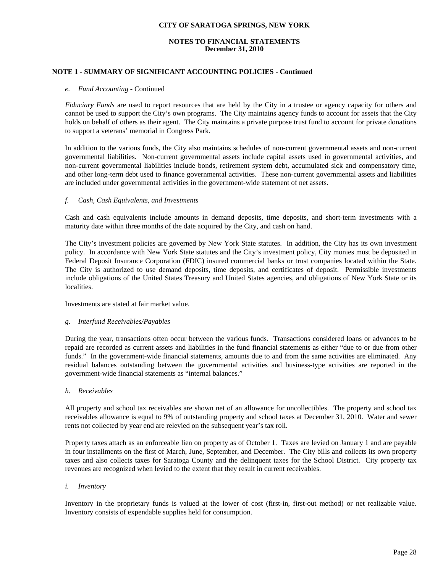#### **NOTES TO FINANCIAL STATEMENTS December 31, 2010**

#### **NOTE 1 - SUMMARY OF SIGNIFICANT ACCOUNTING POLICIES - Continued**

#### *e. Fund Accounting* - Continued

*Fiduciary Funds* are used to report resources that are held by the City in a trustee or agency capacity for others and cannot be used to support the City's own programs. The City maintains agency funds to account for assets that the City holds on behalf of others as their agent. The City maintains a private purpose trust fund to account for private donations to support a veterans' memorial in Congress Park.

In addition to the various funds, the City also maintains schedules of non-current governmental assets and non-current governmental liabilities. Non-current governmental assets include capital assets used in governmental activities, and non-current governmental liabilities include bonds, retirement system debt, accumulated sick and compensatory time, and other long-term debt used to finance governmental activities. These non-current governmental assets and liabilities are included under governmental activities in the government-wide statement of net assets.

#### *f. Cash, Cash Equivalents, and Investments*

 Cash and cash equivalents include amounts in demand deposits, time deposits, and short-term investments with a maturity date within three months of the date acquired by the City, and cash on hand.

 The City's investment policies are governed by New York State statutes. In addition, the City has its own investment policy. In accordance with New York State statutes and the City's investment policy, City monies must be deposited in Federal Deposit Insurance Corporation (FDIC) insured commercial banks or trust companies located within the State. The City is authorized to use demand deposits, time deposits, and certificates of deposit. Permissible investments include obligations of the United States Treasury and United States agencies, and obligations of New York State or its localities.

Investments are stated at fair market value.

#### *g. Interfund Receivables/Payables*

During the year, transactions often occur between the various funds. Transactions considered loans or advances to be repaid are recorded as current assets and liabilities in the fund financial statements as either "due to or due from other funds." In the government-wide financial statements, amounts due to and from the same activities are eliminated. Any residual balances outstanding between the governmental activities and business-type activities are reported in the government-wide financial statements as "internal balances."

#### *h. Receivables*

All property and school tax receivables are shown net of an allowance for uncollectibles. The property and school tax receivables allowance is equal to 9% of outstanding property and school taxes at December 31, 2010. Water and sewer rents not collected by year end are relevied on the subsequent year's tax roll.

 Property taxes attach as an enforceable lien on property as of October 1. Taxes are levied on January 1 and are payable in four installments on the first of March, June, September, and December. The City bills and collects its own property taxes and also collects taxes for Saratoga County and the delinquent taxes for the School District. City property tax revenues are recognized when levied to the extent that they result in current receivables.

#### *i. Inventory*

 Inventory in the proprietary funds is valued at the lower of cost (first-in, first-out method) or net realizable value. Inventory consists of expendable supplies held for consumption.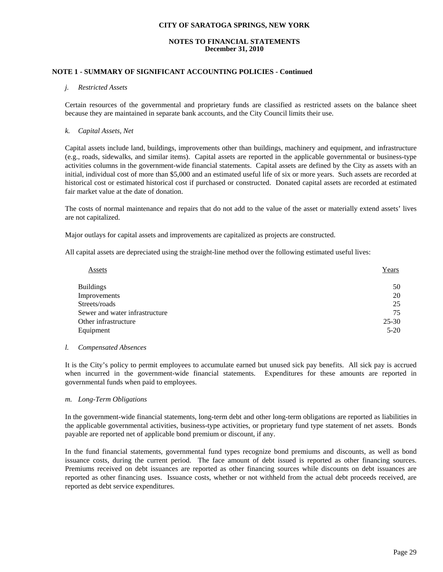#### **NOTES TO FINANCIAL STATEMENTS December 31, 2010**

#### **NOTE 1 - SUMMARY OF SIGNIFICANT ACCOUNTING POLICIES - Continued**

#### *j. Restricted Assets*

Certain resources of the governmental and proprietary funds are classified as restricted assets on the balance sheet because they are maintained in separate bank accounts, and the City Council limits their use.

#### *k. Capital Assets, Net*

Capital assets include land, buildings, improvements other than buildings, machinery and equipment, and infrastructure (e.g., roads, sidewalks, and similar items). Capital assets are reported in the applicable governmental or business-type activities columns in the government-wide financial statements. Capital assets are defined by the City as assets with an initial, individual cost of more than \$5,000 and an estimated useful life of six or more years. Such assets are recorded at historical cost or estimated historical cost if purchased or constructed. Donated capital assets are recorded at estimated fair market value at the date of donation.

The costs of normal maintenance and repairs that do not add to the value of the asset or materially extend assets' lives are not capitalized.

Major outlays for capital assets and improvements are capitalized as projects are constructed.

All capital assets are depreciated using the straight-line method over the following estimated useful lives:

| Assets                         | Years     |
|--------------------------------|-----------|
| <b>Buildings</b>               | 50        |
| Improvements                   | 20        |
| Streets/roads                  | 25        |
| Sewer and water infrastructure | 75        |
| Other infrastructure           | $25 - 30$ |
| Equipment                      | $5 - 20$  |

#### *l. Compensated Absences*

It is the City's policy to permit employees to accumulate earned but unused sick pay benefits. All sick pay is accrued when incurred in the government-wide financial statements. Expenditures for these amounts are reported in governmental funds when paid to employees.

#### *m. Long-Term Obligations*

In the government-wide financial statements, long-term debt and other long-term obligations are reported as liabilities in the applicable governmental activities, business-type activities, or proprietary fund type statement of net assets. Bonds payable are reported net of applicable bond premium or discount, if any.

In the fund financial statements, governmental fund types recognize bond premiums and discounts, as well as bond issuance costs, during the current period. The face amount of debt issued is reported as other financing sources. Premiums received on debt issuances are reported as other financing sources while discounts on debt issuances are reported as other financing uses. Issuance costs, whether or not withheld from the actual debt proceeds received, are reported as debt service expenditures.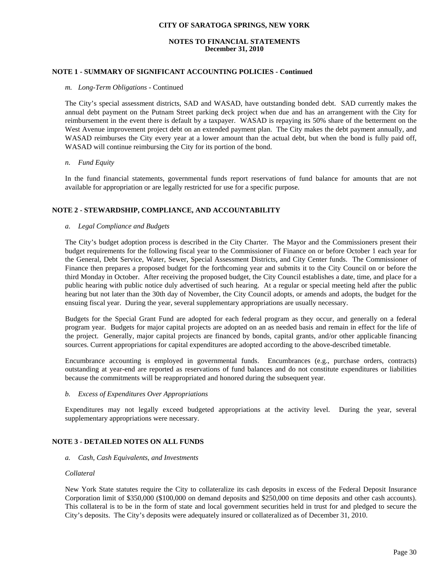#### **NOTES TO FINANCIAL STATEMENTS December 31, 2010**

#### **NOTE 1 - SUMMARY OF SIGNIFICANT ACCOUNTING POLICIES - Continued**

#### *m. Long-Term Obligations -* Continued

 The City's special assessment districts, SAD and WASAD, have outstanding bonded debt. SAD currently makes the annual debt payment on the Putnam Street parking deck project when due and has an arrangement with the City for reimbursement in the event there is default by a taxpayer. WASAD is repaying its 50% share of the betterment on the West Avenue improvement project debt on an extended payment plan. The City makes the debt payment annually, and WASAD reimburses the City every year at a lower amount than the actual debt, but when the bond is fully paid off, WASAD will continue reimbursing the City for its portion of the bond.

#### *n. Fund Equity*

In the fund financial statements, governmental funds report reservations of fund balance for amounts that are not available for appropriation or are legally restricted for use for a specific purpose.

#### **NOTE 2 - STEWARDSHIP, COMPLIANCE, AND ACCOUNTABILITY**

#### *a. Legal Compliance and Budgets*

 The City's budget adoption process is described in the City Charter. The Mayor and the Commissioners present their budget requirements for the following fiscal year to the Commissioner of Finance on or before October 1 each year for the General, Debt Service, Water, Sewer, Special Assessment Districts, and City Center funds. The Commissioner of Finance then prepares a proposed budget for the forthcoming year and submits it to the City Council on or before the third Monday in October. After receiving the proposed budget, the City Council establishes a date, time, and place for a public hearing with public notice duly advertised of such hearing. At a regular or special meeting held after the public hearing but not later than the 30th day of November, the City Council adopts, or amends and adopts, the budget for the ensuing fiscal year. During the year, several supplementary appropriations are usually necessary.

 Budgets for the Special Grant Fund are adopted for each federal program as they occur, and generally on a federal program year. Budgets for major capital projects are adopted on an as needed basis and remain in effect for the life of the project. Generally, major capital projects are financed by bonds, capital grants, and/or other applicable financing sources. Current appropriations for capital expenditures are adopted according to the above-described timetable.

Encumbrance accounting is employed in governmental funds. Encumbrances (e.g., purchase orders, contracts) outstanding at year-end are reported as reservations of fund balances and do not constitute expenditures or liabilities because the commitments will be reappropriated and honored during the subsequent year.

#### *b. Excess of Expenditures Over Appropriations*

Expenditures may not legally exceed budgeted appropriations at the activity level. During the year, several supplementary appropriations were necessary.

# **NOTE 3 - DETAILED NOTES ON ALL FUNDS**

#### *a. Cash, Cash Equivalents, and Investments*

#### *Collateral*

 New York State statutes require the City to collateralize its cash deposits in excess of the Federal Deposit Insurance Corporation limit of \$350,000 (\$100,000 on demand deposits and \$250,000 on time deposits and other cash accounts). This collateral is to be in the form of state and local government securities held in trust for and pledged to secure the City's deposits. The City's deposits were adequately insured or collateralized as of December 31, 2010.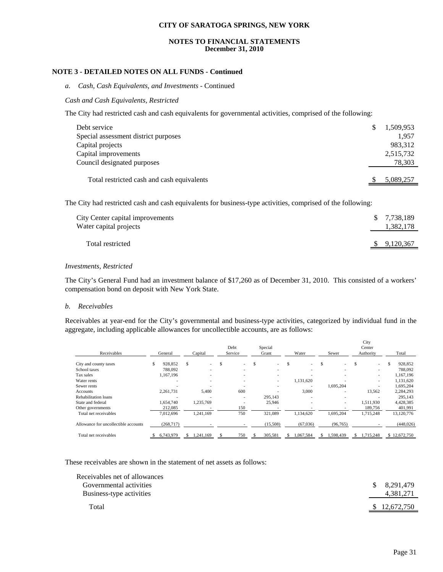#### **NOTES TO FINANCIAL STATEMENTS December 31, 2010**

#### **NOTE 3 - DETAILED NOTES ON ALL FUNDS - Continued**

*a. Cash, Cash Equivalents, and Investments* - Continued

#### *Cash and Cash Equivalents, Restricted*

The City had restricted cash and cash equivalents for governmental activities, comprised of the following:

| Debt service                               | 1,509,953 |
|--------------------------------------------|-----------|
| Special assessment district purposes       | 1.957     |
| Capital projects                           | 983,312   |
| Capital improvements                       | 2,515,732 |
| Council designated purposes                | 78,303    |
| Total restricted cash and cash equivalents | 5,089,257 |

The City had restricted cash and cash equivalents for business-type activities, comprised of the following:

| City Center capital improvements<br>Water capital projects | \$7,738,189<br>1,382,178 |
|------------------------------------------------------------|--------------------------|
| Total restricted                                           | 9,120,367                |

#### *Investments, Restricted*

 The City's General Fund had an investment balance of \$17,260 as of December 31, 2010. This consisted of a workers' compensation bond on deposit with New York State.

#### *b. Receivables*

Receivables at year-end for the City's governmental and business-type activities, categorized by individual fund in the aggregate, including applicable allowances for uncollectible accounts, are as follows:

| Receivables                          | General                  | Capital                        | Debt<br>Service                | Special<br>Grant         | Water                          | Sewer                          | City<br>Center<br>Authority | Total          |
|--------------------------------------|--------------------------|--------------------------------|--------------------------------|--------------------------|--------------------------------|--------------------------------|-----------------------------|----------------|
| City and county taxes                | \$<br>928.852            | \$<br>$\overline{\phantom{a}}$ | \$<br>$\overline{\phantom{a}}$ | $\overline{\phantom{a}}$ | \$<br>$\overline{\phantom{a}}$ | \$<br>$\overline{\phantom{a}}$ | S<br>$\sim$                 | 928,852<br>\$. |
| School taxes                         | 788,092                  |                                | $\overline{\phantom{a}}$       | $\overline{\phantom{a}}$ | $\overline{\phantom{a}}$       | $\overline{\phantom{a}}$       |                             | 788,092        |
| Tax sales                            | 1,167,196                |                                | $\overline{a}$                 | $\overline{\phantom{a}}$ |                                | ۰                              | $\overline{\phantom{a}}$    | 1,167,196      |
| Water rents                          | $\overline{\phantom{a}}$ |                                | $\overline{a}$                 | ۰                        | 1,131,620                      |                                | $\overline{\phantom{a}}$    | 1,131,620      |
| Sewer rents                          | $\overline{\phantom{a}}$ |                                |                                | $\overline{\phantom{a}}$ |                                | 1,695,204                      | $\overline{\phantom{a}}$    | 1,695,204      |
| <b>Accounts</b>                      | 2,261,731                | 5,400                          | 600                            | $\overline{\phantom{a}}$ | 3,000                          | $\overline{\phantom{a}}$       | 13,562                      | 2,284,293      |
| Rehabilitation loans                 |                          |                                | $\overline{\phantom{a}}$       | 295,143                  |                                | $\overline{\phantom{a}}$       |                             | 295,143        |
| State and federal                    | 1,654,740                | 1,235,769                      | $\overline{\phantom{a}}$       | 25,946                   |                                | $\overline{\phantom{a}}$       | 1,511,930                   | 4,428,385      |
| Other governments                    | 212.085                  |                                | 150                            | $\overline{\phantom{a}}$ |                                |                                | 189,756                     | 401,991        |
| Total net receivables                | 7,012,696                | 1,241,169                      | 750                            | 321,089                  | 1,134,620                      | 1,695,204                      | 1,715,248                   | 13,120,776     |
| Allowance for uncollectible accounts | (268, 717)               |                                |                                | (15,508)                 | (67,036)                       | (96, 765)                      |                             | (448, 026)     |
| Total net receivables                | 6,743,979                | 1,241,169                      | 750                            | 305,581                  | 1,067,584<br>\$                | 1,598,439<br>\$.               | 1,715,248<br>S              | \$12,672,750   |

These receivables are shown in the statement of net assets as follows:

| Receivables net of allowances |                |
|-------------------------------|----------------|
| Governmental activities       | $\$$ 8.291.479 |
| Business-type activities      | 4,381,271      |
| Total                         | \$12,672,750   |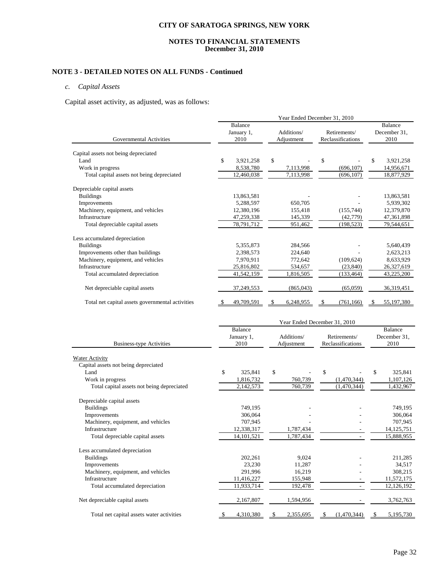#### **NOTES TO FINANCIAL STATEMENTS December 31, 2010**

# **NOTE 3 - DETAILED NOTES ON ALL FUNDS - Continued**

*c. Capital Assets* 

Capital asset activity, as adjusted, was as follows:

|                                                  |            | Year Ended December 31, 2010 |            |            |                   |            |                |            |  |
|--------------------------------------------------|------------|------------------------------|------------|------------|-------------------|------------|----------------|------------|--|
|                                                  |            | <b>Balance</b>               |            |            |                   |            | <b>Balance</b> |            |  |
|                                                  | January 1, |                              | Additions/ |            | Retirements/      |            | December 31,   |            |  |
| Governmental Activities                          |            | 2010                         | Adjustment |            | Reclassifications |            | 2010           |            |  |
| Capital assets not being depreciated             |            |                              |            |            |                   |            |                |            |  |
| Land                                             | \$         | 3,921,258                    | \$         |            | \$                |            | \$             | 3,921,258  |  |
|                                                  |            |                              |            |            |                   |            |                |            |  |
| Work in progress                                 |            | 8,538,780                    |            | 7,113,998  |                   | (696, 107) |                | 14,956,671 |  |
| Total capital assets not being depreciated       |            | 12,460,038                   |            | 7,113,998  |                   | (696, 107) |                | 18,877,929 |  |
| Depreciable capital assets                       |            |                              |            |            |                   |            |                |            |  |
| <b>Buildings</b>                                 |            | 13,863,581                   |            |            |                   |            |                | 13,863,581 |  |
| Improvements                                     |            | 5,288,597                    |            | 650,705    |                   |            |                | 5,939,302  |  |
| Machinery, equipment, and vehicles               |            | 12,380,196                   |            | 155,418    |                   | (155, 744) |                | 12,379,870 |  |
| Infrastructure                                   |            | 47,259,338                   |            | 145,339    |                   | (42, 779)  |                | 47,361,898 |  |
| Total depreciable capital assets                 |            | 78,791,712                   |            | 951,462    |                   | (198, 523) |                | 79,544,651 |  |
| Less accumulated depreciation                    |            |                              |            |            |                   |            |                |            |  |
| <b>Buildings</b>                                 |            | 5,355,873                    |            | 284,566    |                   |            |                | 5,640,439  |  |
| Improvements other than buildings                |            | 2,398,573                    |            | 224,640    |                   |            |                | 2,623,213  |  |
| Machinery, equipment, and vehicles               |            | 7,970,911                    |            | 772,642    |                   | (109.624)  |                | 8,633,929  |  |
| Infrastructure                                   |            | 25,816,802                   |            | 534,657    |                   | (23, 840)  |                | 26,327,619 |  |
| Total accumulated depreciation                   |            | 41,542,159                   |            | 1,816,505  |                   | (133, 464) |                | 43,225,200 |  |
|                                                  |            |                              |            |            |                   |            |                |            |  |
| Net depreciable capital assets                   |            | 37,249,553                   |            | (865, 043) |                   | (65,059)   |                | 36,319,451 |  |
| Total net capital assets governmental activities |            | 49,709,591                   |            | 6.248.955  |                   | (761.166)  |                | 55,197,380 |  |
|                                                  |            |                              |            |            |                   |            |                |            |  |

|                                            | Year Ended December 31, 2010         |              |                          |           |                                   |             |                                        |              |
|--------------------------------------------|--------------------------------------|--------------|--------------------------|-----------|-----------------------------------|-------------|----------------------------------------|--------------|
| <b>Business-type Activities</b>            | <b>Balance</b><br>January 1,<br>2010 |              | Additions/<br>Adjustment |           | Retirements/<br>Reclassifications |             | <b>Balance</b><br>December 31,<br>2010 |              |
| Water Activity                             |                                      |              |                          |           |                                   |             |                                        |              |
| Capital assets not being depreciated       |                                      |              |                          |           |                                   |             |                                        |              |
| Land                                       | \$                                   | 325,841      | \$                       |           | \$                                |             | \$                                     | 325,841      |
| Work in progress                           |                                      | 1,816,732    |                          | 760,739   |                                   | (1,470,344) |                                        | 1,107,126    |
| Total capital assets not being depreciated |                                      | 2,142,573    |                          | 760,739   |                                   | (1,470,344) |                                        | 1,432,967    |
| Depreciable capital assets                 |                                      |              |                          |           |                                   |             |                                        |              |
| <b>Buildings</b>                           |                                      | 749,195      |                          |           |                                   |             |                                        | 749,195      |
| Improvements                               |                                      | 306,064      |                          |           |                                   |             |                                        | 306,064      |
| Machinery, equipment, and vehicles         |                                      | 707,945      |                          |           |                                   |             |                                        | 707,945      |
| Infrastructure                             |                                      | 12,338,317   |                          | 1,787,434 |                                   |             |                                        | 14, 125, 751 |
| Total depreciable capital assets           |                                      | 14, 101, 521 |                          | 1,787,434 |                                   |             |                                        | 15,888,955   |
| Less accumulated depreciation              |                                      |              |                          |           |                                   |             |                                        |              |
| <b>Buildings</b>                           |                                      | 202,261      |                          | 9.024     |                                   |             |                                        | 211,285      |
| Improvements                               |                                      | 23.230       |                          | 11,287    |                                   |             |                                        | 34,517       |
| Machinery, equipment, and vehicles         |                                      | 291,996      |                          | 16,219    |                                   |             |                                        | 308,215      |
| Infrastructure                             |                                      | 11,416,227   |                          | 155,948   |                                   |             |                                        | 11,572,175   |
| Total accumulated depreciation             |                                      | 11,933,714   |                          | 192,478   |                                   |             |                                        | 12, 126, 192 |
| Net depreciable capital assets             |                                      | 2,167,807    |                          | 1,594,956 |                                   |             |                                        | 3,762,763    |
| Total net capital assets water activities  | <sup>22</sup>                        | 4,310,380    | S,                       | 2,355,695 | S                                 | (1,470,344) | S,                                     | 5,195,730    |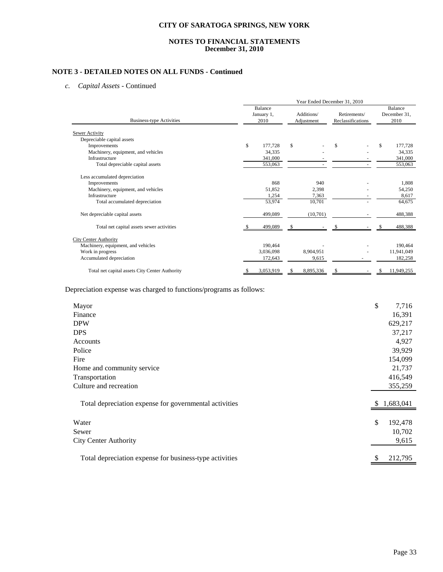#### **NOTES TO FINANCIAL STATEMENTS December 31, 2010**

# **NOTE 3 - DETAILED NOTES ON ALL FUNDS - Continued**

#### *c. Capital Assets* - Continued

|                                                |                                      | Year Ended December 31, 2010 |                          |           |                                   |  |                                        |            |  |
|------------------------------------------------|--------------------------------------|------------------------------|--------------------------|-----------|-----------------------------------|--|----------------------------------------|------------|--|
| <b>Business-type Activities</b>                | <b>Balance</b><br>January 1,<br>2010 |                              | Additions/<br>Adjustment |           | Retirements/<br>Reclassifications |  | <b>Balance</b><br>December 31.<br>2010 |            |  |
| Sewer Activity                                 |                                      |                              |                          |           |                                   |  |                                        |            |  |
| Depreciable capital assets                     |                                      |                              |                          |           |                                   |  |                                        |            |  |
| Improvements                                   | \$                                   | 177,728                      | S                        |           | \$                                |  | \$                                     | 177,728    |  |
| Machinery, equipment, and vehicles             |                                      | 34.335                       |                          |           |                                   |  |                                        | 34,335     |  |
| Infrastructure                                 |                                      | 341,000                      |                          |           |                                   |  |                                        | 341,000    |  |
| Total depreciable capital assets               |                                      | 553,063                      |                          |           |                                   |  |                                        | 553,063    |  |
| Less accumulated depreciation                  |                                      |                              |                          |           |                                   |  |                                        |            |  |
| Improvements                                   |                                      | 868                          |                          | 940       |                                   |  |                                        | 1.808      |  |
| Machinery, equipment, and vehicles             |                                      | 51.852                       |                          | 2,398     |                                   |  |                                        | 54,250     |  |
| Infrastructure                                 |                                      | 1,254                        |                          | 7,363     |                                   |  |                                        | 8,617      |  |
| Total accumulated depreciation                 |                                      | 53,974                       |                          | 10,701    |                                   |  |                                        | 64,675     |  |
| Net depreciable capital assets                 |                                      | 499,089                      |                          | (10,701)  |                                   |  |                                        | 488,388    |  |
| Total net capital assets sewer activities      |                                      | 499,089                      |                          |           |                                   |  |                                        | 488,388    |  |
| <b>City Center Authority</b>                   |                                      |                              |                          |           |                                   |  |                                        |            |  |
| Machinery, equipment, and vehicles             |                                      | 190,464                      |                          |           |                                   |  |                                        | 190.464    |  |
| Work in progress                               |                                      | 3,036,098                    |                          | 8.904.951 |                                   |  |                                        | 11,941,049 |  |
| Accumulated depreciation                       |                                      | 172,643                      |                          | 9,615     |                                   |  |                                        | 182,258    |  |
| Total net capital assets City Center Authority |                                      | 3,053,919                    |                          | 8,895,336 |                                   |  |                                        | 11,949,255 |  |

Depreciation expense was charged to functions/programs as follows:

| Mayor                                                   | \$<br>7,716   |
|---------------------------------------------------------|---------------|
| Finance                                                 | 16,391        |
| <b>DPW</b>                                              | 629,217       |
| <b>DPS</b>                                              | 37,217        |
| Accounts                                                | 4,927         |
| Police                                                  | 39,929        |
| Fire                                                    | 154,099       |
| Home and community service                              | 21,737        |
| Transportation                                          | 416,549       |
| Culture and recreation                                  | 355,259       |
|                                                         |               |
| Total depreciation expense for governmental activities  | 1,683,041     |
|                                                         |               |
| Water                                                   | \$<br>192,478 |
| Sewer                                                   | 10,702        |
| <b>City Center Authority</b>                            | 9,615         |
|                                                         |               |
| Total depreciation expense for business-type activities | \$<br>212,795 |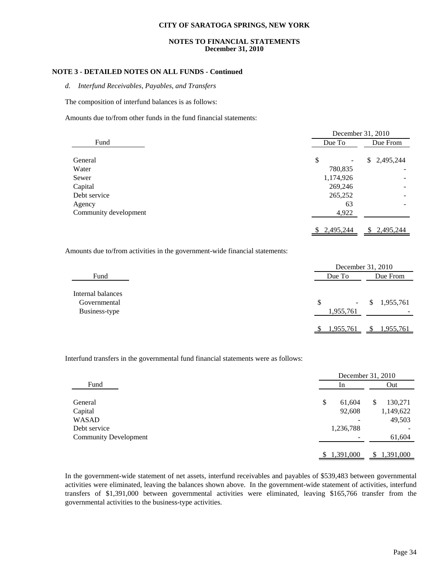#### **NOTES TO FINANCIAL STATEMENTS December 31, 2010**

# **NOTE 3 - DETAILED NOTES ON ALL FUNDS - Continued**

*d. Interfund Receivables, Payables, and Transfers* 

The composition of interfund balances is as follows:

Amounts due to/from other funds in the fund financial statements:

|                       | December 31, 2010 |             |  |  |  |  |
|-----------------------|-------------------|-------------|--|--|--|--|
| Fund                  | Due To            | Due From    |  |  |  |  |
| General               | \$                | \$2,495,244 |  |  |  |  |
| Water                 | 780,835           |             |  |  |  |  |
| Sewer                 | 1,174,926         |             |  |  |  |  |
| Capital               | 269,246           |             |  |  |  |  |
| Debt service          | 265,252           | -           |  |  |  |  |
| Agency                | 63                |             |  |  |  |  |
| Community development | 4,922             |             |  |  |  |  |
|                       | \$2,495,244       | \$2,495,244 |  |  |  |  |

Amounts due to/from activities in the government-wide financial statements:

|                                                    |                 | December 31, 2010   |  |  |  |  |  |
|----------------------------------------------------|-----------------|---------------------|--|--|--|--|--|
| Fund                                               | Due To          | Due From            |  |  |  |  |  |
| Internal balances<br>Governmental<br>Business-type | \$<br>1,955,761 | 1,955,761<br>$-$ \$ |  |  |  |  |  |
|                                                    | 1,955,761       | 1,955,761           |  |  |  |  |  |

Interfund transfers in the governmental fund financial statements were as follows:

|                              | December 31, 2010 |                            |  |  |  |  |  |
|------------------------------|-------------------|----------------------------|--|--|--|--|--|
| Fund                         | <b>In</b>         | Out                        |  |  |  |  |  |
| General                      | \$<br>61,604      | \$<br>130,271              |  |  |  |  |  |
| Capital                      | 92,608            | 1,149,622                  |  |  |  |  |  |
| <b>WASAD</b>                 |                   | 49,503                     |  |  |  |  |  |
| Debt service                 | 1,236,788         | -                          |  |  |  |  |  |
| <b>Community Development</b> |                   | 61,604                     |  |  |  |  |  |
|                              |                   |                            |  |  |  |  |  |
|                              | 1,391,000         | 1,391,000<br><sup>\$</sup> |  |  |  |  |  |

In the government-wide statement of net assets, interfund receivables and payables of \$539,483 between governmental activities were eliminated, leaving the balances shown above. In the government-wide statement of activities, interfund transfers of \$1,391,000 between governmental activities were eliminated, leaving \$165,766 transfer from the governmental activities to the business-type activities.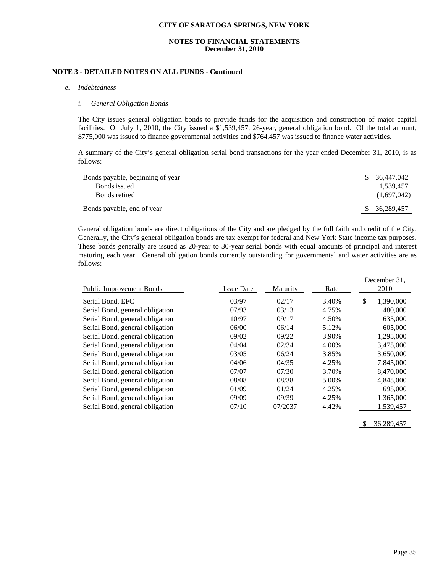#### **NOTES TO FINANCIAL STATEMENTS December 31, 2010**

#### **NOTE 3 - DETAILED NOTES ON ALL FUNDS - Continued**

#### *e. Indebtedness*

## *i. General Obligation Bonds*

The City issues general obligation bonds to provide funds for the acquisition and construction of major capital facilities. On July 1, 2010, the City issued a \$1,539,457, 26-year, general obligation bond. Of the total amount, \$775,000 was issued to finance governmental activities and \$764,457 was issued to finance water activities.

A summary of the City's general obligation serial bond transactions for the year ended December 31, 2010, is as follows:

| Bonds payable, beginning of year<br>Bonds issued<br>Bonds retired | <sup>S</sup> | 36,447,042<br>1.539.457<br>(1,697,042) |
|-------------------------------------------------------------------|--------------|----------------------------------------|
| Bonds payable, end of year                                        |              | 36,289,457                             |

General obligation bonds are direct obligations of the City and are pledged by the full faith and credit of the City. Generally, the City's general obligation bonds are tax exempt for federal and New York State income tax purposes. These bonds generally are issued as 20-year to 30-year serial bonds with equal amounts of principal and interest maturing each year. General obligation bonds currently outstanding for governmental and water activities are as follows:

| <b>Public Improvement Bonds</b> | <b>Issue Date</b> | Maturity | Rate  | December 31,<br>2010 |
|---------------------------------|-------------------|----------|-------|----------------------|
| Serial Bond, EFC                | 03/97             | 02/17    | 3.40% | \$<br>1,390,000      |
| Serial Bond, general obligation | 07/93             | 03/13    | 4.75% | 480,000              |
| Serial Bond, general obligation | 10/97             | 09/17    | 4.50% | 635,000              |
| Serial Bond, general obligation | 06/00             | 06/14    | 5.12% | 605,000              |
| Serial Bond, general obligation | 09/02             | 09/22    | 3.90% | 1,295,000            |
| Serial Bond, general obligation | 04/04             | 02/34    | 4.00% | 3,475,000            |
| Serial Bond, general obligation | 03/05             | 06/24    | 3.85% | 3,650,000            |
| Serial Bond, general obligation | 04/06             | 04/35    | 4.25% | 7,845,000            |
| Serial Bond, general obligation | 07/07             | 07/30    | 3.70% | 8,470,000            |
| Serial Bond, general obligation | 08/08             | 08/38    | 5.00% | 4,845,000            |
| Serial Bond, general obligation | 01/09             | 01/24    | 4.25% | 695,000              |
| Serial Bond, general obligation | 09/09             | 09/39    | 4.25% | 1,365,000            |
| Serial Bond, general obligation | 07/10             | 07/2037  | 4.42% | 1,539,457            |
|                                 |                   |          |       |                      |

\$ 36,289,457

 $\overline{D}$   $\overline{1}$   $\overline{21}$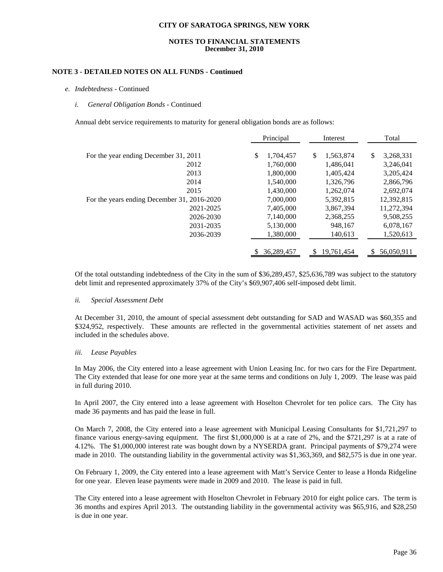## **NOTES TO FINANCIAL STATEMENTS December 31, 2010**

## **NOTE 3 - DETAILED NOTES ON ALL FUNDS - Continued**

*e. Indebtedness* - Continued

## *i. General Obligation Bonds* - Continued

Annual debt service requirements to maturity for general obligation bonds are as follows:

|                                             | Principal |            | Interest |            | Total |             |
|---------------------------------------------|-----------|------------|----------|------------|-------|-------------|
| For the year ending December 31, 2011       | \$        | 1,704,457  | \$       | 1,563,874  | \$    | 3,268,331   |
| 2012                                        |           | 1,760,000  |          | 1,486,041  |       | 3,246,041   |
| 2013                                        |           | 1,800,000  |          | 1,405,424  |       | 3, 205, 424 |
| 2014                                        |           | 1,540,000  |          | 1,326,796  |       | 2,866,796   |
| 2015                                        |           | 1.430.000  |          | 1,262,074  |       | 2,692,074   |
| For the years ending December 31, 2016-2020 |           | 7,000,000  |          | 5,392,815  |       | 12,392,815  |
| 2021-2025                                   |           | 7,405,000  |          | 3,867,394  |       | 11,272,394  |
| 2026-2030                                   |           | 7,140,000  |          | 2,368,255  |       | 9,508,255   |
| 2031-2035                                   |           | 5,130,000  |          | 948.167    |       | 6,078,167   |
| 2036-2039                                   |           | 1,380,000  |          | 140,613    |       | 1,520,613   |
|                                             |           |            |          |            |       |             |
|                                             |           | 36.289.457 | S        | 19.761.454 | S     | 56,050,911  |

Of the total outstanding indebtedness of the City in the sum of \$36,289,457, \$25,636,789 was subject to the statutory debt limit and represented approximately 37% of the City's \$69,907,406 self-imposed debt limit.

#### *ii. Special Assessment Debt*

 At December 31, 2010, the amount of special assessment debt outstanding for SAD and WASAD was \$60,355 and \$324,952, respectively. These amounts are reflected in the governmental activities statement of net assets and included in the schedules above.

# *iii. Lease Payables*

In May 2006, the City entered into a lease agreement with Union Leasing Inc. for two cars for the Fire Department. The City extended that lease for one more year at the same terms and conditions on July 1, 2009. The lease was paid in full during 2010.

In April 2007, the City entered into a lease agreement with Hoselton Chevrolet for ten police cars. The City has made 36 payments and has paid the lease in full.

On March 7, 2008, the City entered into a lease agreement with Municipal Leasing Consultants for \$1,721,297 to finance various energy-saving equipment. The first \$1,000,000 is at a rate of 2%, and the \$721,297 is at a rate of 4.12%. The \$1,000,000 interest rate was bought down by a NYSERDA grant. Principal payments of \$79,274 were made in 2010. The outstanding liability in the governmental activity was \$1,363,369, and \$82,575 is due in one year.

On February 1, 2009, the City entered into a lease agreement with Matt's Service Center to lease a Honda Ridgeline for one year. Eleven lease payments were made in 2009 and 2010. The lease is paid in full.

The City entered into a lease agreement with Hoselton Chevrolet in February 2010 for eight police cars. The term is 36 months and expires April 2013. The outstanding liability in the governmental activity was \$65,916, and \$28,250 is due in one year.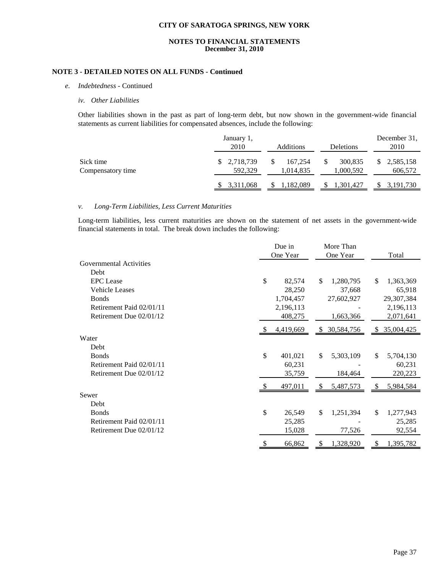#### **NOTES TO FINANCIAL STATEMENTS December 31, 2010**

# **NOTE 3 - DETAILED NOTES ON ALL FUNDS - Continued**

- *e. Indebtedness* Continued
	- *iv. Other Liabilities*

Other liabilities shown in the past as part of long-term debt, but now shown in the government-wide financial statements as current liabilities for compensated absences, include the following:

|                                | January 1,<br>2010     | <b>Additions</b>     | <b>Deletions</b>           | December 31,<br>2010 |
|--------------------------------|------------------------|----------------------|----------------------------|----------------------|
| Sick time<br>Compensatory time | \$2,718,739<br>592,329 | 167.254<br>1,014,835 | 300.835<br>S.<br>1,000,592 | 2,585,158<br>606,572 |
|                                | 3.311,068              | 1,182,089            | 1,301,427                  | 3,191,730            |

## *v. Long-Term Liabilities, Less Current Maturities*

Long-term liabilities, less current maturities are shown on the statement of net assets in the government-wide financial statements in total. The break down includes the following:

|                                | Due in<br>One Year |           | More Than                  |                  |  |
|--------------------------------|--------------------|-----------|----------------------------|------------------|--|
|                                |                    |           | One Year                   | Total            |  |
| <b>Governmental Activities</b> |                    |           |                            |                  |  |
| Debt                           |                    |           |                            |                  |  |
| <b>EPC</b> Lease               | \$                 | 82,574    | \$<br>1,280,795            | \$<br>1,363,369  |  |
| Vehicle Leases                 |                    | 28,250    | 37,668                     | 65,918           |  |
| <b>Bonds</b>                   |                    | 1,704,457 | 27,602,927                 | 29,307,384       |  |
| Retirement Paid 02/01/11       |                    | 2,196,113 |                            | 2,196,113        |  |
| Retirement Due 02/01/12        |                    | 408,275   | 1,663,366                  | 2,071,641        |  |
|                                |                    | 4,419,669 | \$30,584,756               | \$ 35,004,425    |  |
| Water                          |                    |           |                            |                  |  |
| Debt                           |                    |           |                            |                  |  |
| <b>Bonds</b>                   | \$                 | 401,021   | $\mathcal{S}$<br>5,303,109 | \$.<br>5,704,130 |  |
| Retirement Paid 02/01/11       |                    | 60,231    |                            | 60,231           |  |
| Retirement Due 02/01/12        |                    | 35,759    | 184,464                    | 220,223          |  |
|                                |                    | 497,011   | 5,487,573<br>-S            | 5,984,584<br>-S  |  |
| Sewer                          |                    |           |                            |                  |  |
| Debt                           |                    |           |                            |                  |  |
| <b>Bonds</b>                   | \$                 | 26,549    | \$<br>1,251,394            | \$.<br>1,277,943 |  |
| Retirement Paid 02/01/11       |                    | 25,285    |                            | 25,285           |  |
| Retirement Due 02/01/12        |                    | 15,028    | 77,526                     | 92,554           |  |
|                                | \$                 | 66,862    | \$<br>1,328,920            | 1,395,782<br>\$  |  |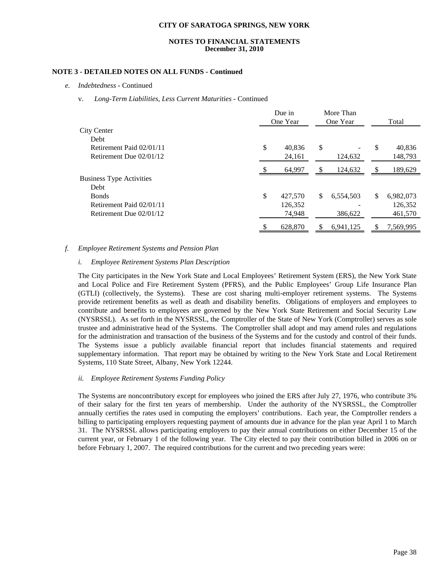#### **NOTES TO FINANCIAL STATEMENTS December 31, 2010**

## **NOTE 3 - DETAILED NOTES ON ALL FUNDS - Continued**

*e. Indebtedness* - Continued

#### v. *Long-Term Liabilities, Less Current Maturities* - Continued

|                                 | Due in<br>One Year |         | More Than<br>One Year |           | Total |           |
|---------------------------------|--------------------|---------|-----------------------|-----------|-------|-----------|
| City Center                     |                    |         |                       |           |       |           |
| Debt                            |                    |         |                       |           |       |           |
| Retirement Paid 02/01/11        | \$                 | 40.836  | \$                    |           | \$    | 40,836    |
| Retirement Due 02/01/12         |                    | 24,161  |                       | 124,632   |       | 148,793   |
|                                 |                    | 64.997  |                       | 124,632   |       | 189,629   |
| <b>Business Type Activities</b> |                    |         |                       |           |       |           |
| Debt                            |                    |         |                       |           |       |           |
| <b>Bonds</b>                    | \$                 | 427,570 | \$                    | 6,554,503 | S     | 6,982,073 |
| Retirement Paid 02/01/11        |                    | 126,352 |                       |           |       | 126,352   |
| Retirement Due 02/01/12         |                    | 74,948  |                       | 386,622   |       | 461,570   |
|                                 |                    | 628,870 | S                     | 6,941,125 |       | 7,569,995 |

#### *f. Employee Retirement Systems and Pension Plan*

#### *i. Employee Retirement Systems Plan Description*

The City participates in the New York State and Local Employees' Retirement System (ERS), the New York State and Local Police and Fire Retirement System (PFRS), and the Public Employees' Group Life Insurance Plan (GTLI) (collectively, the Systems). These are cost sharing multi-employer retirement systems. The Systems provide retirement benefits as well as death and disability benefits. Obligations of employers and employees to contribute and benefits to employees are governed by the New York State Retirement and Social Security Law (NYSRSSL). As set forth in the NYSRSSL, the Comptroller of the State of New York (Comptroller) serves as sole trustee and administrative head of the Systems. The Comptroller shall adopt and may amend rules and regulations for the administration and transaction of the business of the Systems and for the custody and control of their funds. The Systems issue a publicly available financial report that includes financial statements and required supplementary information. That report may be obtained by writing to the New York State and Local Retirement Systems, 110 State Street, Albany, New York 12244.

#### *ii. Employee Retirement Systems Funding Policy*

The Systems are noncontributory except for employees who joined the ERS after July 27, 1976, who contribute 3% of their salary for the first ten years of membership. Under the authority of the NYSRSSL, the Comptroller annually certifies the rates used in computing the employers' contributions. Each year, the Comptroller renders a billing to participating employers requesting payment of amounts due in advance for the plan year April 1 to March 31. The NYSRSSL allows participating employers to pay their annual contributions on either December 15 of the current year, or February 1 of the following year. The City elected to pay their contribution billed in 2006 on or before February 1, 2007. The required contributions for the current and two preceding years were: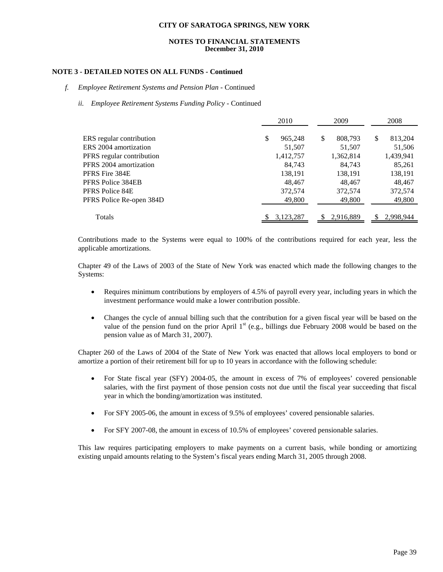## **NOTES TO FINANCIAL STATEMENTS December 31, 2010**

## **NOTE 3 - DETAILED NOTES ON ALL FUNDS - Continued**

#### *f. Employee Retirement Systems and Pension Plan* - Continued

#### *ii. Employee Retirement Systems Funding Policy - Continued*

|                           | 2010         | 2009          | 2008          |  |
|---------------------------|--------------|---------------|---------------|--|
| ERS regular contribution  | S<br>965,248 | \$<br>808,793 | \$<br>813,204 |  |
| ERS 2004 amortization     | 51,507       | 51,507        | 51,506        |  |
| PFRS regular contribution | 1,412,757    | 1,362,814     | 1,439,941     |  |
| PFRS 2004 amortization    | 84,743       | 84,743        | 85,261        |  |
| PFRS Fire 384E            | 138,191      | 138,191       | 138,191       |  |
| PFRS Police 384EB         | 48.467       | 48.467        | 48,467        |  |
| PFRS Police 84E           | 372,574      | 372,574       | 372,574       |  |
| PFRS Police Re-open 384D  | 49,800       | 49,800        | 49,800        |  |
| Totals                    | 3,123,287    | 2,916,889     | 2,998,944     |  |

Contributions made to the Systems were equal to 100% of the contributions required for each year, less the applicable amortizations.

Chapter 49 of the Laws of 2003 of the State of New York was enacted which made the following changes to the Systems:

- Requires minimum contributions by employers of 4.5% of payroll every year, including years in which the investment performance would make a lower contribution possible.
- Changes the cycle of annual billing such that the contribution for a given fiscal year will be based on the value of the pension fund on the prior April  $1<sup>st</sup>$  (e.g., billings due February 2008 would be based on the pension value as of March 31, 2007).

Chapter 260 of the Laws of 2004 of the State of New York was enacted that allows local employers to bond or amortize a portion of their retirement bill for up to 10 years in accordance with the following schedule:

- For State fiscal year (SFY) 2004-05, the amount in excess of 7% of employees' covered pensionable salaries, with the first payment of those pension costs not due until the fiscal year succeeding that fiscal year in which the bonding/amortization was instituted.
- For SFY 2005-06, the amount in excess of 9.5% of employees' covered pensionable salaries.
- For SFY 2007-08, the amount in excess of 10.5% of employees' covered pensionable salaries.

This law requires participating employers to make payments on a current basis, while bonding or amortizing existing unpaid amounts relating to the System's fiscal years ending March 31, 2005 through 2008.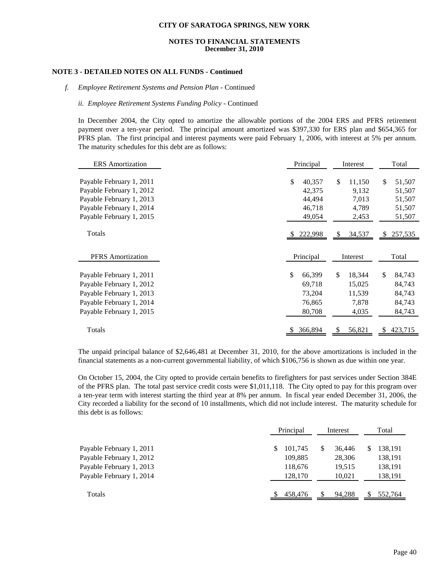#### **NOTES TO FINANCIAL STATEMENTS December 31, 2010**

#### **NOTE 3 - DETAILED NOTES ON ALL FUNDS - Continued**

#### *f. Employee Retirement Systems and Pension Plan* - Continued

#### *ii. Employee Retirement Systems Funding Policy* - Continued

In December 2004, the City opted to amortize the allowable portions of the 2004 ERS and PFRS retirement payment over a ten-year period. The principal amount amortized was \$397,330 for ERS plan and \$654,365 for PFRS plan. The first principal and interest payments were paid February 1, 2006, with interest at 5% per annum. The maturity schedules for this debt are as follows:

| <b>ERS</b> Amortization                                                                                                                  | Principal                                            | Interest                                           | Total                                                |  |
|------------------------------------------------------------------------------------------------------------------------------------------|------------------------------------------------------|----------------------------------------------------|------------------------------------------------------|--|
| Payable February 1, 2011<br>Payable February 1, 2012<br>Payable February 1, 2013<br>Payable February 1, 2014<br>Payable February 1, 2015 | \$<br>40,357<br>42,375<br>44.494<br>46,718<br>49,054 | \$.<br>11,150<br>9,132<br>7,013<br>4,789<br>2,453  | \$<br>51,507<br>51,507<br>51,507<br>51,507<br>51,507 |  |
| Totals                                                                                                                                   | 222,998                                              | 34,537<br><sup>\$</sup>                            | 257,535<br>\$                                        |  |
| <b>PFRS</b> Amortization                                                                                                                 | Principal                                            | Interest                                           | Total                                                |  |
| Payable February 1, 2011<br>Payable February 1, 2012<br>Payable February 1, 2013<br>Payable February 1, 2014<br>Payable February 1, 2015 | \$<br>66,399<br>69,718<br>73,204<br>76,865<br>80,708 | \$<br>18,344<br>15,025<br>11,539<br>7,878<br>4,035 | \$<br>84,743<br>84,743<br>84,743<br>84,743<br>84,743 |  |
| Totals                                                                                                                                   | 366,894                                              | 56,821<br>S                                        | 423,715<br>S.                                        |  |

The unpaid principal balance of \$2,646,481 at December 31, 2010, for the above amortizations is included in the financial statements as a non-current governmental liability, of which \$106,756 is shown as due within one year.

On October 15, 2004, the City opted to provide certain benefits to firefighters for past services under Section 384E of the PFRS plan. The total past service credit costs were \$1,011,118. The City opted to pay for this program over a ten-year term with interest starting the third year at 8% per annum. In fiscal year ended December 31, 2006, the City recorded a liability for the second of 10 installments, which did not include interest. The maturity schedule for this debt is as follows:

|                          | Principal    | Interest |   | Total   |  |
|--------------------------|--------------|----------|---|---------|--|
| Payable February 1, 2011 | 101,745<br>S | 36,446   | S | 138,191 |  |
| Payable February 1, 2012 | 109,885      | 28,306   |   | 138,191 |  |
| Payable February 1, 2013 | 118,676      | 19,515   |   | 138,191 |  |
| Payable February 1, 2014 | 128,170      | 10,021   |   | 138,191 |  |
| Totals                   | 458,476      | 94.288   |   | 552,764 |  |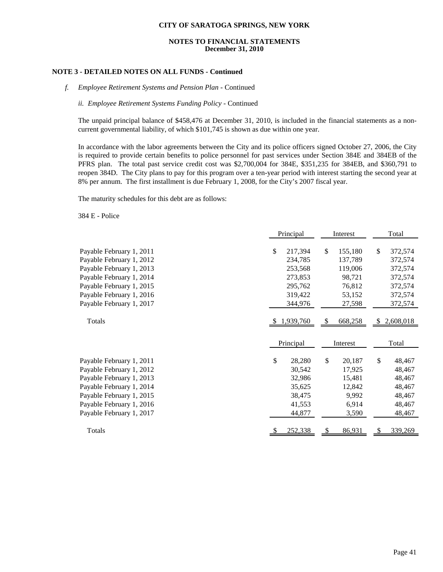#### **NOTES TO FINANCIAL STATEMENTS December 31, 2010**

## **NOTE 3 - DETAILED NOTES ON ALL FUNDS - Continued**

*f. Employee Retirement Systems and Pension Plan* - Continued

## *ii. Employee Retirement Systems Funding Policy* - Continued

The unpaid principal balance of \$458,476 at December 31, 2010, is included in the financial statements as a noncurrent governmental liability, of which \$101,745 is shown as due within one year.

In accordance with the labor agreements between the City and its police officers signed October 27, 2006, the City is required to provide certain benefits to police personnel for past services under Section 384E and 384EB of the PFRS plan. The total past service credit cost was \$2,700,004 for 384E, \$351,235 for 384EB, and \$360,791 to reopen 384D. The City plans to pay for this program over a ten-year period with interest starting the second year at 8% per annum. The first installment is due February 1, 2008, for the City's 2007 fiscal year.

The maturity schedules for this debt are as follows:

384 E - Police

|                                                                                                                                                                      | Principal                                                            | Interest                                                          | Total                                                                |  |
|----------------------------------------------------------------------------------------------------------------------------------------------------------------------|----------------------------------------------------------------------|-------------------------------------------------------------------|----------------------------------------------------------------------|--|
| Payable February 1, 2011<br>Payable February 1, 2012<br>Payable February 1, 2013<br>Payable February 1, 2014<br>Payable February 1, 2015<br>Payable February 1, 2016 | \$<br>217,394<br>234,785<br>253,568<br>273,853<br>295,762<br>319,422 | \$<br>155,180<br>137,789<br>119,006<br>98,721<br>76,812<br>53,152 | \$<br>372,574<br>372,574<br>372,574<br>372,574<br>372,574<br>372,574 |  |
| Payable February 1, 2017                                                                                                                                             | 344,976                                                              | 27,598                                                            | 372,574                                                              |  |
| Totals                                                                                                                                                               | 1,939,760                                                            | 668,258<br>-S                                                     | 2,608,018<br>Y.                                                      |  |
|                                                                                                                                                                      | Principal                                                            | Interest                                                          | Total                                                                |  |
| Payable February 1, 2011<br>Payable February 1, 2012                                                                                                                 | \$<br>28,280<br>30,542                                               | \$<br>20,187<br>17,925                                            | \$<br>48,467<br>48,467                                               |  |
| Payable February 1, 2013                                                                                                                                             | 32,986                                                               | 15,481                                                            | 48,467                                                               |  |
| Payable February 1, 2014                                                                                                                                             | 35,625                                                               | 12,842                                                            | 48,467                                                               |  |
| Payable February 1, 2015                                                                                                                                             | 38,475                                                               | 9,992                                                             | 48,467                                                               |  |
| Payable February 1, 2016                                                                                                                                             | 41,553                                                               | 6,914                                                             | 48,467                                                               |  |
| Payable February 1, 2017                                                                                                                                             | 44,877                                                               | 3,590                                                             | 48,467                                                               |  |
| Totals                                                                                                                                                               | 252,338                                                              | 86,931<br>$\boldsymbol{\mathsf{S}}$                               | 339,269<br>S                                                         |  |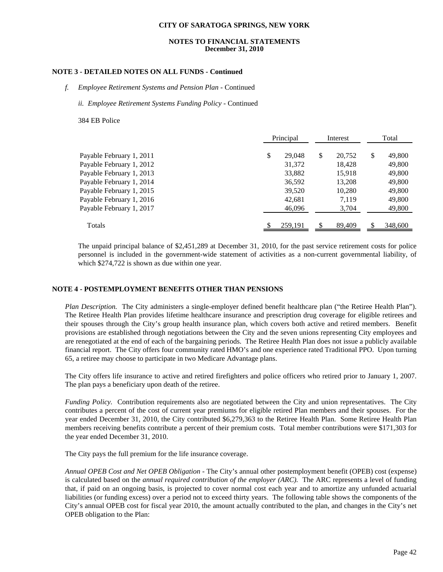#### **NOTES TO FINANCIAL STATEMENTS December 31, 2010**

#### **NOTE 3 - DETAILED NOTES ON ALL FUNDS - Continued**

#### *f. Employee Retirement Systems and Pension Plan* - Continued

#### *ii. Employee Retirement Systems Funding Policy* - Continued

384 EB Police

|                          | Principal |         | Interest |        | Total |         |
|--------------------------|-----------|---------|----------|--------|-------|---------|
| Payable February 1, 2011 | \$        | 29,048  | \$       | 20,752 | \$    | 49,800  |
| Payable February 1, 2012 |           | 31,372  |          | 18,428 |       | 49,800  |
| Payable February 1, 2013 |           | 33,882  |          | 15,918 |       | 49,800  |
| Payable February 1, 2014 |           | 36,592  |          | 13,208 |       | 49,800  |
| Payable February 1, 2015 |           | 39,520  |          | 10,280 |       | 49,800  |
| Payable February 1, 2016 |           | 42,681  |          | 7,119  |       | 49,800  |
| Payable February 1, 2017 |           | 46,096  |          | 3,704  |       | 49,800  |
| Totals                   |           | 259,191 | ፍ        | 89,409 |       | 348,600 |

The unpaid principal balance of \$2,451,289 at December 31, 2010, for the past service retirement costs for police personnel is included in the government-wide statement of activities as a non-current governmental liability, of which \$274,722 is shown as due within one year.

#### **NOTE 4 - POSTEMPLOYMENT BENEFITS OTHER THAN PENSIONS**

*Plan Description.* The City administers a single-employer defined benefit healthcare plan ("the Retiree Health Plan"). The Retiree Health Plan provides lifetime healthcare insurance and prescription drug coverage for eligible retirees and their spouses through the City's group health insurance plan, which covers both active and retired members. Benefit provisions are established through negotiations between the City and the seven unions representing City employees and are renegotiated at the end of each of the bargaining periods. The Retiree Health Plan does not issue a publicly available financial report. The City offers four community rated HMO's and one experience rated Traditional PPO. Upon turning 65, a retiree may choose to participate in two Medicare Advantage plans.

The City offers life insurance to active and retired firefighters and police officers who retired prior to January 1, 2007. The plan pays a beneficiary upon death of the retiree.

*Funding Policy.* Contribution requirements also are negotiated between the City and union representatives. The City contributes a percent of the cost of current year premiums for eligible retired Plan members and their spouses. For the year ended December 31, 2010, the City contributed \$6,279,363 to the Retiree Health Plan. Some Retiree Health Plan members receiving benefits contribute a percent of their premium costs. Total member contributions were \$171,303 for the year ended December 31, 2010.

The City pays the full premium for the life insurance coverage.

*Annual OPEB Cost and Net OPEB Obligation -* The City's annual other postemployment benefit (OPEB) cost (expense) is calculated based on the *annual required contribution of the employer (ARC).* The ARC represents a level of funding that, if paid on an ongoing basis, is projected to cover normal cost each year and to amortize any unfunded actuarial liabilities (or funding excess) over a period not to exceed thirty years. The following table shows the components of the City's annual OPEB cost for fiscal year 2010, the amount actually contributed to the plan, and changes in the City's net OPEB obligation to the Plan: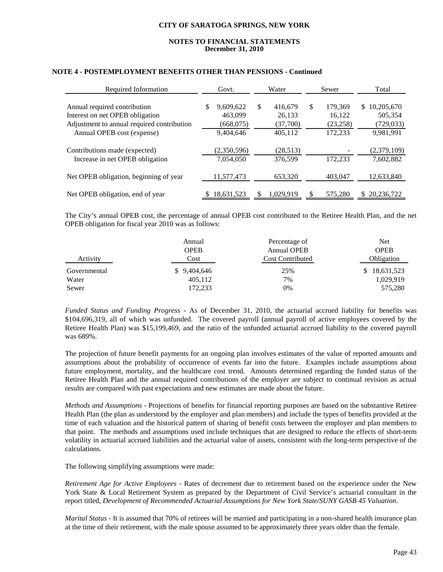## **NOTES TO FINANCIAL STATEMENTS December 31, 2010**

| Required Information                                                     | Govt.                      | Water<br>Sewer                     |                         | Total                        |
|--------------------------------------------------------------------------|----------------------------|------------------------------------|-------------------------|------------------------------|
| Annual required contribution<br>Interest on net OPEB obligation          | \$<br>9,609,622<br>463.099 | <sup>\$</sup><br>416.679<br>26.133 | \$<br>179,369<br>16,122 | 10,205,670<br>\$.<br>505,354 |
| Adjustment to annual required contribution<br>Annual OPEB cost (expense) | (668,075)<br>9.404.646     | (37,700)<br>405,112                | (23, 258)<br>172,233    | (729, 033)<br>9,981,991      |
| Contributions made (expected)<br>Increase in net OPEB obligation         | (2,350,596)<br>7,054,050   | (28, 513)<br>376,599               | 172,233                 | (2,379,109)<br>7,602,882     |
| Net OPEB obligation, beginning of year                                   | 11,577,473                 | 653,320                            | 403.047                 | 12,633,840                   |
| Net OPEB obligation, end of year                                         | 18,631,523                 | 1.029.919                          | \$<br>575.280           | 20.236.722<br>S.             |

# **NOTE 4 - POSTEMPLOYMENT BENEFITS OTHER THAN PENSIONS - Continued**

The City's annual OPEB cost, the percentage of annual OPEB cost contributed to the Retiree Health Plan, and the net OPEB obligation for fiscal year 2010 was as follows:

|              | Annual<br><b>OPEB</b> | Net<br><b>OPEB</b>      |                  |
|--------------|-----------------------|-------------------------|------------------|
| Activity     | Cost                  | <b>Cost Contributed</b> | Obligation       |
| Governmental | \$9,404,646           | 25%                     | 18,631,523<br>\$ |
| Water        | 405,112               | 7%                      | 1,029,919        |
| Sewer        | 172,233               | 0%                      | 575,280          |

*Funded Status and Funding Progress -* As of December 31, 2010, the actuarial accrued liability for benefits was \$104,696,319, all of which was unfunded. The covered payroll (annual payroll of active employees covered by the Retiree Health Plan) was \$15,199,469, and the ratio of the unfunded actuarial accrued liability to the covered payroll was 689%.

The projection of future benefit payments for an ongoing plan involves estimates of the value of reported amounts and assumptions about the probability of occurrence of events far into the future. Examples include assumptions about future employment, mortality, and the healthcare cost trend. Amounts determined regarding the funded status of the Retiree Health Plan and the annual required contributions of the employer are subject to continual revision as actual results are compared with past expectations and new estimates are made about the future.

*Methods and Assumptions -* Projections of benefits for financial reporting purposes are based on the substantive Retiree Health Plan (the plan as understood by the employer and plan members) and include the types of benefits provided at the time of each valuation and the historical pattern of sharing of benefit costs between the employer and plan members to that point. The methods and assumptions used include techniques that are designed to reduce the effects of short-term volatility in actuarial accrued liabilities and the actuarial value of assets, consistent with the long-term perspective of the calculations.

The following simplifying assumptions were made:

*Retirement Age for Active Employees -* Rates of decrement due to retirement based on the experience under the New York State & Local Retirement System as prepared by the Department of Civil Service's actuarial consultant in the report titled, *Development of Recommended Actuarial Assumptions for New York State/SUNY GASB 45 Valuation*.

*Marital Status -* It is assumed that 70% of retirees will be married and participating in a non-shared health insurance plan at the time of their retirement, with the male spouse assumed to be approximately three years older than the female.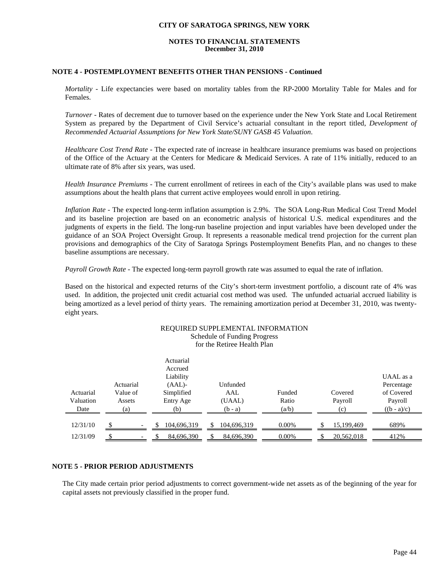### **NOTES TO FINANCIAL STATEMENTS December 31, 2010**

# **NOTE 4 - POSTEMPLOYMENT BENEFITS OTHER THAN PENSIONS - Continued**

*Mortality -* Life expectancies were based on mortality tables from the RP-2000 Mortality Table for Males and for Females.

*Turnover -* Rates of decrement due to turnover based on the experience under the New York State and Local Retirement System as prepared by the Department of Civil Service's actuarial consultant in the report titled, *Development of Recommended Actuarial Assumptions for New York State/SUNY GASB 45 Valuation*.

*Healthcare Cost Trend Rate -* The expected rate of increase in healthcare insurance premiums was based on projections of the Office of the Actuary at the Centers for Medicare & Medicaid Services. A rate of 11% initially, reduced to an ultimate rate of 8% after six years, was used.

*Health Insurance Premiums -* The current enrollment of retirees in each of the City's available plans was used to make assumptions about the health plans that current active employees would enroll in upon retiring.

*Inflation Rate -* The expected long-term inflation assumption is 2.9%. The SOA Long-Run Medical Cost Trend Model and its baseline projection are based on an econometric analysis of historical U.S. medical expenditures and the judgments of experts in the field. The long-run baseline projection and input variables have been developed under the guidance of an SOA Project Oversight Group. It represents a reasonable medical trend projection for the current plan provisions and demographics of the City of Saratoga Springs Postemployment Benefits Plan, and no changes to these baseline assumptions are necessary.

*Payroll Growth Rate -* The expected long-term payroll growth rate was assumed to equal the rate of inflation.

Based on the historical and expected returns of the City's short-term investment portfolio, a discount rate of 4% was used. In addition, the projected unit credit actuarial cost method was used. The unfunded actuarial accrued liability is being amortized as a level period of thirty years. The remaining amortization period at December 31, 2010, was twentyeight years.

REQUIRED SUPPLEMENTAL INFORMATION

| Schedule of Funding Progress<br>for the Retiree Health Plan |                                 |                                                                           |                           |                 |                    |                                                  |  |  |  |
|-------------------------------------------------------------|---------------------------------|---------------------------------------------------------------------------|---------------------------|-----------------|--------------------|--------------------------------------------------|--|--|--|
| Actuarial<br>Valuation                                      | Actuarial<br>Value of<br>Assets | Actuarial<br>Accrued<br>Liability<br>$(AAL)$ -<br>Simplified<br>Entry Age | Unfunded<br>AAL<br>(UAAL) | Funded<br>Ratio | Covered<br>Payroll | UAAL as a<br>Percentage<br>of Covered<br>Payroll |  |  |  |
| Date                                                        | (a)                             | (b)                                                                       | $(b - a)$                 | (a/b)           | (c)                | $((b - a)/c)$                                    |  |  |  |
| 12/31/10                                                    |                                 | 104,696,319<br>S                                                          | 104.696.319               | $0.00\%$        | 15.199.469         | 689%                                             |  |  |  |
| 12/31/09                                                    |                                 | 84,696,390                                                                | 84,696,390                | $0.00\%$        | 20,562,018         | 412%                                             |  |  |  |

# **NOTE 5 - PRIOR PERIOD ADJUSTMENTS**

 The City made certain prior period adjustments to correct government-wide net assets as of the beginning of the year for capital assets not previously classified in the proper fund.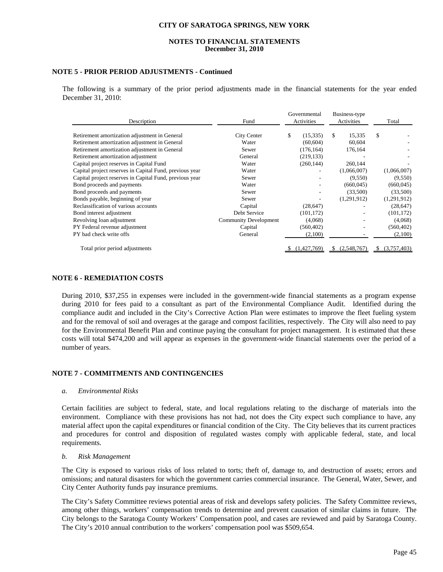#### **NOTES TO FINANCIAL STATEMENTS December 31, 2010**

## **NOTE 5 - PRIOR PERIOD ADJUSTMENTS - Continued**

 The following is a summary of the prior period adjustments made in the financial statements for the year ended December 31, 2010:

| Description                                             | Fund                         | Governmental<br>Activities |             | Business-type<br>Activities |             | Total |             |
|---------------------------------------------------------|------------------------------|----------------------------|-------------|-----------------------------|-------------|-------|-------------|
| Retirement amortization adjustment in General           | <b>City Center</b>           | \$                         | (15, 335)   | \$                          | 15,335      | \$    |             |
| Retirement amortization adjustment in General           | Water                        |                            | (60, 604)   |                             | 60,604      |       |             |
| Retirement amortization adjustment in General           | Sewer                        |                            | (176, 164)  |                             | 176,164     |       |             |
| Retirement amortization adjustment                      | General                      |                            | (219, 133)  |                             |             |       |             |
| Capital project reserves in Capital Fund                | Water                        |                            | (260, 144)  |                             | 260,144     |       |             |
| Capital project reserves in Capital Fund, previous year | Water                        |                            |             |                             | (1,066,007) |       | (1,066,007) |
| Capital project reserves in Capital Fund, previous year | Sewer                        |                            |             |                             | (9,550)     |       | (9,550)     |
| Bond proceeds and payments                              | Water                        |                            |             |                             | (660, 045)  |       | (660, 045)  |
| Bond proceeds and payments                              | Sewer                        |                            |             |                             | (33,500)    |       | (33,500)    |
| Bonds payable, beginning of year                        | Sewer                        |                            |             |                             | (1,291,912) |       | (1,291,912) |
| Reclassification of various accounts                    | Capital                      |                            | (28, 647)   |                             |             |       | (28, 647)   |
| Bond interest adjustment                                | Debt Service                 |                            | (101, 172)  |                             |             |       | (101, 172)  |
| Revolving loan adj sutment                              | <b>Community Development</b> |                            | (4.068)     |                             |             |       | (4,068)     |
| PY Federal revenue adjustment                           | Capital                      |                            | (560, 402)  |                             |             |       | (560, 402)  |
| PY bad check write offs                                 | General                      |                            | (2,100)     |                             |             |       | (2,100)     |
| Total prior period adjustments                          |                              |                            | (1,427,769) |                             | (2,548,767) | S.    | (3,757,403) |

## **NOTE 6 - REMEDIATION COSTS**

During 2010, \$37,255 in expenses were included in the government-wide financial statements as a program expense during 2010 for fees paid to a consultant as part of the Environmental Compliance Audit. Identified during the compliance audit and included in the City's Corrective Action Plan were estimates to improve the fleet fueling system and for the removal of soil and overages at the garage and compost facilities, respectively. The City will also need to pay for the Environmental Benefit Plan and continue paying the consultant for project management. It is estimated that these costs will total \$474,200 and will appear as expenses in the government-wide financial statements over the period of a number of years.

# **NOTE 7 - COMMITMENTS AND CONTINGENCIES**

#### *a. Environmental Risks*

Certain facilities are subject to federal, state, and local regulations relating to the discharge of materials into the environment. Compliance with these provisions has not had, not does the City expect such compliance to have, any material affect upon the capital expenditures or financial condition of the City. The City believes that its current practices and procedures for control and disposition of regulated wastes comply with applicable federal, state, and local requirements.

#### *b. Risk Management*

The City is exposed to various risks of loss related to torts; theft of, damage to, and destruction of assets; errors and omissions; and natural disasters for which the government carries commercial insurance. The General, Water, Sewer, and City Center Authority funds pay insurance premiums.

The City's Safety Committee reviews potential areas of risk and develops safety policies. The Safety Committee reviews, among other things, workers' compensation trends to determine and prevent causation of similar claims in future. The City belongs to the Saratoga County Workers' Compensation pool, and cases are reviewed and paid by Saratoga County. The City's 2010 annual contribution to the workers' compensation pool was \$509,654.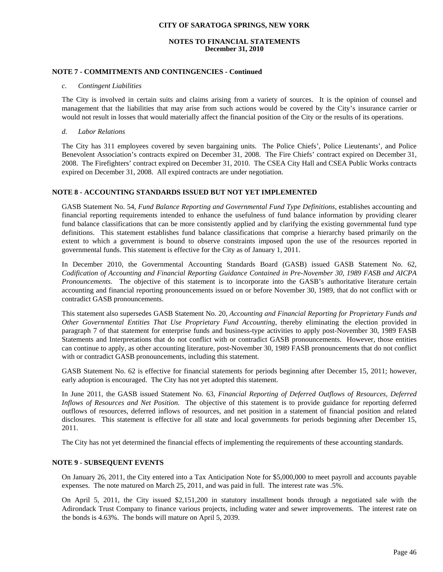## **NOTES TO FINANCIAL STATEMENTS December 31, 2010**

## **NOTE 7 - COMMITMENTS AND CONTINGENCIES - Continued**

#### *c. Contingent Liabilities*

The City is involved in certain suits and claims arising from a variety of sources. It is the opinion of counsel and management that the liabilities that may arise from such actions would be covered by the City's insurance carrier or would not result in losses that would materially affect the financial position of the City or the results of its operations.

#### *d. Labor Relations*

The City has 311 employees covered by seven bargaining units. The Police Chiefs', Police Lieutenants', and Police Benevolent Association's contracts expired on December 31, 2008. The Fire Chiefs' contract expired on December 31, 2008. The Firefighters' contract expired on December 31, 2010. The CSEA City Hall and CSEA Public Works contracts expired on December 31, 2008. All expired contracts are under negotiation.

#### **NOTE 8 - ACCOUNTING STANDARDS ISSUED BUT NOT YET IMPLEMENTED**

GASB Statement No. 54, *Fund Balance Reporting and Governmental Fund Type Definitions,* establishes accounting and financial reporting requirements intended to enhance the usefulness of fund balance information by providing clearer fund balance classifications that can be more consistently applied and by clarifying the existing governmental fund type definitions. This statement establishes fund balance classifications that comprise a hierarchy based primarily on the extent to which a government is bound to observe constraints imposed upon the use of the resources reported in governmental funds. This statement is effective for the City as of January 1, 2011.

In December 2010, the Governmental Accounting Standards Board (GASB) issued GASB Statement No. 62, *Codification of Accounting and Financial Reporting Guidance Contained in Pre-November 30, 1989 FASB and AICPA Pronouncements.* The objective of this statement is to incorporate into the GASB's authoritative literature certain accounting and financial reporting pronouncements issued on or before November 30, 1989, that do not conflict with or contradict GASB pronouncements.

This statement also supersedes GASB Statement No. 20, *Accounting and Financial Reporting for Proprietary Funds and Other Governmental Entities That Use Proprietary Fund Accounting,* thereby eliminating the election provided in paragraph 7 of that statement for enterprise funds and business-type activities to apply post-November 30, 1989 FASB Statements and Interpretations that do not conflict with or contradict GASB pronouncements. However, those entities can continue to apply, as other accounting literature, post-November 30, 1989 FASB pronouncements that do not conflict with or contradict GASB pronouncements, including this statement.

GASB Statement No. 62 is effective for financial statements for periods beginning after December 15, 2011; however, early adoption is encouraged. The City has not yet adopted this statement.

In June 2011, the GASB issued Statement No. 63, *Financial Reporting of Deferred Outflows of Resources, Deferred Inflows of Resources and Net Position.* The objective of this statement is to provide guidance for reporting deferred outflows of resources, deferred inflows of resources, and net position in a statement of financial position and related disclosures. This statement is effective for all state and local governments for periods beginning after December 15, 2011.

The City has not yet determined the financial effects of implementing the requirements of these accounting standards.

#### **NOTE 9 - SUBSEQUENT EVENTS**

On January 26, 2011, the City entered into a Tax Anticipation Note for \$5,000,000 to meet payroll and accounts payable expenses. The note matured on March 25, 2011, and was paid in full. The interest rate was .5%.

On April 5, 2011, the City issued \$2,151,200 in statutory installment bonds through a negotiated sale with the Adirondack Trust Company to finance various projects, including water and sewer improvements. The interest rate on the bonds is 4.63%. The bonds will mature on April 5, 2039.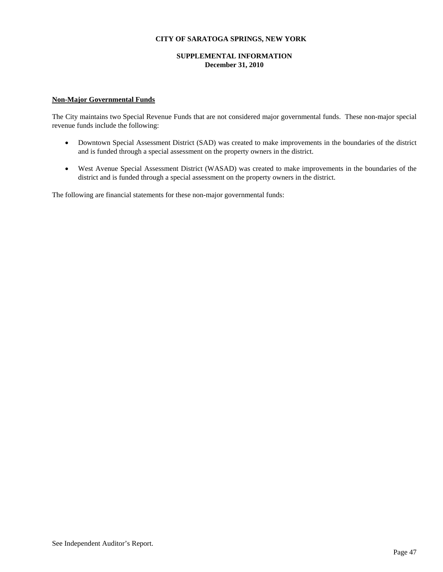# **SUPPLEMENTAL INFORMATION December 31, 2010**

## **Non-Major Governmental Funds**

The City maintains two Special Revenue Funds that are not considered major governmental funds. These non-major special revenue funds include the following:

- Downtown Special Assessment District (SAD) was created to make improvements in the boundaries of the district and is funded through a special assessment on the property owners in the district.
- West Avenue Special Assessment District (WASAD) was created to make improvements in the boundaries of the district and is funded through a special assessment on the property owners in the district.

The following are financial statements for these non-major governmental funds: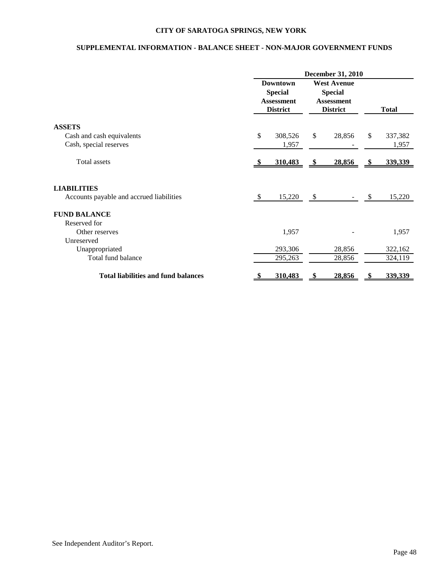# **SUPPLEMENTAL INFORMATION - BALANCE SHEET - NON-MAJOR GOVERNMENT FUNDS**

|                                                                | December 31, 2010                                                         |         |                                                                              |        |              |         |
|----------------------------------------------------------------|---------------------------------------------------------------------------|---------|------------------------------------------------------------------------------|--------|--------------|---------|
|                                                                | <b>Downtown</b><br><b>Special</b><br><b>Assessment</b><br><b>District</b> |         | <b>West Avenue</b><br><b>Special</b><br><b>Assessment</b><br><b>District</b> |        | <b>Total</b> |         |
| <b>ASSETS</b>                                                  |                                                                           |         |                                                                              |        |              |         |
| Cash and cash equivalents                                      | \$                                                                        | 308,526 | \$                                                                           | 28,856 | \$           | 337,382 |
| Cash, special reserves                                         |                                                                           | 1,957   |                                                                              |        |              | 1,957   |
| <b>Total assets</b>                                            |                                                                           | 310,483 | - \$                                                                         | 28,856 | - \$         | 339,339 |
| <b>LIABILITIES</b><br>Accounts payable and accrued liabilities | -S                                                                        | 15,220  | \$                                                                           |        | -S           | 15,220  |
| <b>FUND BALANCE</b>                                            |                                                                           |         |                                                                              |        |              |         |
| Reserved for                                                   |                                                                           |         |                                                                              |        |              |         |
| Other reserves                                                 |                                                                           | 1,957   |                                                                              |        |              | 1,957   |
| Unreserved                                                     |                                                                           |         |                                                                              |        |              |         |
| Unappropriated                                                 |                                                                           | 293,306 |                                                                              | 28,856 |              | 322,162 |
| Total fund balance                                             |                                                                           | 295,263 |                                                                              | 28,856 |              | 324,119 |
| <b>Total liabilities and fund balances</b>                     |                                                                           | 310,483 | \$                                                                           | 28,856 | \$           | 339,339 |